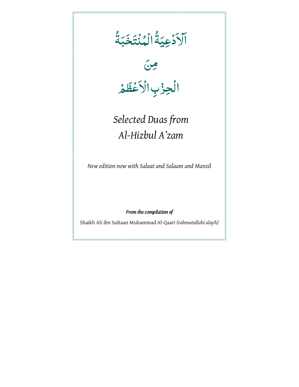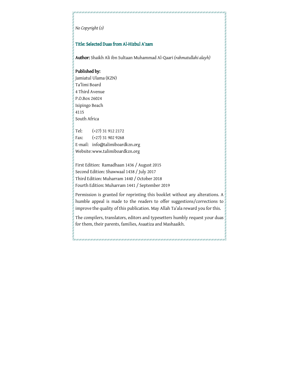#### *No Copyright (ɔ)*

#### Title: Selected Duas from Al-Hizbul A'zam

Author: Shaikh Ali ibn Sultaan Muhammad Al-Qaari Author: *(rahmatullahi alayh)*

#### Published by:

Jamiatul Ulama (KZN) Ta'limi Board 4 Third Avenue P.O.Box 26024 Isipingo Beach 4115 South Africa Tel: (+27) 31 912 2172 Fax: (+27) 31 902 9268

E-mail: info@talimiboardkzn.org Website: www.talimiboardkzn.org

First Edition: Ramadhaan 1436 / August 2015 Second Edition: Shawwaal 1438 / July 2017 Third Edition: Muharram 1440 / October 2018 Fourth Edition: Muharram 1441 / September 2019

Permission is granted for reprinting this booklet without any alterations. A humble appeal is made to the readers to offer suggestions/corrections to improve the quality of this publication. May Allah Ta'ala reward you for this.

The compilers, translators, editors and typesetters humbly request your duas for them, their parents, families, Asaatiza and Mashaaikh.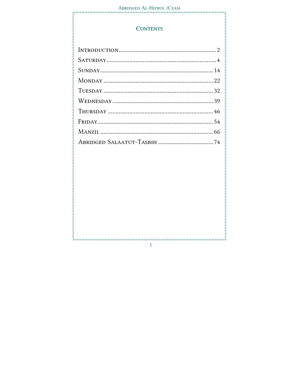.<br>CHAR CHART CHART CHART CHART CHART CHART CHART CHART CHART CHART CHART CHART CHART CHART

# **CONTENTS**

 $\mathbf{1}$ 

007 | 2017 | 2017 | 2017 | 2017 | 2017 | 2017 | 2017 | 2017 |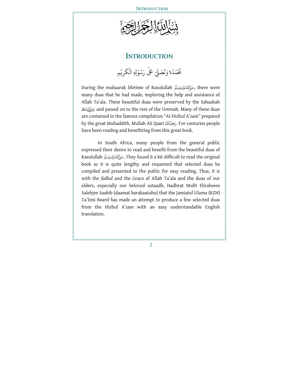

### **INTRODUCTION**

#### <u>ٔ</u>  $\ddot{\cdot}$ .<br>خَمَدُهٗ وَنُصَلِّ ُ ُ ْ لِّي ر<br>ش عَلٰى رَسُوْلِهِ الْكَ ْ ُ ْ َ ك ِ ر يِم ْ

During the mubaarak lifetime of Rasulullah ,صَأَلِّللَّهُ عَلَيْهِ وَسَلَّرَ many duas that he had made, imploring the help and assistance of Allah Ta'ala. These beautiful duas were preserved by the Sahaabah and passed on to the rest of the Ummah. Many of these duas are contained in the famous compilation "Al-Hizbul A'zam" prepared by the great Muhaddith, Mullah Ali Qaari . For centuries people have been reading and benefitting from this great book.

In South Africa, many people from the general public expressed their desire to read and benefit from the beautiful duas of Rasulullah . They found it a bit difficult to read the original book as it is quite lengthy and requested that selected duas be compiled and presented to the public for easy reading. Thus, it is with the *fadhal* and the Grace of Allah Ta'ala and the duas of our elders, especially our beloved ustaadh, Hadhrat Mufti Ebraheem Salehjee Saahib (daamat barakaatuhu) that the Jamiatul Ulama (KZN) Ta'limi Board has made an attempt to produce a few selected duas from the Hizbul A'zam with an easy understandable English translation.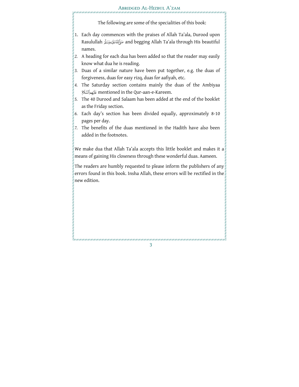#### Abridged Al-Hizbul A'zam

The following are some of the specialities of this book:

- 1. Each day commences with the praises of Allah Ta'ala, Durood upon Rasulullah and begging Allah Ta'ala through His beautiful names.
- *2.* A heading for each dua has been added so that the reader may easily know what dua he is reading.
- *3.* Duas of a similar nature have been put together, e.g. the duas of forgiveness, duas for easy rizq, duas for aafiyah, etc.
- *4.* The Saturday section contains mainly the duas of th e Ambiyaa mentioned in the Qur-aan-e-Kareem.
- *5.* The 40 Durood and Salaam has been added at the end of the booklet as the Friday section.
- *6.* Each day's section has been divided equally, approximately 8-10 pages per day.
- *7.* The benefits of the duas mentioned in the Hadith have also been added in the footnotes.

We make dua that Allah Ta'ala accepts this little booklet and makes it a means of gaining His closeness through these wonderful duas. Aameen.

The readers are humbly requested to please inform the publishers of any errors found in this book. Insha Allah, these errors will be rectified in the new edition.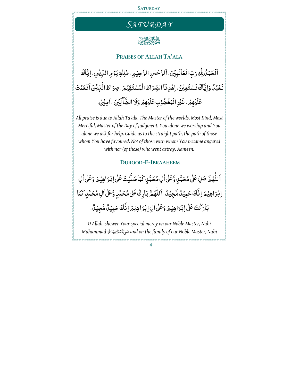





#### **PRAISES OF ALLAH TA'ALA**

ٱلۡحَمۡدُۢ لِلّٰهِ رَبِّ الۡعَالَٰٓ بِيۡنَ، ٱلرَّحۡمٰنِ الرَّحِيۡمِ ۢ مٰلِكِ يَوۡمِ الدِّيۡنِ ۢ اِيَّاكَ ٰ ا<br>ا نَعُبُدُ وَاِيَّاكَ نَسْتَعِيُنُ، اِهْدِنَا الصِّرَاطَ الْمُسْتَقِيْمَ. صِرَاطَ الَّذِيْنَ اَنْعَمْتَ عَلَيْهِمُ، غَيْرِ الْمَغُضُوْبِ عَلَيْهِمُ وَلَا الضَّأَلِّيْنَ ، اٰمِيْنُ.

*All praise is due to Allah Ta'ala, The Master of the worlds, Most Kind, Most Merciful, Master of the Day of Judgment. You alone we worship and You alone we ask for help. Guide us to the straight path, the path of those whom You have favoured. Not of those with whom You became angered with nor (of those) who went astray. Aameen.* 

#### **DUROOD-E-IBRAAHEEM**

ٰ اَللّٰهُمَّ صَلِّ عَلٰى مُحَمَّدٍ وَّعَلٰى ٰالِ مُحَمَّدٍ كَمَا صَلَّيۡتَ عَلٰى اِبۡدَاهِیۡمَ وَعَلٰى ٰالِ ؚ<br>ؚ ٳڹٛؗڗٳۿؚؽ۫ۿؘڔٳنَّٛۘڬؘڂۜؠؽؙڵ۠ۿۜڿؚؽؙڷ۠ۥڷڷۿ۠ۿؖۥڹٲڕڬٛٷٚۿؙڂؠۜۧڸۣۥۊۜٞٷٚٚڵٳڮۿؙڂؠۜڸۣ؆ۘٮؙؠٵ ٍ<br>، <u>ّ</u> بَارَكْتَ عَلَىٰ إِبْرَاهِيۡمَ وَعَلَىٰ اٰلِ اِبۡرَاهِیۡمَ اِنَّكَ حَبِیۡلٌ مَّجِیۡلٌّ. ْ بُ<br>الم

*O Allah, shower Your special mercy on our Noble Master, Nabi Muhammad and on the family of our Noble Master, Nabi*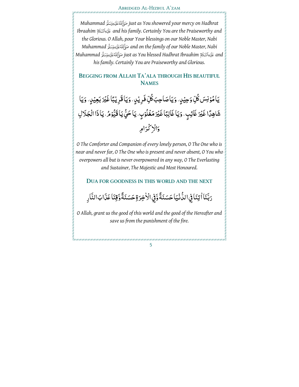#### Abridged Al-Hizbul A'zam

*Muhammad just as You showered your mercy on Hadhrat Ibraahim and his family. Certainly You are the Praiseworthy and the Glorious. O Allah, pour Your blessings on our Noble Master, Nabi Muhammad and on the family of our Noble Master, Nabi Muhammad just as You blessed Hadhrat Ibraahim and his family. Certainly You are Praiseworthy and Glorious.* 

### **BEGGING FROM ALLAH TA'ALA THROUGH HIS BEAUTIFUL NAMES**

ِيَا مُؤنِسَ كُلِّ وَحِيْلٍ، وَيَا صَاحِبَ كُلِّ فَرِيْلٍ، وَيَا قَرِيْبًا غَيْرَ بَعِيْلٍ، وَيَا <u>ا</u><br>ا شَاهِدًا غَيْرَ غَائِبٍ، وَيَا غَالِبًا غَيْرَ مَغُلُوْبٍ، يَا حَيُّ يَا قَيُّوُمُ، يَاذَا الْجَلَالِ ֧֦֧֦֧֦֧֦֧֦֧֦֧֦֧֦֧֦֧֦֧֦֧֦֧֦֧֦֧֦֧֦֧֦֧֧֦֧֞֜ وَالْإِكْرَامِ

*O The Comforter and Companion of every lonely person, O The One who is near and never far, O The One who is present and never absent, O You who overpowers all but is never overpowered in any way, O The Everlasting and Sustainer, The Majestic and Most Honoured.*

#### **DUA FOR GOODNESS IN THIS WORLD AND THE NEXT**

رَبَّنَا ۢاتِنَافِي الدَّنْيَا حَسَنَةً وَّفٍ الْأُخِرَةِ حَسَنَةً وَّقِنَا عَذَابَ النَّارِ ة<br>ما

*O Allah, grant us the good of this world and the good of the Hereafter and save us from the punishment of the fire.*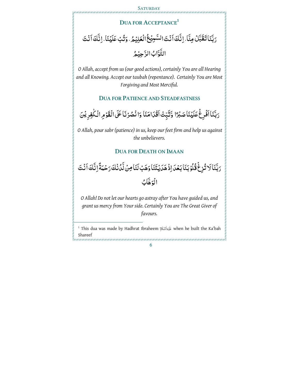# **DUA FOR ACCEPTANCE<sup>1</sup>** رَبَّنَا تَقَبَّلُ مِنَّا، اِنَّكَ اَنْتَ السَّبِيُّعُ الْعَلِيْمُ، وَتُبُ عَلَيْنَا، اِنَّكَ اَنْتَ <u>بَ</u> ة<br>م التَّوَّابُ الرَّحِيۡهُ ة<br>م

*O Allah, accept from us (our good actions), certainly You are all Hearing and all Knowing. Accept our taubah (repentance). Certainly You are Most Forgiving and Most Merciful.* 

#### **DUA FOR PATIENCE AND STEADFASTNESS**

رَبَّنَا اَفْرِغُ عَلَيْنَا صَبْرًا وَّتُبِّتْ اَقْدَامَنَا وَانْصُرْنَا عَلَى الْقَوْمِ الْكٰفِرِيْنَ ْ

 *O Allah, pour sabr (patience) in us, keep our feet firm and help us against the unbelievers.* 

#### **DUA FOR DEATH ON IMAAN**

<sub>َدَ</sub>بَّنَا َلا تُزِغُ قُلُوۡ بَنَا بَعۡدَ اِذۡ هَدَيۡتَنَا وَهَبۡ لَنَا مِنۡ لَّدُٰنُكَ رَحۡمَةًۚ اِ نَّكَ اَ نُتَ <u>ٔ</u> الْوَهَّابُ

*O Allah! Do not let our hearts go astray after You have guided us, and grant us mercy from Your side. Certainly You are The Great Giver of favours.* 

 $^1$  This dua was made by Hadhrat Ibraheem كَيْدِٱلسَّلَامُ when he built the Ka'bah Shareef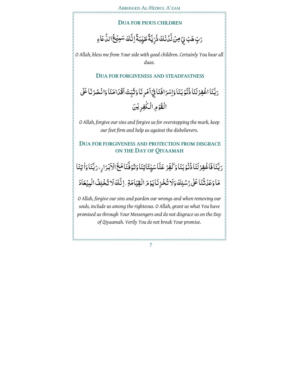#### **DUA FOR PIOUS CHILDREN**

#### رَبِّ هَبۡ لِيۡ مِنۡ لَّدُنۡكَ ذُرِّيَّةً طَيِّبَةًۚ إِنَّكَ سَعِيۡعُؕ الدُّعَاءِ ِّ ِ<br>مُ

*O Allah, bless me from Your side with good children. Certainly You hear all duas.* 

**DUA FOR FORGIVENESS AND STEADFASTNESS**

رَبَّنَا اغْفِرْلَنَا ذُُنُوْبَنَا وَاِسْرَافَنَا فِيْ اَمْرِنَا وَثَبِّتْ اَقْدَامَنَا وَانْصُرْنَا عَلَى :<br>ا ْ <u>ٔ</u> ْ الْقَوْمِ الْكُفِرِيْنَ

*O Allah, forgive our sins and forgive us for overstepping the mark, keep our feet firm and help us against the disbelievers.*

## **DUA FOR FORGIVENESS AND PROTECTION FROM DISGRACE ON THE DAY OF QIYAAMAH**

<sub>َد</sub>َبَّنَا فَاغْفِرْلَنَا ذُُذُوْبَنَا وَكَفِّرُ عَنَّاسَيِّئَاتِنَا وَتَوَفَّنَامَعَ الْاَبْرَارِ، <sub>دَ</sub>بَّنَا وَٰاتِنَا <u>ٔ</u> ْ مَا وَعَدُتَّنَا عَلٰى رُسُلِكَ وَلَا تُخْزِنَا يَوْمَ الْقِيَامَةِ . اِنَّكَ لَا تُخْلِفُ الْمِيْعَادَ

*O Allah, forgive our sins and pardon our wrongs and when removing our souls, include us among the righteous. O Allah, grant us what You have promised us through Your Messengers and do not disgrace us on the Day of Qiyaamah. Verily You do not break Your promise.*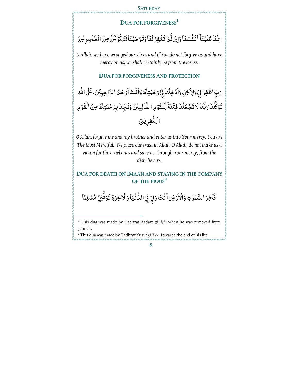#### **SATURDAY**

#### **DUA FOR FORGIVENESS<sup>1</sup>**

#### رَبَّنَا ظَلَمْنَآ اَنْفُسَنَا وَاِنُ لَّمُ تَغْفِرُ لَنَا وَتَرْحَمُنَا لَنَكُوْنَنَّ مِنَ الْخَاسِرِ يُنَ <u>َ</u> <u>ٔ</u>

*O Allah, we have wronged ourselves and if You do not forgive us and have mercy on us, we shall certainly be from the losers.* 

#### **DUA FOR FORGIVENESS AND PROTECTION**

<sub>َ</sub> تِ اغْفِرْ لِيُ وَلِاَخِيُ وَاَدْخِلُنَا فِيُ<sub>ّ د</sub>َحْمَتِكَ وَاَنْتَ اَرْحَمُّ الرَّاحِبِيُنَ. عَلَى اللهِ ْ تَوَكَّلْنَا رَبَّنَا لَا تَجْعَلْنَا فِتْنَةً لِّلْقَوْمِ الظَّالِمِيْنَ وَنَجِّنَا بِرَحْمَتِكَ مِنَ الْقَوْمِ الْكُفِرِيْنَ

*O Allah, forgive me and my brother and enter us into Your mercy. You are The Most Merciful. We place our trust in Allah. O Allah, do not make us a victimfor the cruel ones and save us, through Your mercy, from the disbelievers.* 

### **DUA FOR DEATH ON IMAAN AND STAYING IN THE COMPANY OF THE PIOUS<sup>2</sup>**

فَاطِرَ السَّمٰوٰتِ وَالْأَرۡضِ اَنۡتَ وَلِيِّ فِي الدُّنۡيَا وَالۡأَخِرَةِ تَوَفَّنِيۡ مُسۡلِمَّا ْ ٰ

į

 $^{\text{\tiny{1}}}$  This dua was made by Hadhrat Aadam كَيْوَالسَّلَامُ when he was removed from Jannah.

 $^2$  This dua was made by Hadhrat Yusuf عَلَيْوَالشَّلَامُ towards the end of his life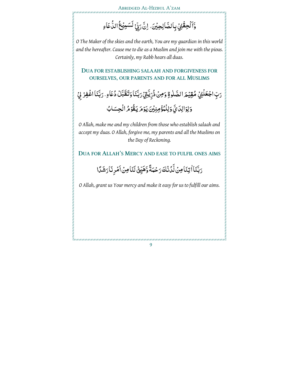#### Abridged Al-Hizbul A'zam

### وَّاَلۡحِقۡثِيۡ بِالصَّالِحِيۡنَ، اِنَّ رَبِّيۡ لَسَبِيۡعُ الدُّعَاءِ بُر<br>•

*O The Maker of the skies and the earth, You are my guardian in this world and the hereafter. Cause me to die as a Muslim and join me with the pious. Certainly, my Rabb hears all duas.* 

**DUA FOR ESTABLISHING SALAAH AND FORGIVENESS FOR OURSELVES, OUR PARENTS AND FOR ALL MUSLIMS**

َّ رَبِّ اجْعَلْنِيُ مُقِيۡمَ الصَّلٰوةِ وَمِنۡ ذُرِّيَّيۡ رَبَّنَا وَتَقَبَّلُ دُعَاءِ . رَبَّنَا اغۡفِرۡ لِيۡ ِّ وَلِوَالِدَيَّ وَلِلْمُؤْمِنِيْنَ يَوْمَ يَقُوْمُ الْحِسَابُ

*O Allah, make me and my children from those who establish salaah and accept my duas. O Allah, forgive me, my parents and all the Muslims on the Day of Reckoning.* 

**DUA FOR ALLAH'S MERCY AND EASE TO FULFIL ONES AIMS**

رَبَّنَا اٰتِنَا مِنۡ لَّدُنۡكَ رَحۡمَةً وَّهَيِّعۡ لَنَا مِنۡ اَمۡرِنَا رَشَدًا <u>ّ</u>

*O Allah, grant us Your mercy and make it easy for us to fulfill our aims.*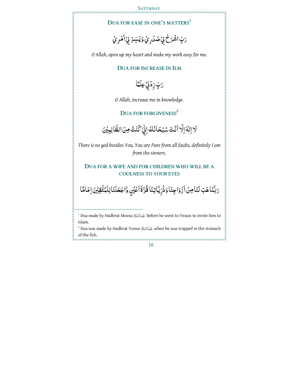.<br>IT I NOT I NOT I NOT I NOT I NOT I NOT I NOT I NOT I NOT I NOT I NOT I NOT I NOT I NOT I NOT I NOT I NOT

### **DUA FOR EASE IN ONE'S MATTERS<sup>1</sup>**

# رَبِّ اشۡمَـٰٓ لِيۡ صَدۡدِ مِّيۡ وَيَـُسِّنۡ لِيۡ أَمۡرِ مِّيۡ

*O Allah, open up my heart and make my work easy for me.* 

#### **DUA FOR INCREASE IN ILM**

# رَبَّ زِدٰۡٓ فِیۡعِل**ۡمَ**ّا

*O Allah, increase me in knowledge.* 

**DUA FOR FORGIVENESS<sup>2</sup>**

َلَا اِلْهَ اِلَّا اَنْتَ سُبْحَانَكَ اِنِّيۡ كُنۡتُ مِنَ الظَّالِبِيۡنَ

*There is no god besides You, You are Pure from all faults, definitely I am from the sinners.* 

#### **DUA FOR A WIFE AND FOR CHILDREN WHO WILL BE A COOLNESS TO YOUR EYES**

<sub>د</sub>َبَّنَاهَبُ لَنَامِنُ اَزْوَاجِنَا وَذُرِّيَّاتِنَا قُرَّةَاَعۡيُنِ وَّاجُعَلۡنَالِلۡمُتَّقِيۡنَ اِمَامَّا ْ ة<br>ما ِّ

Ĭ

 $^{\text{\tiny{1}}}$  Dua made by Hadhrat Moosa كَيْعِالسَّلَامْ before he went to Firaun to invite him to Islam.

 $^2$  Dua was made by Hadhrat Yunus كَيْوَالسَّلَامُ when he was trapped in the stomach of the fish.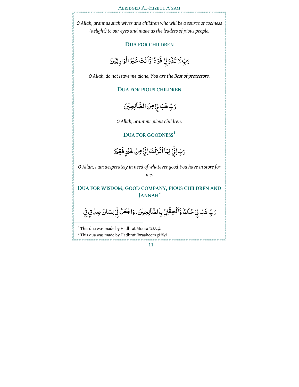*O Allah, grant us such wives and children who will be a source of coolness (delight) to our eyes and make us the leaders of pious people.* 

#### **DUA FOR CHILDREN**

َرَبِّ لَا تَذَرَذِ<sub>ِّ</sub> فَرُدًّا وَّأَنْتَ خَيْرُ الْوَارِثِيْنَ

*O Allah, do not leave me alone; You are the Best of protectors.* 

#### **DUA FOR PIOUS CHILDREN**

رَبِّ هَبُ لِيُ مِنَ الصَّالِحِيْنَ

*O Allah, grant me pious children.* 

**DUA FOR GOODNESS<sup>1</sup>**

<sub>َّ</sub>تٍ اِنِّيۡ لِمَاۤ اَنۡزَلۡتَ اِلِيَّ مِنۡ خَيۡرٍ فَقِيۡرٌ

*O Allah, I am desperately in need of whatever good You have in store for* 

*me.* 

**DUA FOR WISDOM, GOOD COMPANY, PIOUS CHILDREN AND JANNAH<sup>2</sup>**

رَبِّ هَبُ لِيُ حُكُمًّا وَّاَلُحِقُّنِيُ بِالصَّالِحِيْنَ. وَاجْعَلُ لِّيُ لِسَانَ صِدْقٍ فِي

<sup>1</sup> This dua was made by Hadhrat Moosa عَلَيْواَلسَّلَامُ

 $^{\rm 2}$  This dua was made by Hadhrat Ibraaheem كَيْدِٱلسَّلَامَ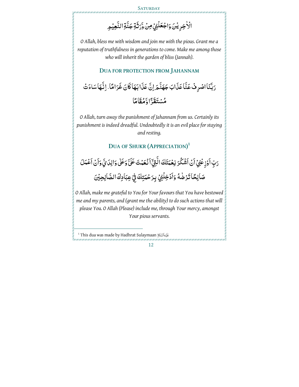**SATURDAY** 

nie z naczona z naczona w przez przez przez przez przez przez przez przez przez przez przez przez przez

الْأُخِرِ يُنَ وَاجْعَلْنِيُ مِنْ وَّرَثَةِ جَنَّةِ النَّعِيْمِ

*O Allah, bless me with wisdom and join me with the pious. Grant me a reputation of truthfulness in generations to come. Make me among those who will inherit the garden of bliss (Jannah).* 

#### **DUA FOR PROTECTION FROM JAHANNAM**

<sub>َدَ</sub>بَّنَا اصْرِفْ عَنَّا عَذَابَ جَهَنَّ<sub>م</sub>َ اِنَّ عَذَا بَهَا كَانَ غَرَامًا. اِنَّهَا سَاءَتُ ة<br>ما مُسْتَقَرَّا وَّمُقَامَّا

*O Allah, turn away the punishment of Jahannam from us. Certainly its punishment is indeed dreadful. Undoubtedly it is an evil place for staying and resting.* 

# **DUA OF SHUKR (APPRECIATION) 1**

رَبِّ اَوۡزِعۡفِیۡ اَنۡ اَشۡکُرَ نِعۡمَتَكَ الَّٰتِیۡٓ اَنۡعَمۡتَ عَلَیَّ وَعَلٰی وَالِدَیۡ مَآنۡ اَعۡمَلَ :<br>ا صَالِحَاتَزْضُهُ وَاَدْخِلُنِيُ بِرَحْمَتِكَ فِيۡ عِبَادِكَاالصَّالِحِيۡنَ ٰ ْ ْ

*O Allah, make me grateful to You for Your favours that You have bestowed me and my parents, and (grant me the ability) to do such actions that will please You. O Allah (Please) include me, through Your mercy, amongst Your pious servants.* 

l

<sup>&</sup>lt;sup>1</sup> This dua was made by Hadhrat Sulaymaan عَيْدِٱلسَّلَامُ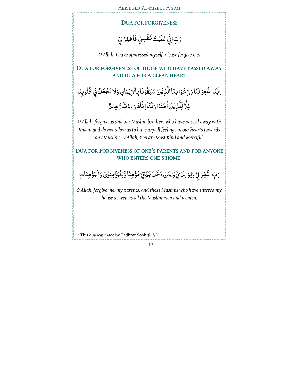Abridged Al-Hizbul A'zam

ar can can an ar an can can an an can can can can an an c

#### **DUA FOR FORGIVENESS**

رَبِّ اِنِّيۡ ظَلَمۡتُ نَفۡسِيۡ فَاغۡفِرۡ لِيۡ

*O Allah, I have oppressed myself, please forgive me.* 

### **DUA FOR FORGIVENESS OF THOSE WHO HAVE PASSED AWAY AND DUA FOR A CLEAN HEART**

رَبَّنَا اغْفِرْ لَنَا وَلِاخْوَا نِنَا الَّذِيْنَ سَبَقُوْنَا بِالْاِيْمَانِ وَلَا تَجْعَلُ فِيْ قُلُوُبِنَا <u>ٔ</u> ْ <u>ٔ</u> ْ ۼِلَّا لِّلَّذِيۡنَاٰمَنُوۡا رَبَّنَاۚ اِنَّكَ رَءُوۡ فُّ رَّحِیۡمًّ <u>ا</u><br>ا <u>ا</u>

*O Allah, forgive us and our Muslim brothers who have passed away with Imaan and do not allow us to have any ill feelings in our hearts towards any Muslims. O Allah, You are Most Kind and Merciful.* 

### **DUA FOR FORGIVENESS OF ONE'S PARENTS AND FOR ANYONE WHO ENTERS ONE'S HOME<sup>1</sup>**

#### رَبِّ اغْفِرْ بِيْ وَلِوَالِدَيَّ وَلِيَنْ دَخَلَ بَيْتِيَ مُؤْمِنًا وَّلِلْمُؤْمِنِيْنَ وَالْمُؤْمِنَاتِ <u>ّ</u>

*O Allah, forgive me, my parents, and those Muslims who have entered my house as well as all the Muslim men and women.*

<sup>1</sup> This dua was made by Hadhrat Nooh لَكَيْوَالِسَّلَامُ

l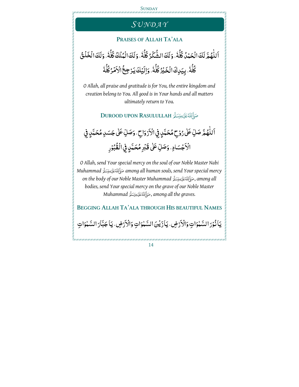#### **SUNDAY**

# *SU N D A Y*

#### **PRAISES OF ALLAH TA'ALA**

#### ؚ<br>ؙ اَللّٰهُمَّ لَكَ الْحَمْدُ كُلَّهُ ، وَلَكَ الشَّكْرُ كُلَّهُ ، وَلَكَ الْمُلْكُ كُلَّهُ ، وَلَكَ الْخَلْقُ  $\frac{1}{2}$  $\frac{1}{2}$  $\frac{1}{2}$ كُلُّهُ . بِيَدِكَ الْخَيْرُ كُلُّهُ . وَالَيْكَ يَرُجِعُ الْاَمْرُكُلُّهُ  $\ddot{\phantom{0}}$ ْ  $\frac{1}{2}$  $\ddot{\phantom{0}}$

*O Allah, all praise and gratitude is for You, the entire kingdom and creation belong to You. All good is in Your hands and all matters ultimately return to You.* 

**DUROOD UPON RASULULLAH** 

ٱللَّهُمَّ صَلِّ عَلَىٰ رُوۡحٍ مُحَمَّدٍ فِي الۡأَرۡوَاحِ ۚ، وَصَلِّ عَلَىٰ جَسَدِ مُحَمَّدٍ فِي ا<br>ا <u>ّ</u> ن<br>ا الْاَجْسَادِ، وَصَلِّ عَلَى قَبْرِ مُحَمَّدٍ فِي الْقُبْوُرِ <u>ٔ</u>

*O Allah, send Your special mercy on the soul of our Noble Master Nabi Muhammad among all human souls, send Your special mercy on the body of our Noble Master Muhammad* , *among all bodies, send Your special mercy on the grave of our Noble Master Muhammad* , *among all the graves.* 

**BEGGING ALLAH TA'ALA THROUGH HIS BEAUTIFUL NAMES**

يَانُوْرَ السَّمْوَاتِ وَالْأَرْضِ، يَأْزَيْنَ السَّمْوَاتِ وَالْأَرْضِ، يَأْجَبَّارَ السَّمْوَاتِ ٰ ْ ٰ ْ ٰ :<br>إ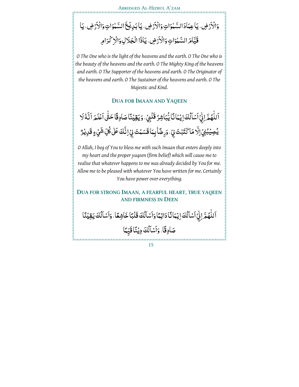#### وَالْأَرْضِ، يَاعِمَادَالسَّنْوَاتِ وَالْأَرْضِ، يَأْبَدِيْنَجَ السَّنْوَاتِ وَالْأَرْضِ، يَأْ ٰ <u>ب</u> <u>ّ</u> ٰ <u>بَ</u> <u>ّ</u> ْ قَيَّامَ السَّنْوَاتِ وَالْأَرْضِ، يَأْذَا الْجَلَالِ وَالْزَكْرَامِ ْ **ّ** Ĭ, ِ<br>په مو

*O The One who is the light of the heavens and the earth. O The One who is the beauty of the heavens and the earth. O The Mighty King of the heavens and earth. O The Supporter of the heavens and earth. O The Originator of the heavens and earth. O The Sustainer of the heavens and earth. O The Majestic and Kind.* 

#### **DUA FOR IMAAN AND YAQEEN**

ٰ ٱللَّهُمَّ اِنِّيۡۚ ٱَسۡلَٰٓلُكَۚ اِيۡـُمَاَنَّاۤ يُّبَاشِرُ قَلۡبِيۡ، وَيَقِيۡنَاۤ صَادِقًاۤ حَتَّى ٱعۡلَمَ ٱنَّـٰٓهُۚ لَا -<br>" بُ<br>ٌ ؚ<br>ؙ ٗ يُصِيۡبُنِيۡۚ اِلَّا مَاكَتَبۡتَ بِيۡ، وَرِضَٱبِمَاقَسَمۡتَ بِيۡاتَـٰٓكَ عَلٰى كُلِّ شَيۡءٍ قَـٰرِيۡرٌ ۢ بُم<br>ا

*O Allah, I beg of You to bless me with such Imaan that enters deeply into my heart and the proper yaqeen (firm belief) which will cause me to realise that whatever happens to me was already decided by You for me. Allow me to be pleased with whatever You have written for me. Certainly You have power over everything.* 

#### **DUA FOR STRONG IMAAN, A FEARFUL HEART, TRUE YAQEEN AND FIRMNESS IN DEEN**

اَللّهُمَّ لِيُّ اَسْاَلُكَ إِيْمَانًا دَائِمًا وَاَسْاَلُكَ قَلْبًا خَاشِعًا، وَاَسْاَلُكَ يَقِيْنًا ؚ<br>ؙ ؚ<br>پ ؚ<br>پ ؚ<br>پ صَادِقًا. وَأَسْأَلُكَ دِيْنًا قَيِّمًا ْ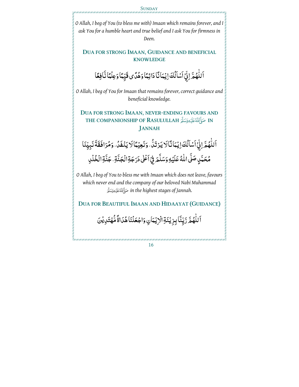

*O Allah, I beg of You (to bless me with) Imaan which remains forever, and I ask You for a humble heart and true belief and I ask You for firmness in Deen.* 

## **DUA FOR STRONG IMAAN, GUIDANCE AND BENEFICIAL KNOWLEDGE**

اَللَّهُمَّ اِنِّيۡ اَسۡلَٰكَ اِيۡمَانَٓاۚ دَائِمًاۚ وَهُدَّى قَيِّمَاۚ وَعِلۡمًا نَّافِعًا ْ ٰ

*O Allah, I beg of You for Imaan that remains forever, correct guidance and beneficial knowledge.* 

**DUA FOR STRONG IMAAN, NEVER-ENDING FAVOURS AND THE COMPANIONSHIP OF RASULULLAH IN JANNAH**

ٱللَّهُمَّ اِنِّيۡۚ ٱَشَاَلُكَ اِيۡمَانَّالَا يَرۡ تَلُّ، وَنَعِيۡمَالَا يَنۡفَلُ، وَمُرَافَقَةَ نَبِيِّنَا بُ<br>ٌ ؚ<br>ؙ ِ<br>ٌ :<br>ا مُحَمَّدٍ صَلَّى اللّٰهُ عَلَيۡهِ وَسَلَّمَ فِيۡۚ ٱعۡلٰىٰ دَرَجَةِ الۡجَنَّةِ، جَنَّةِ الۡخُلۡلِ ا<br>ا ڵ ْ ُ<br>ٌ

*O Allah, I beg of You to bless me with Imaan which does not leave, favours which never end and the company of our beloved Nabi Muhammad in the highest stages of Jannah.* 

**DUA FOR BEAUTIFUL IMAAN AND HIDAAYAT (GUIDANCE)** 

ٱللَّهُمَّ زَيِّنَّا بِزِيْنَةِ الْإِيْمَانِ وَاجْعَلْنَا هُدَاةً مُّهُتَدِيْنَ *ّ* ؚ<br>'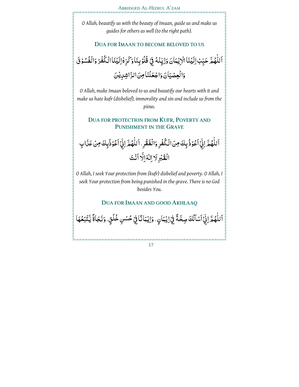*O Allah, beautify us with the beauty of Imaan, guide us and make us guides for others as well (to the right path).* 

#### **DUA FOR IMAAN TO BECOME BELOVED TO US**

اَللَّهُمَّ حَبِّبُ اِلَيۡنَاۤ الۡ(ِيۡمَانَ وَزَيِّنۡهُ فِيۡ قُلُوۡ بِنَاۚ وَكَرِّهۡ إِلَيۡنَاۤ الۡـُكۡفُرَ وَالۡفُسُوۡقَ <u>ا</u><br>ا <u>ٔ</u> ْ ا<br>ا وَالْعِصْيَانَ وَاجْعَلْنَا مِنَ الرَّاشِدِيْنَ

*O Allah, make Imaan beloved to us and beautify our hearts with it and make us hate kufr (disbelief), immorality and sin and include us from the pious.* 

**DUA FOR PROTECTION FROM KUFR, POVERTY AND PUNISHMENT IN THE GRAVE**

اَللّهُمَّ لِيُّ ٱعُوْذُ بِكَ مِنَ الْكُفُرِ وَالْفَقُرِ ، اَللّهُمَّ لِيُّ ٱعُوْذُبِكَ مِنْ عَذَابِ ٰ ْ ٰ <u>ٔ</u> الْقَبْرِلَا اِلْهَ اِلَّا اَنْتَ

*O Allah, I seek Your protection from (kufr) disbelief and poverty. O Allah, I seek Your protection from being punished in the grave. There is no God besides You.* 

#### **DUA FOR IMAAN AND GOOD AKHLAAQ**

ٱللَّهُمَّ اِنِّيۡ ٱسۡلَٰٓلُكَ صِحَّةً فِيۡۚ اِيۡـُمَانِ ۚ، وَاِيۡـُمَانَّاۚ فِيۡ حُسۡنِ خُلُقٍ ، وَنَـجَاةً يَّتۡبَعُهَا ْ ؚ<br>ؙ ْ ْ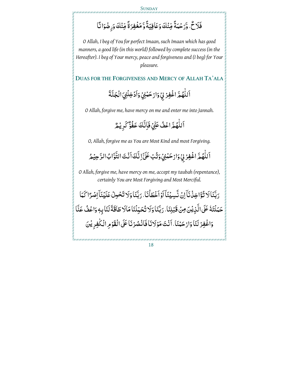#### **SUNDAY**

# فَلَاحٌ، وَّرَحْمَةً مِّنْكَ وَعَافِيَةً وَّ مَغْفِرَةً مِّنْكَ وَرِضْوَا نَّا

*O Allah, I beg of You for perfect Imaan, such Imaan which has good manners, a good life (in this world) followed by complete success (in the Hereafter). I beg of Your mercy, peace and forgiveness and (I beg) for Your pleasure.* 

**DUAS FOR THE FORGIVENESS AND MERCY OF ALLAH TA'ALA**

اَللَّهُمَّ اغُفِرُ لِيُ وَارْحَنْنِيُ وَاَدۡخِلۡنِيَ الۡجَنَّةَ .<br>-ؚ<br>ؙ

*O Allah, forgive me, have mercy on me and enter me into Jannah.* 

اَللَّهُمَّ اعۡفُ عَنِّيۡ فَاِنَّكَ عَفُوٌّ كَرِيۡمُّ ؚ<br>ؙ ؘ

*O, Allah, forgive me as You are Most Kind and most Forgiving.* 

ٱللَّهُمَّ اغۡفِرۡ بِيۡٓ وَارۡحَمۡنِيۡ وَتُٰبۡ عَلَىٰٓ اِنَّكَ اَنۡتَ التَّوَّابُ الرَّحِیۡمُ .<br>-.<br>-ة<br>د

*O Allah, forgive me, have mercy on me, accept my taubah (repentance), certainly You are Most Forgiving and Most Merciful.* 

رَبَّنَا لَا تُؤَاخِذُنَآ اِنُ نَّسِيُنَآ اَوۡ اَخۡطَأۡنَا، رَبَّنَا وَلَا تَحۡلِنُ عَلَيۡنَآۚ اِصۡرًا کَمَا :<br>ا حَمَلْتَهُ عَلَى الَّذِيْنَ مِنْ قَبْلِنَا، رَبَّنَا وَلَا تُحَبِّلُنَا مَالَا طَاقَةَ لَنَا بِهِ وَاعْفُ عَنَّا  $\frac{1}{2}$ ْ َن ُصر َلاَنا فَا ْن َْنا، اَ ْن َت َ مو ْ َحم ار َ َنا و لَ ا ْغِفر َ ْ َن و ي ِ ْ ِم الْ ٰلجِفر ا ََ7> َ الْقوْ :<br>إ ْ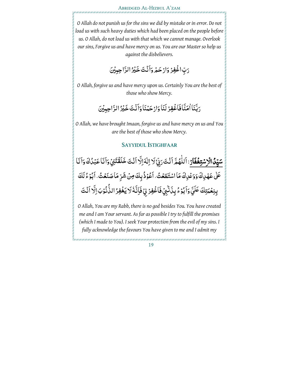*O Allah do not punish us for the sins we did by mistake or in error. Do not load us with such heavy duties which had been placed on the people before us. O Allah, do not load us with that which we cannot manage. Overlook our sins, Forgive us and have mercy on us. You are our Master so help us against the disbelievers.* 

> َرَبِّ اغْفِرُ وَارْحَمْ وَأَنْتَ خَيْرُ الرَّاحِبِيْنَ ْ

*O Allah, forgive us and have mercy upon us. Certainly You are the best of those who show Mercy.* 

> <sub>دَ</sub>بَّنَا ٰاٰمَنَّا فَاَغْفِرْ لَنَا وَارْحَمْنَا وَاَنْتَ خَيْرُ الرَّاحِبِيْنَ ْ

*O Allah, we have brought Imaan, forgive us and have mercy on us and You are the best of those who show Mercy.* 

#### **SAYYIDUL ISTIGHFAAR**

سَ<mark>يِّدُ الْاِسْتِغْفَارُ</mark>: اَللَّهُمَّ اَنْتَ <sub>ك</sub>َيِّةٍ لَا اِلٰهَ اِلَّا اَنْتَ خَلَقْتَنِيُّ وَاَنَا عَبْدُكَ وَاَنَا .<br>-<u>ْ</u> ؚ<br>' **ٔ** عَلَىٰ عَهْدِكَ وَوَعْدِكَ مَا اسْتَطَعْتُ، أَعْوُذُ بِكَ مِنْ شَرِّ مَا صَنَعْتُ، أَبُوْءُ لَكَ <u>ٔ</u> <u>ٔ</u> بِنِعۡمَتِكَ عَلَيَّ وَٱبۡوۡءُ بِذَنٰۡٓئِيۡ فَٱغۡفِرۡ لِيۡ فَاِنَّهُۢ لَا يَغۡفِرُ الذُّنُوُبَ اِلَّا اَنۡتَ  $\frac{1}{2}$ ۢ

*O Allah, You are my Rabb, there is no god besides You. You have created me and I am Your servant. As far as possible I try to fulfill the promises (which I made to You). I seek Your protection from the evil of my sins. I fully acknowledge the favours You have given to me and I admit my*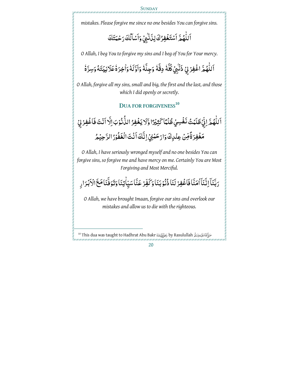*mistakes. Please forgive me since no one besides You can forgive sins.* 

#### اَللَّهُمَّ اَسۡتَغۡفِرُكَ لِذَٰٓنَٰىٖىۡ وَاَسۡاَلُٰكَ رَحۡمَتَكَ ؚ<br>ؙ ر<br>پا ۢ

*O Allah, I beg You to forgive my sins and I beg of You for Your mercy.* 

#### اَللَّهُمَّ اغْفِرْ لِيُ ذَنَّبِيُ كُلَّهُ دِقَّهُ وَجِلَّهُ وَاوَّلَهُ وَاخِرَةُ عَلَانِيَتَهُ وَسِرَّةُ ؚ<br>ؙ ٗ ٗ  $\frac{1}{2}$  $\frac{1}{2}$ ٗ ֠֠֡֝

*O Allah, forgive all my sins, small and big, the first and the last, and those which I did openly or secretly.* 

# **DUA FOR FORGIVENESS<sup>10</sup>**

اَللّٰهُمَّ اِنِّيۡ ظَلَمۡتُ نَفۡسِيۡ ظُلۡمًا كَثِيۡرًا وَّلَا يَغۡفِرُ الذُّنُوۡبَ اِلَّا اَنۡتَ فَاغۡفِرۡ لِيۡ ٰ مَغْفِرَةً مِّنْ عِنْدِكَ وَارْحَمْنِيُ اِنَّكَ اَنْتَ الْغَفُّوْرُ الرَّحِيْمُ ْ ْ

*O Allah, I have seriously wronged myself and no one besides You can forgive sins, so forgive me and have mercy on me. Certainly You are Most Forgiving and Most Merciful.* 

#### رَبَّنَآ اِنَّنَآ اٰمَنَّا فَاغْفِرُ لَنَا ذُٰنُوْبَنَا وَكَفِّرُ عَنَّا سَيِّاٰتِنَا وَتَوَفَّنَا مَعَ الْاَبْرَارِ  $\begin{array}{c} \begin{array}{c} \hline \end{array} \\ \hline \end{array}$ <u>ٔ</u> ْ

*O Allah, we have brought Imaan, forgive our sins and overlook our mistakes and allow us to die with the righteous.* 

l

<sup>&</sup>lt;sup>10</sup> This dua was taught to Hadhrat Abu Bakr دَخِوَاللَّهُ by Rasulullah أَاللَّهُ عَلَيْهِ وَسَلَّةِ by Rasulullah

<sup>20</sup>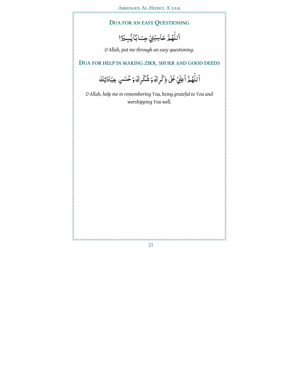# **DUA FOR AN EASY QUESTIONING**

اَللَّهُمَّ حَاسِبُنِيُ حِسَابًا يَسِبُرًا ا<br>ا

*O Allah, put me through an easy questioning.* 

# **DUA FOR HELP IN MAKING ZIKR, SHUKR AND GOOD DEEDS**

اَللّهُمَّ اَعِنِّيُ عَلَى ذِكْرِكَ وَشُكْرِكَ وَحُسُنِ عِبَادَتِكَ ؚ<br>'

*O Allah, help me in remembering You, being grateful to You and worshipping You well.*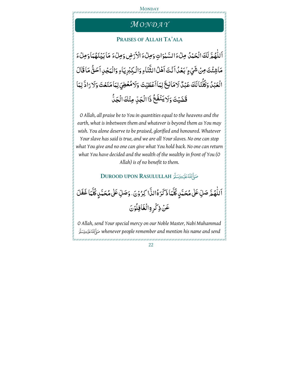#### **MONDAY**

# *MO N D A Y*

#### **PRAISES OF ALLAH TA'ALA**

اَللَّهُمَّ لَكَ الْحَمْدُ مِلْءَ السَّمْوَاتِ وَمِلْءَ الْأَرْضِ وَمِلْءَ مَا بَيُنَهُمَا وَمِلْءَ ؚ<br>ؙ **ّ** ،<br>با <u>ّ</u> مَاشِئْتَ مِنْ شَيۡءٍ ٰ بَعۡدُ اَنۡتَ اَهۡلُ الثَّنَاءِ وَالۡكِبۡرِيَاءِ وَالۡمَجۡلِااَحَقُّ مَا قَالَ الْعَبْدُ وَكُلَّنَالَكَ عَبْدٌ لَامَانِعَ لِمَاأَعْطَيْتَ وَلَامُعْطِيَ لِمَامَنَعْتَ وَلَا رَادَّ لِمَا ْ قَضَيْتَ وَلَا يَنْفَعُ ذَا الْجَلِّ مِنْكَ الْجَلَّ

*O Allah, all praise be to You in quantities equal to the heavens and the earth, what is inbetween them and whatever is beyond them as You may wish. You alone deserve to be praised, glorified and honoured. Whatever Your slave has said is true, and we are all Your slaves. No one can stop what You give and no one can give what You hold back. No one can return what You have decided and the wealth of the wealthy in front of You (O Allah) is of no benefit to them.* 

# **DUROOD UPON RASULULLAH**

اَللَّهُمَّ صَلِّ عَلٰى مُحَمَّدٍ كُلَّمَا ذَكَرَهُْالذَّا كِرُوْنَ، وَصَلِّ عَلٰى مُحَمَّدٍ كُلَّمَا غَفَلَ ٰ عَنْ ذِكْرِةِالْغَافِلُوُنَ

*O Allah, send Your special mercy on our Noble Maste r, Nabi Muhammad whenever people remember and mention his name and send*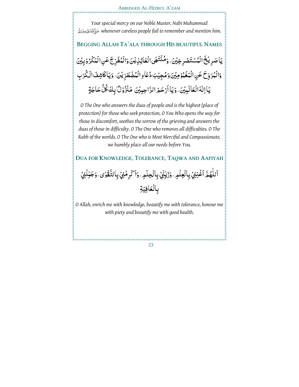*whenever careless people fail to remember and mention him. Your special mercy on our Noble Master, Nabi Muhammad* 

**BEGGING ALLAH TA'ALA THROUGH HIS BEAUTIFUL NAMES** ٟيَاصَرِ يُخَ الْمُسْتَصْرِ خِيْنَ، وَمُنْتَهَى الْعَائِزِيْنَ وَالْمُفَرِّجَ عَنِ الْمَكْرُوْبِيْنَ ِّ :<br>ا وَالْمُرَوِّحَ عَنِ الْمَغْمُوْمِيْنَ وَمُجِيْبَ دُعَاءِ الْمُضْطَرِّيْنَ. وَيَاكَاشِفَ الْكُرَبِ ِّ <u>ٔ</u> ِّ يَا اِلْهَالُعَالَمِيْنَ، وَيَا اَرْحَمَ الرَّاحِبِيْنَ مَنْزُوْلٌّ بِكَ كُلُّ حَاجَةٍ :<br>ا

*O The One who answers the duas of people and is the highest (place of protection) for those who seek protection, O You Who opens the way for those in discomfort, soothes the sorrow of the grieving and answers the duas of those in difficulty. O The One who removes all difficulties. O The Rabb of the worlds. O The One who is Most Merciful and Compassionate, we humbly place all our needs before You.* 

**DUA FOR KNOWLEDGE, TOLERANCE, TAQWA AND AAFIYAH**

### اَللَّهُمَّ اَغْنِنِيْ بِالْعِلْمِ. وَزَيِّتِيْ بِالْحِلْمِ. وَاَكْرِمْنِيُ بِالتَّقْوٰى. وَجَبِّلْنِيُ ٰ ؚ<br>ا بِالْعَافِيَةِ

*O Allah, enrich me with knowledge, beautify me with tolerance, honour me with piety and beautify me with good health.*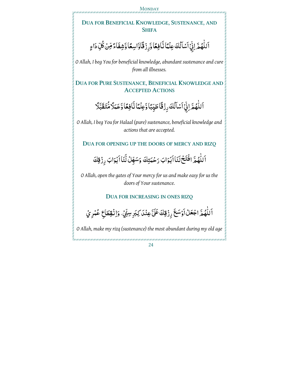**MONDAY** 

# **DUA FOR BENEFICIAL KNOWLEDGE, SUSTENANCE, AND SHIFA**

#### اَللَّهُمَّ اِنِّيۡ اَسۡلَٰكَ عِلۡمًا نَّافِعًا وَّرِزۡ قَاۤوَاسِعًا وَشِفَاءً مِّنۡ كُلِّ دَاءِ ر<br>پا ٰ

*O Allah, I beg You for beneficial knowledge, abundant sustenance and cure from all illnesses.* 

**DUA FOR PURE SUSTENANCE, BENEFICIAL KNOWLEDGE AND ACCEPTED ACTIONS**

> اَللَّهُمَّ اِنِّيۡ اَسۡاَلُكَ رِزۡقَاۤ طَيِّبًا وَّعِلۡمَّا نَّافِعًا وَّعَمَلَاۡ مُّتَقَبَّلَا ْ ا<br>ا

*O Allah, I beg You for Halaal (pure) sustenance, beneficial knowledge and actions that are accepted.* 

**DUA FOR OPENING UP THE DOORS OF MERCY AND RIZQ**

اَللّٰهُمَّ افۡتَحۡلَنَاۚ اَبۡوَابَ رَحۡمَتِكَ وَسَهِّلۡ لَّنَاۚ اَبۡوَابَ رِزۡقِكَ ؚ<br>'

*O Allah, open the gates of Your mercy for us and make easy for us the doors of Your sustenance.* 

**DUA FOR INCREASING IN ONES RIZQ**

ٰ ٱللَّهُمَّ اجْعَلُ أَوْسَعَ رِزْقِكَ عَلَّ عِنْدَ كِبَرِ سِنِّيْ، وَإِنْقِطَاعِ عُمْرِيُ <u>ا</u><br>ا ْ

*O Allah, make my rizq (sustenance) the most abundant during my old age*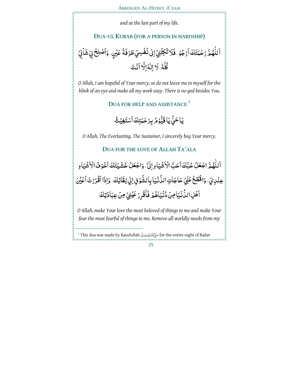*and at the last part of my life.* 

#### **DUA-UL KURAB (FOR A PERSON IN HARDSHIP)**

ٱللَّهُمَّ رَحۡمَتَكَ اَرۡجُوۡ، فَلَا تَكِلۡنِيۡۚ اِلٰى نَفۡسِيۡ طَرۡفَةَ عَيۡنٍ، وَاَصۡلِحۡ لِيۡ شَاۡنِيۡۚ <u>ا</u><br>ا ْ كُلَّهُ، لَا اِلٰهَ اِلَّا اَنۡتَ  $\ddot{\phantom{a}}$ 

*O Allah, I am hopeful of Your mercy, so do not leave me to myself for the blink of an eye and make all my work easy. There is no god besides You.* 

**DUA FOR HELP AND ASSISTANCE <sup>1</sup>**

يَاحَيُّ يَا قَيُّوۡمُ بِرَحۡمَتِكَ ٱسۡتَغِيۡثُ ر<br>م ֧֦֧֦֧֦֧֦֧֦֧֦֧֦֧֧֧֦֧֦֧֦֧֧֞֜֜֜<br>֧֢֧

*O Allah, The Everlasting, The Sustainer, I sincerely beg Your mercy.* 

### **DUA FOR THE LOVE OF ALLAH TA'ALA**

اَللَّهُمَّ اجْعَلُ حُبَّكَ أَحَبَّ الْأَشْيَاءِ إِلَىٰٓ، وَاجْعَلُ خَشْيَتَكَ أَخْوَفَ الْأَشْيَاءِ ا<br>ا عِنْدِيُّ، وَاقْطَعُ عَنِّيُ حَاجَاتِ الدُّنْيَا بِالشَّوْقِ اِلِي لِقَائِكَ، وَإِذَا ٱقْرَرْتَ ٱعْيُنَ ْ ٱَهۡلِ الدَّنۡيَٰٓاَ مِنۡ دُّنۡيَاۡهُمۡ فَأَقۡرِرۡ عَيۡنِيۡ مِنۡ عِبَادَتِكَ ْ

*O Allah, make Your love the most beloved of things to me and make Your fear the most fearful of things to me. Remove all worldly needs from my* 

l

 $^{\rm 1}$  This dua was made by Rasulullah صَزَّابَةَ a for the entire night of Badar صَرَابَةَ  $\,$  for the entire night of Badar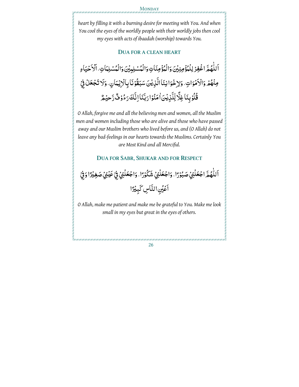#### **MONDAY**

*heart by filling it with a burning desire for meeting with You. And when You cool the eyes of the worldly people with their worldly jobs then cool my eyes with acts of ibaadah (worship) towards You.* 

#### **DUA FOR A CLEAN HEART**

اَللَّهُمَّ اغْفِرْ لِلْمُؤْمِنِيُّنَ وَالْمُؤْمِنَاتِ وَالْمُسْلِبِيْنَ وَالْمُسْلِمَاتِ، اَلَاَحْيَاءِ ْ ؚ<br>ؙ ْ مِنْهُمْ وَالْاَمْوَاتِ، وَلِاخْوَا نِنَا الَّذِيْنَ سَبَقُوْنَا بِالْزِيْمَانِ، وَلَا تَجْعَلُ فِيْ <u>ٔ</u> **قُلُوۡ بِنَاۚ غِلَّا لِّلَّذِيۡنَ ٰاٰمَنُوۡا رَبَّنَا اِنَّكَ رَءُوۡ فُّ رَّحیۡمُّ** <u>َ</u> :<br>ا :<br>ا

*O Allah, forgive me and all the believing men and women, all the Muslim men and women including those who are alive and those who have passed away and our Muslim brothers who lived before us, and (O Allah) do not leave any bad-feelings in our hearts towards the Muslims. Certainly You are Most Kind and all Merciful.* 

#### **DUA FOR SABR, SHUKAR AND FOR RESPECT**

اَللَّهُمَّ اجْعَلُنِيُ صَبُوْرًا، وَاجْعَلُنِيُ شَكُوْرًا، وَاجْعَلُنِيُ فِيْ عَيْنِيُ صَغِيْرًا وَفِيْ <u>ٔ</u> <u>ٔ</u> ٰ ْ ْ اَعۡيُنِ النَّاسِ كَبِيۡدًا

*O Allah, make me patient and make me be grateful to You. Make me look small in my eyes but great in the eyes of others.*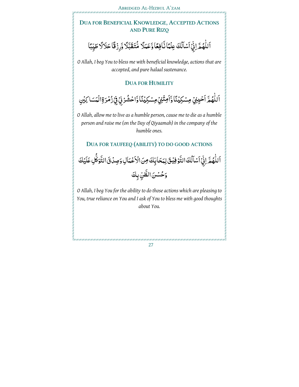# **DUA FOR BENEFICIAL KNOWLEDGE, ACCEPTED ACTIONS AND PURE RIZQ**

#### اَللَّهُمَّ اِنِّيۡ اَسۡاَلُكَ عِلۡمَٓاٰ نَّافِعًا وَّعَمَلًا مُّتَقَبَّلًا وَّرِزۡ قًّا حَلالًا طَيِّبًا بُ<br>ٌ ؚ<br>ؙ ֧֦֧֦֧֦֧֦֧֦֧֦֧֦֧֧֪֦֧֦֧֦֧֪֞֝֜֝֝<br>֧֝֝

*O Allah, I beg You to bless me with beneficial knowledge, actions that are accepted, and pure halaal sustenance.* 

#### **DUA FOR HUMILITY**

ٲڵڵؖۿؙمَّ ٲڂۘێؚؿۣ۬ مِسۡكِيۡنَٓٵۚ وَٲَمِثۡنِيۡۚ مِسۡكِيۡنَٓٵۚ وَّاۡحۡشُرۡنِيۡۚ فِيۡ زُمۡرَةِالٰۡٓعَسَا َكِيۡنِ ؚ<br>ؙ <u>ّ</u> ْ َّا

*O Allah, allow me to live as a humble person, cause me to die as a humble person and raise me (on the Day of Qiyaamah) in the company of the humble ones.* 

### **DUA FOR TAUFEEQ (ABILITY) TO DO GOOD ACTIONS**

اَللّٰهُمَّ اِنِّيۡ اَسۡمَآلُكَ التَّوۡ فِيۡتَىۡلِمَحَابِّكَ مِنَ الۡاَعۡمَاٰلِ وَصِدۡنَ التَّوَكُّلِ عَلَيۡكَ ٰ بُم<br>ا :<br>ا بُ<br>ُ ر<br>م وَحُسُنَ الظَّنِّ بِكَ

*O Allah, I beg You for the ability to do those actions which are pleasing to You, true reliance on You and I ask of You to bless me with good thoughts about You.*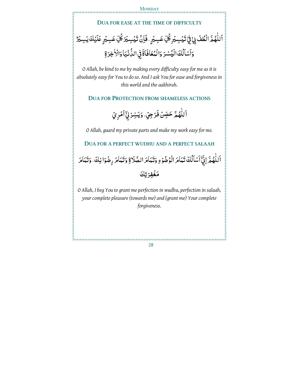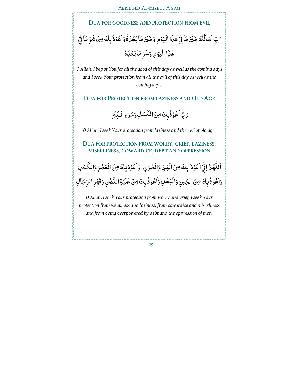

*O Allah, I beg of You for all the good of this day as well as the coming days and I seek Your protection from all the evil of this day as well as the coming days.* 

**DUA FOR PROTECTION FROM LAZINESS AND OLD AGE**

رَبِّ اَعْوُذُبِكَ مِنَ الكَسَلِ وَسُوْءِ الْكِبَرِ <u>ٔ</u> <u>ٔ</u>

*O Allah, I seek Your protection from laziness and the evil of old age.* 

**DUA FOR PROTECTION FROM WORRY, GRIEF, LAZINESS, MISERLINESS, COWARDICE, DEBT AND OPPRESSION**

اَللَّهُمَّ لِيِّ ٱعْوُذُ بِكَ مِنَ الْهَمِّ وَالْحُزْنِ، وَٱعْوُذُبِكَ مِنَ الْعَجْزِ وَالْكَسَلِ <u>ٔ</u> ؚ<br>' <u>ا</u><br>ا وَاَعُوُذُ بِكَ مِنَ الْجُبْنِ وَالْبُخْلِ وَاَعُوُذُ بِكَ مِنْ غَلَبَةِ الدَّيْنِ وَقَهْرِ الرِّجَالِ :<br>ا :<br>ا

*O Allah, I seek Your protection from worry and grief, I seek Your protection from weakness and laziness, from cowardice and miserliness and from being overpowered by debt and the oppression of men.*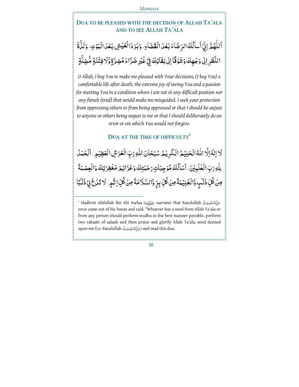# **DUA TO BE PLEASED WITH THE DECISION OF ALLAH TA'ALA AND TO SEE ALLAH TA'ALA**

#### ٱللَّهُمَّ اِنِّيۡۚ ٱسdَلُكَ الرِّضَاءَ بَعۡدَ الۡقَضَاءِ ، وَبَرۡ دَالۡعَیۡشِ بَعۡدَالۡهَوۡتِ ، وَلَذَّةَ ٰ <u>ٔ</u> النَّظَرِ اِلٰى وَجُهِكَ وَشَوْقًا اِلٰى لِقَائِكَ فِيْ غَيْرِ ضَرَّاءَ مُضِرَّةٍ وَّلَا فِتُنَةٍ مُّضِلَّةٍ :<br>ا .<br>-ْ .<br>-

*O Allah, I beg You to make me pleased with Your decisions, (I beg You) a comfortable life after death, the extreme joy of seeing You and a passion for meeting You in a condition where I am not in any difficult position nor any fitnah (trial) that would make me misguided. I seek your protection from oppressing others or from being oppressed or that I should be unjust to anyone or others being unjust to me or that I should deliberately do an error or sin which You would not forgive.* 

#### **DUA AT THE TIME OF DIFFICULTY<sup>1</sup>**

َلَا اِلْهَ اِلَّا اللَّهُ الْكَلِيْمُ الْكَرِيْمُ سُبْحَانَ اللَّهِ رَبِّ الْعَرْشِ الْعَظِيْمِ. اَلْحَمْدُ ا<br>ا ڵ .<br>ا ٮِلْٰهِ رَبِّ الْعٰلَمِيْنَ، اَسْأَلُكَ مُؤْجِبَاتِ رَحْمَتِكَ وَعَزَائِمَ مَغْفِرَتِكَ وَالْعِصْمَةَ ر<br>پا ٰ .<br>ا ڵ مِنۡ كُلِّ ذَٰنَٰبٍ وَّالۡغَـٰذِيۡمَةَۖ مِنۡ كُلِّ بِرِّ وَّالسَّلَامَةَ مِنۡ كُلِّ اِثۡهِمِ، لَا تَدَعۡۚ بِيۡ ذَنۡبًا ر<br>م ֠֠֡֜ ِّبَّ ة<br>ما ٍّ ֠֠֡֝

ׅ֠֠

<sup>1</sup> Hadhrat Abdullah ibn Abi Awfaa (يَجَوَّلِنَّةَ) narrates that Rasulullah صَوَّألَانَةَعَلَيْهِوَسَلَّرَ once came out of his house and said, "Whoever has a need from Allah Ta'ala or from any person should perform wudhu in the best manner possible, perform two rakaats of salaah and then praise and glorify Allah Ta'ala, send durood upon me (i.e. Rasulullah صَاَآَلِنَةَ عَلَيْهِ وَسَلَّرَ and read this dua.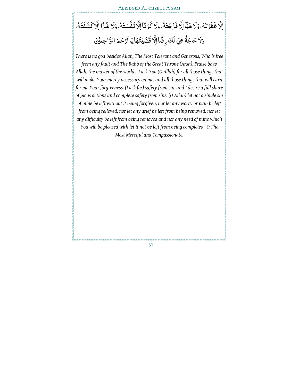#### اِلَّا غَفَرْتَهُ، وَلا هَمَّا اِلَّا فَرَّجْتَهُ، ولاكَرْبَا اِلَّا نَفَّسْتَهُ، وَلا ضُرَّا اِلَّا كَشَفْتَهُ،  $\ddot{\phantom{a}}$  $\frac{1}{2}$ ْ  $\frac{1}{2}$ ْ وَلا حَاجَةً هِيَ لَكَ رِضًا اِلَّا قَضَيۡتَهَاۚ يَاۚ اَرۡ حَمَ الرَّاحِمِيۡنَ <u>֡</u>

*There is no god besides Allah, The Most Tolerant and Generous, Who is free from any fault and The Rabb of the Great Throne (Arsh). Praise be to Allah, the master of the worlds. I ask You (O Allah) for all those things that will make Your mercy necessary on me, and all those things that will earn for me Your forgiveness. (I ask for) safety from sin, and I desire a full share of pious actions and complete safety from sins. (O Allah) let not a single sin of mine be left without it being forgiven, nor let any worry or pain be left from being relieved, nor let any grief be left from being removed, nor let any difficulty be left from being removed and nor any need of mine which You will be pleased with let it not be left from being completed. O The Most Merciful and Compassionate.*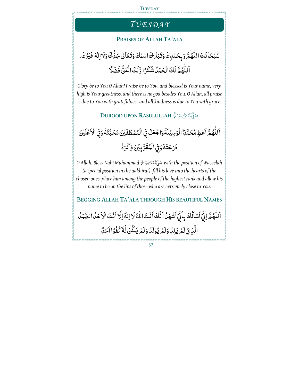# *TU E S D A Y*

#### **PRAISES OF ALLAH TA'ALA**

#### سُبُحَانَكَ اللَّهُمَّ وَبِحَمْدِكَ وَتَبَارَكَ اسْمُكَ وَتَعَالَىٰ جَدَّكَ وَلَاالِلَهَ غَيْرُكَ. .<br>ا ْ ٰ اً لِلَّهُمَّ لَكَ الْحَمْدُ شُكْرًا وَّلَكَ الْمَنُّ فَضْلًا ؚ<br>ؙ

*Glory be to You O Allah! Praise be to You, and blessed is Your name, very high is Your greatness, and there is no god besides You. O Allah, all praise is due to You with gratefulness and all kindness is due to You with grace.* 

**DUROOD UPON RASULULLAH** 

اَللَّهُمَّ اَعۡطِ مُحَمَّدَ ۨ الۡوَسِيۡلَةَۚ وَاجۡعَلۡ فِي الۡمُصۡطَفَيۡنَ مَحَبَّتَهُۢ وَفِي الۡاَعۡلَيۡنَ ٰ ر<br>م  $\ddot{\phantom{a}}$ دَرَجَتَهُ وَفِي الْمُقَرَّبِيْنَ ذِكْرَةُ  $\frac{1}{2}$ ٗ

*O Allah, Bless Nabi Muhammad with the position of Waseelah (a special position in the aakhirat), fill his love into the hearts of the chosen ones, place him among the people of the highest rank and allow his name to be on the lips of those who are extremely close to You.* 

**BEGGING ALLAH TA'ALA THROUGH HIS BEAUTIFUL NAMES** ٱللَّهُمَّ اِنِّيۡ ٱسۡلَٰكَ بِأَنِّيۡ ٱشۡهَدُا َنَّكَ ٱنۡتَ اللّٰهُ لَا اِلٰهَ اِلَّا ٱنۡتَ الۡاَحَدُ الصَّمَدُ بُ<br>ُ ٰ .<br>ا ؚ<br>ا الَّذِيۡ لَمۡ يَكِذۡ وَلَمۡ يُؤۡلَٰٓ وَلَمۡ يَكُنۡ لَّهُ كُفُوَّا اَحَدٌّ ٗ <u>ٔ</u>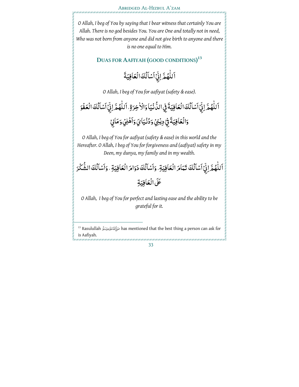*O Allah, I beg of You by saying that I bear witness that certainly You are Allah. There is no god besides You. You are One and totally not in need, Who was not born from anyone and did not give birth to anyone and there is no one equal to Him.*

**DUAS FOR AAFIYAH (GOOD CONDITIONS) 13**

اَللَّهُمَّ اِنِّيۡ اَسۡاَلُكَ الۡعَافِيَةَ ؚ<br>ؙ ؚ<br>پ

*O Allah, I beg of You for aafiyat (safety & ease).* 

اَللّهُمَّ اِنِّيۡ اَسۡمَآلُكَ الۡحَافِيَةَ فِي الدُّنۡيَاۚ وَالۡأَخِرَةِ، اَللّهُمَّ اِنِّيۡ اَسۡاَلُكَ الۡعَفۡوَ ْ ٰ ْ ؚ<br>' وَالُعَافِيَةَ فِيْ دِيْنِيُ وَدُنْيَايَ وَاَهْلِيُ وَمَالِيُ ْ

*O Allah, I beg of You for aafiyat (safety & ease) in this world and the Hereafter. O Allah, I beg of You for forgiveness and (aafiyat) safety in my Deen, my dunya, my family and in my wealth.* 

اَللَّهُمَّ اِنِّيۡ اَسۡاَلُكَ تَـٰٓعَامَ الۡعَاٰفِيَةِ، وَاَسۡاَلُكَ دَوَامَ الۡعَاٰفِيَةِ ، وَاَسۡاَلُكَ الشَّكۡرَ ْ ؚ<br>ؙ ْ ْ عَلَى الْعَافِيَةِ

*O Allah, I beg of You for perfect and lasting ease and the ability to be grateful for it.* 

<sup>13</sup> Rasulullah has mentioned that the best thing a person can ask for is Aafiyah.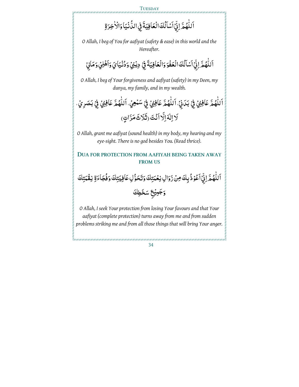**TUESDAY** 

اَللَّهُمَّ اِنِّيۡ ٱسۡلَٰكَ الۡعَافِيَةَ فِي الدُّنۡيَاۚ وَالۡاٰخِرَةِ ٍ<br>ا ر<br>پا

*O Allah, I beg of You for aafiyat (safety & ease) in this world and the Hereafter.* 

اَللّهُمَّ اِنِّيۡ ٱسۡلَٰكَ الۡعَفۡوَ وَالۡعَافِيَةَ فِيۡ دِيۡنِیۡ وَدُنۡيَايَ وَٱهۡلِيۡ وَمَالِيۡ ؚ<br>ؙ ْ ْ

*O Allah, I beg of Your forgiveness and aafiyat (safety) in my Deen, my dunya, my family, and in my wealth.* 

اَللَّهُمَّ عَافِنِيُ فِيْ بَدَنِيْ، اَللَّهُمَّ عَافِنِيُ فِيْ سَنْعِيُ، اَللَّهُمَّ عَافِنِيُ فِيْ بَصَرِيُ، ٰ ْ ؚ<br>ؙ ْ ٰ ْ َلَا اِلْهَ اِلَّا أَنْتَ (ثَلَاثَ مَرَّاتٍ) .<br>-

*O Allah, grant me aafiyat (sound health) in my body, my hearing and my eye-sight. There is no god besides You. (Read thrice).* 

#### **DUA FOR PROTECTION FROM AAFIYAH BEING TAKEN AWAY FROM US**

ٱللَّهُمَّ اِنِّيۡٱلۡفُوۡذُٰٓ بِكَ مِنۡ زَوَالِ نِعۡمَتِكَ وَتَحَوُّلِ عَافِيَتِكَ وَفُجَاءَةِ نِقۡمَتِكَ ٰ .<br>د <u>ّ</u> وَجَمِيْعِ سَخَطِكَ

*O Allah, I seek Your protection from losing Your favours and that Your aafiyat (complete protection) turns away from me and from sudden problems striking me and from all those things that will bring Your anger.*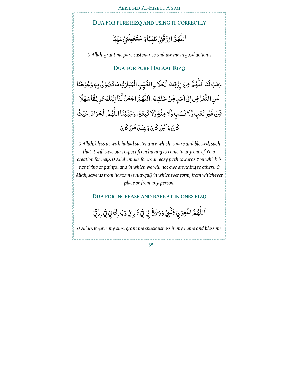## **DUA FOR PURE RIZQ AND USING IT CORRECTLY**

#### اَللَّهُمَّ ارْزُقُنِيُ طَيِّبًا وَاسْتَغْبِلْنِيُ طَيِّبًا <u>ّ</u> ٍ<br>ّ

*O Allah, grant me pure sustenance and use me in good actions.* 

## **DUA FOR PURE HALAAL RIZQ**

وَهَبُ لَنَا اَللَّهُمَّ مِنْ رِّزْقِكَ الْحَلَالِ الطَّيِّبِ الْمُبَارَكِ مَا تَصُوْنُ بِهٖ وُجُوْهَنَا ۖ ؚ<br>ؙ عَنِ التَّعَرُّضِ إِلٰى اَحَدٍ مِّنۡ خَلُقِكَ، اَللّٰهُمَّ اجۡعَلۡ لَّنَا اِلَيۡكَ طَرِيۡقَاۤ سَهۡلَا ِّ ؚ<br>ؙ ِّفِّنْ غَيْرِ تَعَبٍ وَّلَا نَصَبٍ وَّلَا مِنَّةٍ وَّلَا تَبِعَةٍ، وَجَنِّبُنَا اللَّهُمَّ الْحَرَامَ حَيْثُ ر<br>م ٰ كَانَ وَأَيْنَ كَانَ وَعِنْدَ مَنْ كَانَ

*O Allah, bless us with halaal sustenance which is pure and blessed, such that it will save our respect from having to come to any one of Your creation for help. O Allah, make for us an easy path towards You which is not tiring or painful and in which we will not owe anything to others. O Allah, save us from haraam (unlawful) in whichever form, from whichever place or from any person.* 

## **DUA FOR INCREASE AND BARKAT IN ONES RIZQ**

ٱللَّهُمَّ اغْفِرُ لِيُ ذَنَّٰہِيُٓ وَوَسِّعُۚ لِيُ فِيۡۚ دَارِ يُ وَبَارِكَۚ لِيُ فِيۡ رِزۡقِيۡۚ ׅ֠֠֡ ؚ<br>' ْ

*O Allah, forgive my sins, grant me spaciousness in my home and bless me*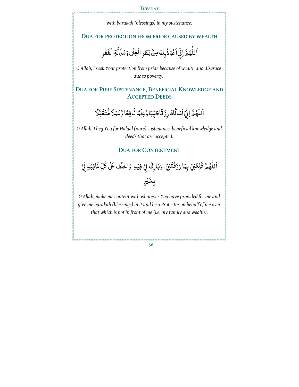## **TUESDAY**

*with barakah (blessings) in my sustenance.* 

## **DUA FOR PROTECTION FROM PRIDE CAUSED BY WEALTH**

ٰ اَللّٰهُمَّ اِنِّيۡاَعُوۡذُبِكَ مِنۡۢ بَطَرِ الۡغِنٰى وَمَذَلَّةِ الۡفَقۡرِ ֧֧֧֧֧֧֧֧֧֧֧֧֧֧֧֧֧֧֧֧֧֧֧֧֧֧֧֚֚֚֚֚֚֚֚֚֚֚֚֚֚֚֚֚֚֩֘֝֟֓֝֟֓֝֓֝֓֝֓֜֓֓֜֓֓֓֡֓֓֓֓֓֓֝֓֝֬֝֬֝֓֝֬֝֬֝֬֝֬֝֬֝֬ <u>ٔ</u>

*O Allah, I seek Your protection from pride because of wealth and disgrace due to poverty.*

**DUA FOR PURE SUSTENANCE, BENEFICIAL KNOWLEDGE AND ACCEPTED DEEDS**

> ر<br>پا اَللَّهُمَّ اِنِّيۡ اَسۡلَٰكَ رِزۡ قَاۤطَیِّبَٗاۖ وَّعِلۡمَّا نَّافِعٗا وَّعَمَلًا مُّتَقَبَّلًا ٰ ْ ٳٞ

*O Allah, I beg You for Halaal (pure) sustenance, beneficial knowledge and deeds that are accepted.* 

## **DUA FOR CONTENTMENT**

اَللّهُمَّ قَنِّعُنِيُ بِمَا رَزَقُتَنِيُّ، وَبَارِكْ لِيُ فِيُهِ، وَاخْلُفُ عَلَى كُلِّ غَائِبَةٍ لِّيُّ ٰ ِ<br>مُ بِخَيْرٍ

*O Allah, make me content with whatever You have provided for me and give me barakah (blessings) in it and be a Protector on behalf of me over that which is not in front of me (i.e. my family and wealth).*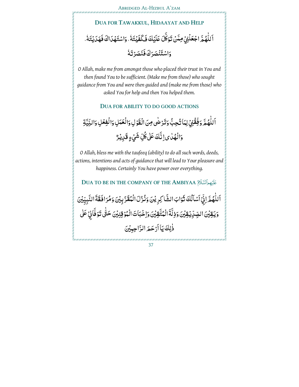## **DUA FOR TAWAKKUL, HIDAAYAT AND HELP** اَ للَّهُمَّ اجْعَلْنِيُ مِمَّنُ تَوَكَّلَ عَلَيْكَ فَكَفَيْتَهُ ، وَاسْتَهْدَاكَ فَهَدَيْتَهُ ، ٍ<br>ا  $\ddot{\phantom{0}}$  $\frac{1}{2}$ يہ<br>ا وَاسْتَنۡصَرَكَ**ۖ فَ**نَصَرۡ تَـَهُ ْ

*O Allah, make me from amongst those who placed their trust in You and then found You to be sufficient. (Make me from those) who sought guidance from You and were then guided and (make me from those) who asked You for help and then You helped them.* 

## **DUA FOR ABILITY TO DO GOOD ACTIONS**

ٱللَّهُمَّ وَفِّقُوۡيُ لِمَا تُحِبُّ وَتَرۡ ضَٰى مِنَ الۡقَوۡلِ وَالۡعَمَلِ وَالۡفِعۡلِ وَالنِّيَّةِ ؚ<br>ؙ <u>ٔ</u> ٰ ِ<br>ا ْ ֧֦֧֦֧֦֧֦֧֦֧֦֧֦֧֧֧֦֧֦֧֦֧֧֞֜֜֜<br>֧֢֧ وَالْهُلْ يَ إِنَّكَ عَلَىٰ كُلِّ شَيۡءٍ قَدِيۡهِمْ

*O Allah, bless me with the taufeeq (ability) to do all such words, deeds, actions, intentions and acts of guidance that will lead to Your pleasure and happiness. Certainly You have power over everything.* 

**DUA TO BE IN THE COMPANY OF THE AMBIYAA** 

اَللَّهُمَّ اِنِّيۡ اَسۡمَاۡلُكَ ثَوَابَ الشَّاكِرِ یۡنَ وَنُّزُلَ الۡمُقَرَّ بِیۡنَ وَمُرَافَقَةَ النَّبِیِّیۡنَ ٰ بُ<br>⊌ <u>ٔ</u> وَيَقِيْنَ الصِّرِّيْقِيِّنَ وَذِلَّةَ الْمُتَّقِيْنَ وَاِخْبَاتَ الْمُوْقِنِيْنَ حَتَّى تَوَفَّانِيُ عَلَى ٰ ذٰلِكَ يَا أَرْحَمَ الرَّاحِبِيْنَ<br>ّ ا<br>ا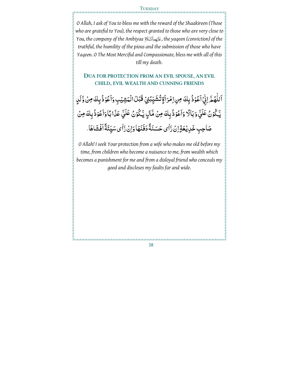## **TUESDAY**

*O Allah, I ask of You to bless me with the reward of the Shaakireen (Those who are grateful to You), the respect granted to those who are very close to You, the company of the Ambiyaa , the yaqeen (conviction) of the truthful, the humility of the pious and the submission of those who have Yaqeen. O The Most Merciful and Compassionate, bless me with all of this till my death*.

## **DUA FOR PROTECTION FROM AN EVIL SPOUSE, AN EVIL CHILD, EVIL WEALTH AND CUNNING FRIENDS**

ٱللَّهُمَّ اِنِّيۡ ٱعۡوۡذُ بِكَ مِنِ اِمۡرَ ٱلۡإِثۡتُشَيِّبُنِيۡ قَبۡلَ الۡمَشِيۡبِ وَٱعۡوۡذُ بِكَ مِنۡ وَّلَاٍ ٰ <u>ٔ</u> <u>ٔ</u> :<br>إ يَّكُوُنُ عَلَيَّ وَبَالًا وَاَعُوْذُبِكَ مِنْ مَّالٍ يَّكُوْنُ عَلَيَّ عَذَابًا وَاَعُوْذُبِكَ مِنْ <u>َ</u> :<br>ا :<br>ا صَاحِبِ خَدِيْعَةٍ اِنْ رَّاٰى حَسَنَةً دَفَنَهَا وَاِنْ رَّاٰى سَيِّئَةً أَفْشَاهَا. َّٰا

*O Allah! I seek Your protection from a wife who makes me old before my time, from children who become a nuisance to me, from wealth which becomes a punishment for me and from a disloyal friend who conceals my good and discloses my faults far and wide.*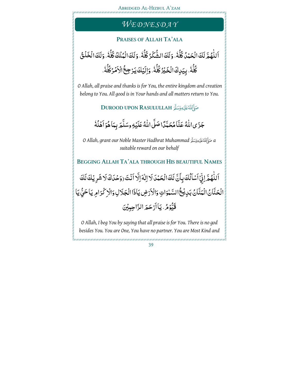# *WE D N E S D A Y*

## **PRAISES OF ALLAH TA'ALA**

اَ لِّهُمَّ لَكَ الْحَمْدُ كُلَّهُ ، وَلَكَ الشُّكْرُ كُلَّهُ ، وَلَكَ الْمُلْكُ كُلَّهُ ، وَلَكَ الْخَلْقُ ؚ<br>ؙ  $\frac{1}{2}$  $\frac{1}{2}$  $\frac{1}{2}$ كُلُّهُ . بِيَـٰدِكَ الْخَـٰيۡرُ كُلُّهُ . وَالَيۡكَ يَـۡرۡ جِحُۤ الۡاَمۡرُكُلُّهُ .  $\frac{1}{2}$ <u>ٔ</u> ٗ  $\ddot{\phantom{0}}$ 

 *O Allah, all praise and thanks is for You, the entire kingdom and creation belong to You. All good is in Your hands and all matters return to You.*

**DUROOD UPON RASULULLAH** 

جَزَى اللَّهُ عَنَّا مُحَمَّدًا صَلَّى اللَّهُ عَلَيۡهِ وسَلَّمَ بِبَاهُوَ اَهۡلُهُۢ ٰ Ĭ ا<br>ا ٗ

*O Allah, grant our Noble Master Hadhrat Muhammad a suitable reward on our behalf* 

**BEGGING ALLAH TA'ALA THROUGH HIS BEAUTIFUL NAMES**

اَللَّهُمَّ اِنِّيۡ اَسۡمَآلُكَ بِأَنَّ لَكَ الۡحَمۡدَ لَا اِلٰهَ اِلَّا اَنۡتَ (وَحۡدَاكَ لَا شَرِیۡكَ لَكَ بُ<br>ٌ ؚ<br>ؙ .<br>• الْحَنَّانُ الْمَنَّانُ بَدِيْخُ السَّمْوَاتِ وَالْأَرْضِ يَاذَا الْجَلَالِ وَالْزِكْرَامِ يَا حَيُّ يَا <u>ّ</u> **ّ** Ĭ, قَيُّؤُمُّ. يَا أَرْحَمَ الرَّاحِبِيْنَ ֧֦֧֦֧֦֧֦֧֦֧֦֧֦֧֦֧֦֧֦֧֦֧֦֧֦֧֦֧֞<br>֧֢֧֪֝

*O Allah, I beg You by saying that all praise is for You. There is no god besides You. You are One, You have no partner. You are Most Kind and*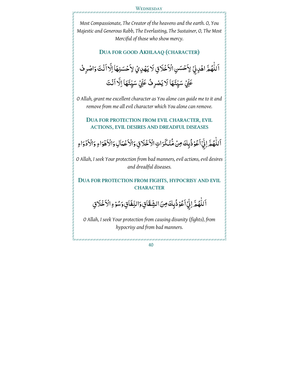

*Most Compassionate, The Creator of the heavens and the earth. O, You Majestic and Generous Rabb, The Everlasting, The Sustainer, O, The Most Merciful of those who show mercy.* 

## **DUA FOR GOOD AKHLAAQ (CHARACTER)**

# ٱللَّهُمَّ اهْدِنِيۡ لِاَحۡسَنِ الۡاَخۡلَاقِ لَا يَهۡدِيۡ لِاَحۡسَنِهَاۚ اِلَّا ٱنۡتَ وَاصۡرِ فُ ؚ<br>ؙ عَنِّيُ سَيِّئَهَا لَا يَصْرِفُ عَنِّيُ سَيِّئَهَا اِلَّا أَنْتَ

*O Allah, grant me excellent character as You alone can guide me to it and remove from me all evil character which You alone can remove.* 

**DUA FOR PROTECTION FROM EVIL CHARACTER, EVIL ACTIONS, EVIL DESIRES AND DREADFUL DISEASES**

اَللّهُمَّ لِذِّيۡ أَعُوۡذُبِكَ مِنۡ مُّنۡكَرَاتِ الۡاَخۡلَاقِ وَالۡاَعۡمَاٰلِ وَالۡاَهۡوَاءِ وَالۡاَذۡوَاءِ ا<br>ا ْ

*O Allah, I seek Your protection from bad manners, evil actions, evil desires and dreadful diseases.* 

## **DUA FOR PROTECTION FROM FIGHTS, HYPOCRISY AND EVIL CHARACTER**

ٱللَّهُمَّ لِذِّٓأَعُوۡذُٰبِكَ مِنَ الشِّقَاقِ وَالنِّفَاقِ وَسُوۡءِ الۡأَخۡلَاقِ ٰ <u>ٔ</u> <u>ٔ</u>

*O Allah, I seek Your protection from causing disunity (fights), from hypocrisy and from bad manners.*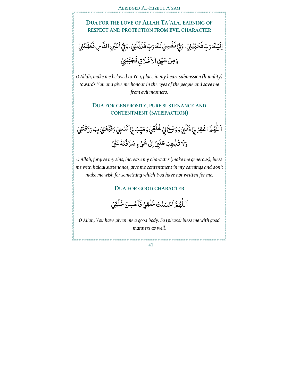

اَللَّهُمَّ اَحۡسَنۡتَ خَلَٰقِيۡ فَأَحۡسِنۡ خُلُقِيۡ ؚ<br>ؙ

*O Allah, You have given me a good body. So (please) bless me with good manners as well.*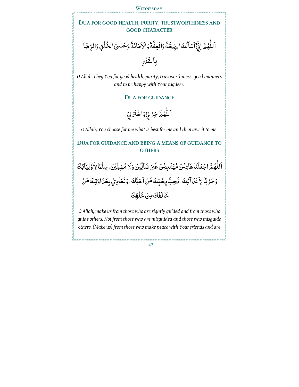## **DUA FOR GOOD HEALTH, PURITY, TRUSTWORTHINESS AND GOOD CHARACTER**

اَللَّهُمَّ اِنِّيۡٓ اَسۡاَلُكَ الصِّحَّةَ وَالۡعِفَّةَ وَالۡاَهَانَةَ وَحُسۡنَ الۡخُلُقِ وَالرِّضَا ْ ٰ بِالُقَدْرِ

*O Allah, I beg You for good health, purity, trustworthiness, good manners and to be happy with Your taqdeer.* 

## **DUA FOR GUIDANCE**

ٰ اَللَّهُمَّ خِرۡ لِيۡ وَاخۡتَرۡ لِيۡ

*O Allah, You choose for me what is best for me and then give it to me.* 

## **DUA FOR GUIDANCE AND BEING A MEANS OF GUIDANCE TO OTHERS**



*O Allah, make us from those who are rightly guided and from those who guide others. Not from those who are misguided and those who misguide others. (Make us) from those who make peace with Your friends and are*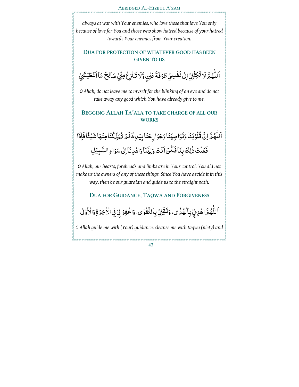



## **DUA FOR PROTECTION OF WHATEVER GOOD HAS BEEN GIVEN TO US**

ٱللَّهُمَّ لَا تَكِلُّنِيُ إِلَىٰ نَفُسِيُ طَرُفَةَ عَيْنٍ وَّلَا تَنُزِعُ مِنِّيُ صَالِحَ مَا ٱعْطَيْتَنِيُّ ْ ٰ بُم<br>ا

*O Allah, do not leave me to myself for the blinking of an eye and do not take away any good which You have already give to me.* 

## **BEGGING ALLAH TA'ALA TO TAKE CHARGE OF ALL OUR WORKS**

اَللَّهُمَّ اِنَّ قُلُوْبَنَا وَنَوَاصِيَنَا وَجَوَارِ حَنَا بِيَدِكَ لَمْ تُبَلِّكُنَا مِنْهَا شَيْئًا فَإِذَا <u>ا</u><br>ا ؚ<br>ؙ ْ فَعَلْتَ ذٰلِكَ بِنَافَكُنۡ أَنۡتَ وَلِيَّنَا وَاهۡلِانَاۚ إِلَىٰ سَوَاءِ السَّبِيۡلِ ؚ<br>֧֖֧֝֟֟֟֟֟֟֟֟֟֟֟֟֟֟֟֟֟֟֟֟<sup>֟</sup> ر<br>م <u>بَ</u>

*O Allah, our hearts, foreheads and limbs are in Your control. You did not make us the owners of any of these things. Since You have decide it in this way, then be our guardian and guide us to the straight path.* 

**DUA FOR GUIDANCE, TAQWA AND FORGIVENESS**

ٱللَّهُمَّ اهُدِنِيۡ بِالۡهُٰلٰى، وَنَقِّنِيۡ بِالتَّقۡوٰى، وَاغۡفِرۡ لِيۡ فِي الۡأَخِرَةِ وَالۡأَوۡلٰ ٰ <u>ا</u>

*O Allah guide me with (Your) guidance, cleanse me with taqwa (piety) and*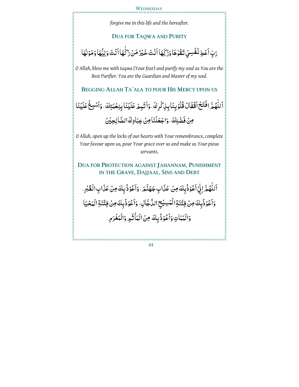## **WEDNESDAY**

*forgive me in this life and the hereafter.* 

## **DUA FOR TAQWA AND PURITY**

رَبِّ اَعْطِ نَفُسِيُ تَقُوٰهَا وَزَرِّهَا اَنْتَ خَيْرُ مَنْ زَكَّهَا اَنْتَ وَلِيُّهَا وَمَوْلَهَا ֧֧֝֟֓֝֟֓<u>֚</u> <u>ٔ</u> ِ<br>بہ ٰ

*O Allah, bless me with taqwa (Your fear) and purify my soul as You are the Best Purifier. You are the Guardian and Master of my soul.* 

**BEGGING ALLAH TA'ALA TO POUR HIS MERCY UPON US**

اَللَّهُمَّ افْتَحُ اَقْفَالَ قُلُوْ بِنَا بِزِكْرِكَ، وَاَثْبِمْ عَلَيْنَا بِنِعْمَتِكَ، وَاَسْبِغُ عَلَيْنَا ؚ<br>ؙ <u>ٔ</u> ْ مِنْ فَضْلِكَ، وَاجْعَلْنَا مِنْ عِبَادِكَ الصَّالِحِيْنَ

*O Allah, open up the locks of our hearts with Your remembrance, complete Your favour upon us, pour Your grace over us and make us Your pious servants.* 

**DUA FOR PROTECTION AGAINST JAHANNAM, PUNISHMENT IN THE GRAVE, DAJJAAL, SINS AND DEBT**

اَللَّهُمَّ لِنِّيۡ اَعُوۡذُٰبِكَ مِنۡ عَذَابِ جَهَنَّمَ ۢ وَاَعُوۡذُٰبِكَ مِنۡ عَذَابِ الۡقَبۡرِ ۚ ۚ <u>ٔ</u> ؚ<br>ؙ <u>ٔ</u> وَاَعُوْذُبِكَ مِنْ فِتْنَةِالْمَسِيْحِ الدَّجَالِ، وَاَعْوُذُبِكَ مِنْ فِتْنَةِ الْمَحْيَا <u>ٔ</u> مَعَ<br>م <u>ٔ</u> وَالْمَمَاتِ وَاَعُوْذُبِكَ مِنَ الْمَاٰثَمِ وَالْمَغْرَمِرِ <u>ٔ</u>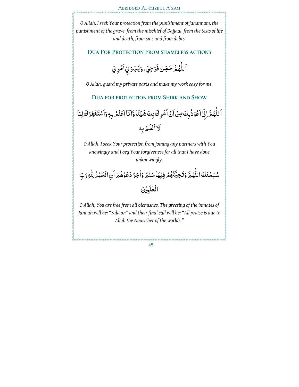*O Allah, I seek Your protection from the punishment of jahannam, the punishment of the grave, from the mischief of Dajjaal, from the tests of life and death, from sins and from debts.* 

## **DUA FOR PROTECTION FROM SHAMELESS ACTIONS**

اَللَّهُمَّ حَصِّنْ فَرْجِيُّ، وَيَسِّرُ لِيُ أَمُرِيُ ؚ<br>ؙ ْ

*O Allah, guard my private parts and make my work easy for me.* 

**DUA FOR PROTECTION FROM SHIRK AND SHOW**

اَللَّهُمَّ لِنِّيۡ اَعُوۡذُٰبِكَ مِنۡ اَنۡ اُشۡرِكَ بِكَ شَيۡئَآ وَّاَنَا اَعۡلَمُ بِهٖ وَاَسۡتَغۡفِرُكَ لِمَا ٰ <u>ٔ</u> ؚ<br>پ َلا أَعۡلَمُ بِهٖ

*O Allah, I seek Your protection from joining any partners with You knowingly and I beg Your forgiveness for all that I have done unknowingly.* 

سُبۡحٰنَكَ اللَّهُمَّ وَتَحِيَّتُهُمۡ فِيۡهَاۤ سَلٰمٌ وَاٰخِرُ دَعۡوٰهُمۡ أَنِ الۡحَمۡدُ لِلّٰهِ رَبِّ ٰ ٰ .<br>ا الْعٰلَمِيْنَ ٰ

*O Allah, You are free from all blemishes. The greeting of the inmates of*  Jannah will be: "Salaam" and their final call will be: "All praise is due to *Allah the Nourisher of the worlds."*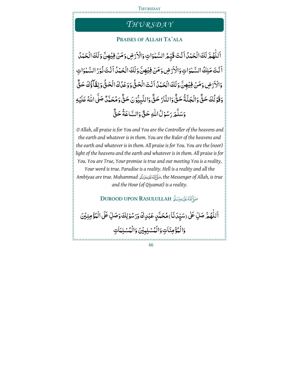## **THURSDAY**

# $\overline{THVRSDAY}$

## **PRAISES OF ALLAH TA'ALA**

اَ لَلْهُمَّ لَكَ الْحَمْدُ اَنْتَ قَيِّمُ السَّمْوَاتِ وَالْأَرْضِ وَمَنْ فِيُهِنَّ وَلَكَ الْحَمْدُ ْ **ّ** ا<br>ا اَنْتَ مَلِكُ السَّمْوَاتِ وَالْأَرْضِ وَمَنْ فِيُهِنَّ وَلَكَ الْحَمْدُ اَنْتَ نُوْرُ السَّمْوَاتِ ٰ <u>ٔ</u> .<br>-**ّ** وَالْأَرۡضِ وَمَنۡ فِيۡهِنَّ وَلَكَ الۡحَمۡدُ اَنۡتَ الۡحَقَّ وَوَعۡدُكَ الۡحَقَّ وَلِقَآۖ وَٰٓفَ حَقٌّ <u>ّ</u> ؚ<br>ؚ وَقَوۡلُكَ حَقٌّ وَالۡجَنَّةُ حَقٌّ وَالنَّارُ حَقٌّ وَالنَّبِيُّوۡنَ حَقٌّ وَمُحَمَّدٌ صَلَّى اللّٰهُ عَلَيۡهِ بُم<br>اب ا<br>ا Ï **بہ** ْ وَسَلَّمَ رَسُوۡلُ اللّٰهِ حَقٌّ وَالسَّاعَةُ حَقٌّ <u>ٔ</u>

 *O Allah, all praise is for You and You are the Controller of the heavens and the earth and whatever is in them. You are the Ruler of the heavens and the earth and whatever is in them. All praise is for You. You are the (noor) light of the heavens and the earth and whatever is in them. All praise is for You. You are True, Your promise is true and our meeting You is a reality,* 

*Your word is true. Paradise is a reality. Hell is a reality and all the Ambiyaa are true. Muhammad , the Messenger of Allah, is true and the Hour (of Qiyamat) is a reality.*

## **DUROOD UPON RASULULLAH**

اَللّهُمَّ صَلِّ عَلٰى (سَيِّدَنَا) مُحَمَّدٍ عَبْدِكَ وَرَسُوْلِكَ وَصَلِّ عَلَى الْمُؤْمِنِيُنَ <u>ٔ</u> ؚ<br>ؙ وَالْمُؤْمِنَاتِ وَالْمُسْلِبِيْنَ وَالْمُسْلِنِينَ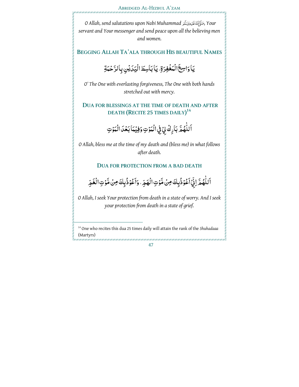*O Allah, send salutations upon Nabi Muhammad , Your servant and Your messenger and send peace upon all the believing men and women.*

**BEGGING ALLAH TA'ALA THROUGH HIS BEAUTIFUL NAMES**

يَاوَاسِعَ الْمَغْفِرَةِ، يَابَاسِطَ الْيَدَيْنِ بِالرَّحْمَةِ

*O' The One with everlasting forgiveness, The One with both hands stretched out with mercy.* 

## **DUA FOR BLESSINGS AT THE TIME OF DEATH AND AFTER DEATH (RECITE 25 TIMES DAILY) 14**

اَللَّهُمَّ بَارِكْ بِيُ فِي الْمَوْتِ وَفِيْمَا بَعْدَ الْمَوْتِ ٍ<br>ّ :<br>ا بُم<br>الم :<br>ا

*O Allah, bless me at the time of my death and (bless me) in what follows after death.* 

## **DUA FOR PROTECTION FROM A BAD DEATH**

اَللَّهُمَّ لِنِّيۡ اَعۡوُذُبِكَ مِنۡ مَّوۡتِ الۡهَمِّ. وَاَعۡوُذُبِكَ مِنۡ مَّوۡتِ الۡغَمِّ ا<br>ا <u>ا</u><br>ا <u>ا</u><br>ا <u>ا</u><br>ا <u>ٔ</u>

*O Allah, I seek Your protection from death in a state of worry. And I seek your protection from death in a state of grief.* 

<sup>14</sup> One who recites this dua 25 times daily will attain the rank of the *Shuhadaaa* (Martyrs)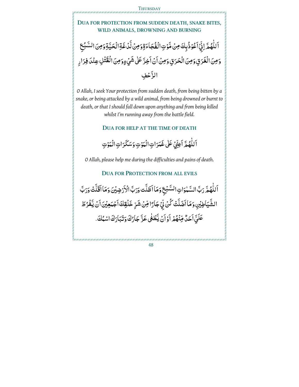**DUA FOR PROTECTION FROM SUDDEN DEATH, SNAKE BITES, WILD ANIMALS, DROWNING AND BURNING**

ٱللَّهُمَّ اِنِّيۡۚ ٱعۡوۡذُٰبِكَ مِنۡ مَّوۡتِ الۡفُجَاءَةِ وَمِنۡ لَّٰٓ ٰغَةِ الۡحَيَّةِ وَمِنَ السَّبُعِ ؚ<br>ؙ <u>ا</u><br>ا <u>ٔ</u> ِّبُّ وَمِنَ الْغَرَقِ وَمِنَ الْحَرَقِ وَمِنْ أَنْ أَخِرَّ عَلَى شَيْءٍ وَمِنَ الْقَنُلِ عِنْدَ فِرَارِ الزَّحْفِ

*O Allah, I seek Your protection from sudden death, from being bitten by a snake, or being attacked by a wild animal, from being drowned or burnt to death, or that I should fall down upon anything and from being killed whilst I'm running away from the battle field.* 

**DUA FOR HELP AT THE TIME OF DEATH**

اَللَّهُمَّ اَعِنِّيُ عَلَىٰ غَمَرَاتِ الْمَوْتِ وَسَكَرَاتِ الْمَوْتِ ٰ <u>ا</u><br>ا <u>ا</u><br>ا

*O Allah, please help me during the difficulties and pains of death.* 

## **DUA FOR PROTECTION FROM ALL EVILS**

ٱللَّهُمَّ رَبَّ السَّهْوَاتِ السَّبۡعِ وَمَاۤ اَظَلَّت وَرَبَّ الْاَرۡ ضِیۡنَ وَمَاۤ اَقَلَّتۡ وَرَبَّ ِّبُّ ٰ <u>بَ</u> ؚ<br>' <u>ّ</u> ْ الشَّيَاطِيُنِ وَمَا اَضَلَّتُ كُنۡ لِّيۡ جَارًا مِّنۡ شَرِّ خَلُقِكَ اَجۡبَعِیۡنَ اَنۡ يَّفۡرُ طَ ْ ْ ْ عَلَيَّ اَحَلَّ مِّنْهُمُ اَوۡ اَنۡ يَّطۡغُى عَزَّ جَارُكَ وَتَبَارَكَ اسْمُكَ ۖ. <u>ا</u><br>ا ْ **َ**ّ ٰ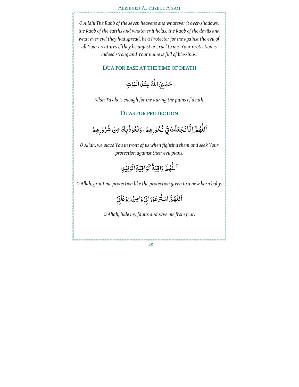## Abridged Al-Hizbul A'zam

*O Allah! The Rabb of the seven heavens and whatever it over-shadows, the Rabb of the earths and whatever it holds, the Rabb of the devils and what ever evil they had spread, be a Protector for me against the evil of all Your creatures if they be unjust or cruel to me. Your protection is indeed strong and Your name is full of blessings.* 

## **DUA FOR EASE AT THE TIME OF DEATH**

حَسۡبِيَ اللَّهُ عِنۡدَا الۡمَوۡتِ :<br>ا ا<br>ا

*Allah Ta'ala is enough for me during the pains of death.* 

## **DUAS FOR PROTECTION**

ْ ٱللَّهُمَّ اِنَّا َنَجۡعَلُكَ فِيۡ نُحُوۡرِهِمۡ، وَنَعُوۡذُبِكَ مِنۡ شُرُوۡرِهِمۡ ؚ<br>ؙ <u>ٔ</u> <u>ا</u><br>ا <u>ٔ</u>

*O Allah, we place You in front of us when fighting them and seek Your protection against their evil plans.* 

> اَللَّهُمَّ وَاقِيَةٌ كَوَاقِيَةِالْوَلِيُلِ ٰ

*O Allah, grant me protection like the protection given to a new born baby.* 

ْ ِ َ7اتي ْ و َ ْن ر ٰاِم َ و ْ ِ َاتي ر ْ ُترْ َعو ْ ُ ّمَ اس ه ٰ اَللّ

*O Allah, hide my faults and save me from fear.*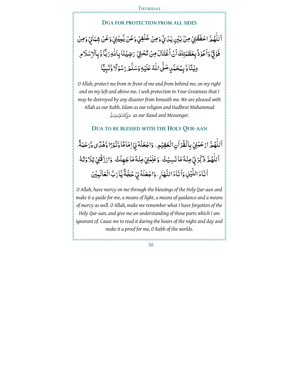## **DUA FOR PROTECTION FROM ALL SIDES**

֖֧֧֧֧֧֧֧֧֧֧֧֧֧֧֧֛֧֧֧֧֧֧֛֚֚֚֚֚֚֚֚֚֚֚֚֚֚֚֚֚֚֚֚֩֘֝֝֝֝֝֝֓֝֓֝֓֝֓֝֓֝֓֝֓֝֓֝֓֝֓֝֬֝֓֝֬֝֓֝֓֝֬֝֬֝֬֝֬֝ اَللَّهُمَّ احْفَظُنِيُ مِنْ بَيْنِ يَدَىِّ وَمِنْ خَلَٰفِيْ وَعَنْ يَّبِيْنِيُ وَعَنْ شِمَالِيُ وَمِنْ ٍ<br>ّ فَوُقِيۡ وَاَعُوۡذُ بِعَظَمَتِكَ اَنۡ اُغۡتَالَ مِنۡ تَحۡتِیۡ رَضِیۡنَا بِاللّٰهِ رَبَّا وَّبِالۡاِسۡلَامِرِ <u>َ</u> ڵ ا<br>ا ْ دِيۡنَّا وَّ بِمُحَمَّدٍ صَلَّى اللَّهُ عَلَيۡهِ وَسَلَّمَ رَسُوۡلًا وَّنَبِيًّا <u>ٔ</u> ِ<br>ٌ .<br>ا Ĩ

*O Allah, protect me from in front of me and from behind me, on my right and on my left and above me. I seek protection in Your Greatness that I may be destroyed by any disaster from beneath me. We are pleased with Allah as our Rabb, Islam as our religion and Hadhra t Muhammad as our Rasul and Messenger.* 

**DUA TO BE BLESSED WITH THE HOLY QUR-AAN**

اَللَّهُمَّ ارْحَمْنِيُ بِالْقُرْاٰنِ الْعَظِيْمِ. وَاجْعَلُهُ لِيُ اِمَامًا وَّنُوْرًا وَّهُدَّى وَّرَحْمَةً . ْ <u>ّ</u> ٍ<br>ّ :<br>إ ٱللَّهُمَّ ذَكِّرُ نِيۡ مِنۡهُ مَاۤ نَسِيۡتُ، وَعَلِّمۡنِيۡ مِنۡهُ مَاۤ جَهِلۡتُ، وَارۡرُقُنِيۡ تِلَاوَتَهُ ٍ<br>ّ ْ اْ نَاءَ اللَّيۡلِ وَٰاٰ نَاءَ النَّهَارِ ، وَاجْعَلۡهُۚ لِيۡ حُجَّةً يَّا رَبَّ الۡعَالَمِيۡنَ

*O Allah, have mercy on me through the blessings of the Holy Qur-aan and make it a guide for me, a means of light, a means of guidance and a means of mercy as well. O Allah, make me remember what I have forgotten of the Holy Qur-aan, and give me an understanding of those parts which I am ignorant of. Cause me to read it during the hours of the night and day and make it a proof for me, O Rabb of the worlds.*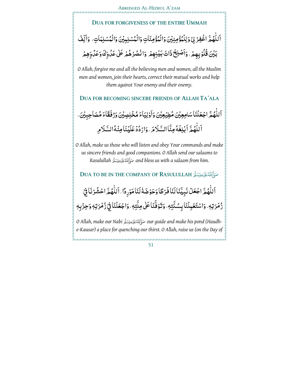

**DUA TO BE IN THE COMPANY OF RASULULLAH**  اَللَّهُمَّ اجْعَلُ نَبِيَّنَاكَنَافَرَطَّاوَحَوُضَهُۢ لَنَامَوۡرِدًا لِللَّهُمَّ احۡشُرۡنَافِيۡ ۖ ٍ<br>ّ :<br>إ  $\frac{1}{2}$ ْ :<br>ا ٰ زُمُرَتِهٖ، وَاسْتَعْمِلْنَا بِسُنَّتِهٖ، وَتَوَفَّنَاعَلٰى مِلَّتِهٖ، وَاجْعَلْنَا فِيۡ زُمۡرَتِهٖ وَحِزۡبِهٖ *O Allah, make our Nabi our guide and make his pond (Haudhe-Kausar) a place for quenching our thirst. O Allah, raise us (on the Day of*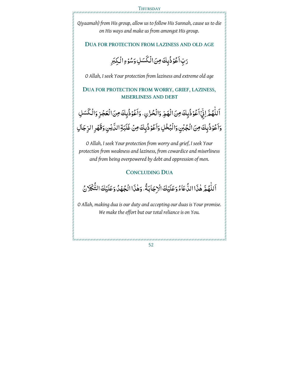*Qiyaamah) from His group, allow us to follow His Sunnah, cause us to die on His ways and make us from amongst His group.* 

## **DUA FOR PROTECTION FROM LAZINESS AND OLD AGE**

َ رَبِّ اَعْوُذُبِكَ مِنَ الْكُسَلِ وَسُوْءِ الْكِبَرِ <u>ٔ</u> <u>ٔ</u>

*O Allah, I seek Your protection from laziness and extreme old age* 

## **DUA FOR PROTECTION FROM WORRY, GRIEF, LAZINESS, MISERLINESS AND DEBT**

اَللّهُمَّ لِيُّ ٱعُوْذُبِكَ مِنَ الْهَمِّ وَالْحُزْنِ، وَٱعُوْذُبِكَ مِنَ الْعَجْزِ وَالْكَسَلِ ؚ<br>ؙ ْ ْ وَاَعُوُذُبِكَ مِنَ الْجُبْنِ وَالْبُخُلِ وَاَعُوُذُبِكَ مِنْ غَلَبَةِ الدَّيْنِ وَقَهُرِ الرِّجَالِ <u>ٔ</u> <u>ٔ</u>

*O Allah, I seek Your protection from worry and grief, I seek Your protection from weakness and laziness, from cowardice and miserliness and from being overpowered by debt and oppression of men.* 

## **CONCLUDING DUA**

## اَ للَّهُمَّ هٰذَا الدُّعَاءُ وَعَلَيْكَ الْإِجَابَةُ، وَهٰذَا الْجُهْدُ وَعَلَيْكَ التَّكْلَانُ ؚ<br>ؙ

*O Allah, making dua is our duty and accepting our duas is Your promise. We make the effort but our total reliance is on You.*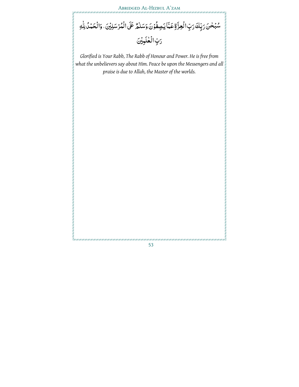Abridged Al-Hizbul A'zam

سُبۡحٰنَ رَبِّكَ رَبِّ الۡعِزَّةِ عَمَّاۤ يَصِفُوۡنَ وَسَلٰمٌ عَلَى الۡمُرۡسَلِيۡنَ، وَالۡحَمۡدُ لِلّٰهِ رَبِّ الْعُلَمِيْنَ ٰ

*Glorified is Your Rabb, The Rabb of Honour and Power. He is free from what the unbelievers say about Him. Peace be upon the Messengers and all praise is due to Allah, the Master of the worlds.*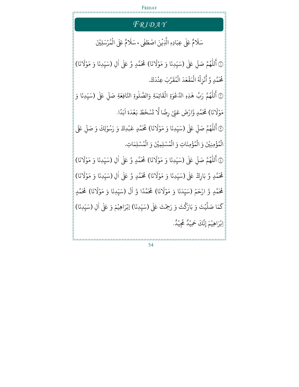#### FRIDAY *FR I D A Y* مٌ عَلٰى عِبَادِهٖ ً<br>آ سَلَامٌ عَلٰى عِبَادِم الَّذِيْنَ اصْطَفٰى ، سَلَامٌ عَلَى الْمُرْسَلِيْنَ ْ و<br>. ْ ر<br>آ ْيَنَ اصْطَفٰى ، سَلَا ْ بر<br>1 الَّذِيْنَ اصْطَفَى ، سَلَّامٌ عَلَى الْمُرْسَلِيْنَ ۞ أَللّٰهُمَّ صَلِّ بہ<br>آ ُ ر<br>آ ِ<br>ع أَللّٰهُمَّ صَلِّ عَلٰى (سَيِّدِنَا وَ مَوْلَانَا) ً<br>آ سَيِّدِنَا وَ مَوْلَانَا) مُحَمَّدٍ وَّ عَلٰى اٰلِ (سَيِّدِنَا وَ مَوْلَانَا) <u>ٔ</u> .<br>. ٰ ر<br>آ (سَيِّدِنَا وَ مَوْلَانَا) <mark>ِ</mark> **ٔ** ں<br>ب . رَّبَ عِنْدَكَ ْ  $\frac{1}{2}$ نْزِلْهُ الْمَقْعَدَ الْمُقَ و<br>م ْ <u>ٔ</u> ْ ْ <u>ٔ</u> مُحَمَّدٍ وَّ أَنْزِلْهُ الْمَقْعَدَ الْمُقَرَّبَ عِنْدَكَ. ۞ أَللَّهُمَّ رَبَّ هٰذِهِ الدَّعْوَةِ الْقَ للّٰهُمَّ رَبَّ هٰذِهِ الدَّعْوَةِ الْقَ ْ ْ ٰ و ر<br>1 ِ<br>ع أَللَّهُمَّ رَبَّ هٰذِهِ الدَّعْوَةِ الْقَائِمَةِ وَالصَّلٰوةِ النَّافِعَةِ صَلِّ عَلٰى (سَيِّدِنَا وَ بہ<br>آ ٰ .<br>. َا) ن َ مَوْلَانَا) مُحَمَّدٍ وَّارْضَ عَنِّيْ رِضًا لَّا تَسْخَطُ بَعْدَهْ ْ ْ <u>ّ</u> **ٔ**  $\tilde{\mathbf{r}}$  ت رِضًا لَّا تَسْخَطُ بَعْدَهٔ ر<br>آ هٔ اَبَدًا. ۞ أَللّٰهُمَّ صَلِّ ر<br>آ ُ ر<br>1 ِ<br>ع أَللّٰهُمَّ صَلِّ عَلٰى (سَيِّدِنَا وَ مَوْلَانَا) ر<br>1 (سَيِّدِنَا وَ مَوْلَانَا) مُحَمَّدٍ عَبْدِكَ وَ رَسُوْلِكَ وَ صَلِّ عَلَى ْ .<br>. ֦֧֟֟֟֟֟֟֟֟֟֟֟֟֟֟֡֬ ر<br>آ ْ و<br>. ْ الْمُؤْمِنِيْنَ وَ الْمُؤْمِنَاتِ وَ الْمُسْلِمِيْنَ وَ الْمُسْلِمَاتِ. **ٔ** و<br>م ْ ْ و<br>م ْ ْ و<br>م ْ **ٔ** و<br>م ۞ أَللّٰهُمَّ صَـ ُ ر<br>آ ءِ<br>۽ أَللّٰهُمَّ صَلِّ عَلٰى (سَيِّدِنَا وَ مَوْلَانَا) بہ<br>آ ً<br>آ (سَيِّدِنَا وَ مَوْلَانَا) مُحَمَّدٍ وَّ عَلٰى اٰلِ (سَيِّدِنَا وَ مَوْلَانَا) ْ س<br>م ٰ َ (سَيِّدِنَا وَ مَوْلَانَا) ً ٔ<br>: ں<br>س مُحَمَّدٍ وَّ بَارِكْ عَلٰى (سَيِّدِنَا وَ مَوْلَانَا) ً<br>آ (سَيِّدِنَا وَ مَوْلَانَا) مُحَمَّدٍ وَّ عَلٰى اٰلِ (سَيِّدِنَا وَ مَوْلَانَا) <u>ٔ</u> .<br>ب ٰ ر<br>1 (سَيِّدِنَا وَ مَوْلَا <u>ٔ</u> .<br>ب <u>ٔ</u> مُحَمَّدٍ وَّ ارْحَمْ (سَيِّدَنَا وَ مَوْلَانَا) ْ .<br>ب **ृ** ر<br>1 نَا وَ مَوْلَانَا) مُحَمَّدًا وَّ اْلَ <u>ٔ</u> ٰ ً<br>آ لَ (سَيِّدِنَا وَ مَوْلَانَا) ر<br>1 (سَيِّدِنَا وَ مَوْلَانَا) مُحَمَّدٍ <u>ٔ</u> .<br>ب :<br>: ا َ م ِ<br>ح كَمَا صَلَّيْتَ وَ بَارَكْتَ وَ رَحِمْتَ عَلٰى ٰ ْ ْ بر<br>آ صَلَّيْتَ وَ بَارَكْتَ وَ رَحِمْتَ عَلٰى (سَيِّدِنَا) إبْرَاهِيْمَ وَ عَلٰى اٰلِ (سَيِّدِنَا) ر<br>س ْ ْ ٰ ں<br>س اِبْرَاهِيْمَ إِنَّكَ حَمِيْدٌ مَّجِيْدٌ ْ ر<br>ه بْرَاهِيْمَ إِنَّكَ حَمِيْدٌ مَّجِيْدٌ. ْ ْ ْ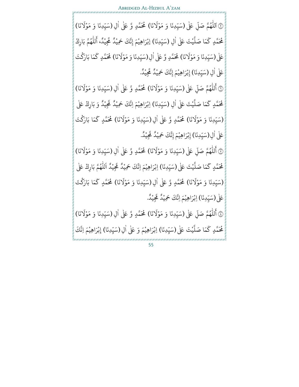۞ اَللّٰهُمَّ صَلِّ عَلَىٰ (سَيِّدِنَا وَ مَوْلَانَا) بہ<br>آ و ر<br>آ  $\begin{array}{c} \hline \end{array}$ ر<br>1 (سَيِّدِنَا وَ مَوْلَانَا) مُحَمَّدٍ وَّ عَلٰى اٰلِ (سَيِّدِنَا وَ مَوْلَانَا) ْ .<br>. .<br>ا ر<br>1 (سَيِّدِنَا وَ مَوْلَا <u>ٔ</u> .<br>ب ا َ م ِ<br>ح مُحَمَّدٍ كَمَا صَلَّيْتَ عَلٰى ْ ہے<br>آ صَلَّيْتَ عَلٰى اٰلِ (سَيِّدِنَا) إبْرَاهِيْمَ إِنَّكَ حَمِيْدٌ مَجِّيْدً، أَللَّهُمَّ بَارِكْ ٰ .<br>. ֦֧֧֘֟֟֓<u>֚</u> و ر<br>آ ِ<br>مِيْدُ، أَ ْ لي<br>م إِبْرَاهِيْمَ إِنَّكَ حَمِيْدٌ مَحِّج*ِ* ْ ْ ْ عَلٰی (سَیِّدِنَا وَ مَوْلَانَا) َ (سَيِّدِنَا وَ مَوْلَانَا) مُحَمَّدٍ وَّ عَلٰى اٰلِ(سَيِّدِنَا وَ مَوْلَانَا) ْ .<br>ب ٰ ر<br>1 (سَيِّدِنَا وَ مَوْلَانَا) مُحَمَّدٍ كَمَا بَارَكْتَ <u>ٔ</u> .<br>. <u>ّ</u> ر<br>ح مُحَمَّدٍ كَ عَلٰی اٰلِ (سَيِّدِنَا) إِبْرَاهِيْمَ إِنَّكَ حَمِيْدٌ مَّجِيْدٌ. ٰ ں<br>س ٌْ ر<br>ھ إِبْرَاهِيْمَ إِنَّكَ حَمِيْدٌ مَّجِيْدٌ. ْ ْ ْ صَ م ه لل و ر<br>آ ِ<br>ع أَللّٰهُمَّ صَلِّ عَلٰى (سَيِّدِنَا وَ مَوْلَانَا) ĭ ً<br>آ (سَيِّدِنَا وَ مَوْلَانَا) مُحَمَّدٍ وَّ عَلٰى اٰلِ (سَيِّدِنَا وَ مَوْلَانَا) <u>ٔ</u> ر<br>س ٰ َ (سَيِّدِنَا وَ مَوْلَانَا) ً **ٔ** س<br>م ا َ م ر<br>ح مُحَمَّدٍ كَمَا صَلَّيْتَ عَلٰى ْ بر<br>آ صَلَّيْتَ عَلٰى اٰلِ (سَيِّدِنَا) اِبْرَاهِيْمَ اِنَّكَ حَمِيْدٌ مَحِّ ٰ .<br>. ֺ<u>֓</u> ْ ْ ر<br>ھ نَّكَ حَمِيْدٌ مُّجِيْدٌ وَ بَارِكْ عَلٰى ْ ْ َا) ن ر<br>1 (سَيِّدِنَا وَ مَوْلَانَا) مُحَمَّدٍ وَّ عَلٰى اٰلِ(سَيِّدِنَا وَ مَوْلَانَا) <u>ٔ</u> ں<br>ب ٰ ر<br>1 (سَيِّدِنَا وَ مَوْلَانَا) **مُحَ**ّدٍ كَمَا بَارَكْتَ <u>ٔ</u> ں<br>ب <u>ّ</u> ر<br>ح مَّدٍ گ عَلٰى اٰلِ(سَيِّدِنَا) إِبْرَاهِيْمَ إِنَّكَ حَمِيْدٌ مَّجِيْدٌ. ٰ .<br>ب ٌْ ر<br>ھ إِبْرَاهِيْمَ إِنَّكَ حَمِيْدٌ مَّجِيْدٌ. ْ ْ ْ ۞ أَللّٰهُمَّ صَـ و ر<br>1 ِ<br>ع أَللّٰهُمَّ صَلِّ عَلٰى (سَيِّدِنَا وَ مَوْلَانَا) .<br>آ ً<br>آ (سَيِّدِنَا وَ مَوْلَانَا) مُحَمَّدٍ وَّ عَلٰى اٰلِ (سَيِّدِنَا وَ مَوْلَانَا) <u>ٔ</u> .<br>ب ĺ ٰ ر<br>1 (سَيِّدِنَا وَ مَوْلَا <u>ٔ</u> .<br>. ا َ م َ مُحَمَّدٍ كَمَا صَلَّيْتَ عَلٰى ْ ى<br>آ صَلَّيْتَ عَلٰى (سَيِّدِنَا) اِبْرَاهِيْمَ اِنَّكَ حَمِيْدُ مَجِّيْدُ ں<br>ب ֝֝֝֝֝֝֝֝**֝** ْ ْ ْ ر<br>ه نَّكَ حَمِيْدٌ مَحِّج ْ ً<br>آ اَللّٰهُمَّ بَارِكْ عَلٰى ُ ر<br>آ َا) ن ر<br>1 ْ ر<br>ب ٰ ر<br>1 ْ ں<br>ب **ृ** ر<br>ح مُحَمَّدٍ كَمَا بَارَكْتَ <u>ّ</u>

(سَيِّدِنَا وَ مَوْلَانَا) مُحَمَّدٍ وَّ عَلٰى اٰلِ(سَيِّدِنَا وَ مَوْلَانَا) (سَيِّدِنَا وَ مَوْلَانَا) مُحَمَّدٍ كَمَا بَا عَلٰى (سَيِّدِنَا) اِبْرَاهِيْمَ اِنَّكَ حَمِيْدٌ مَّجِيْدٌ. ں<br>ب َْ ْ ْ ر<br>ھ نَّكَ حَمِيْدٌ مَّجِيْدٌ. ْ ۞ أَللّٰهُمَّ صَ و ر<br>1 ِ<br>ع أَللّٰهُمَّ صَلِّ عَلٰى (سَيِّدِنَا وَ مَوْلَانَا) ĭ ً<br>آ (سَيِّدِنَا وَ مَوْلَانَا) مُحَمَّدٍ وَّ عَلٰى اٰلِ (سَيِّدِنَا وَ مَوْلَانَا) <u>ٔ</u> ں<br>ب ٰ ر<br>أ (سَيِّدِنَا وَ مَوْلَا **ٔ** .<br>. ا َ م ر<br>ح مُحَمَّدٍ كَمَا صَلَّيْتَ عَلٰى ْ بر<br>آ صَلَّيْتَ عَلٰى (سَيِّدِنَا) اِبْرَاهِيْمَ وَ عَلٰى اٰلِ (سَيِّدِنَا) إِبْرَاهِيْمَ اِنَّكَ .<br>. ْ ْ ؚ<br>ا س<br>. َْ ْ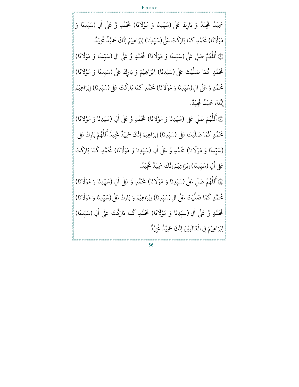.<br>بِيْدٌ وَ بَارِكْ عَلٰى ْ ر<br>م حَمِيْدٌ مَّجِيْدٌ وَ بَارِكْ عَلٰى (سَيِّدِنَا وَ مَوْلَانَا) ْ َ (سَيِّدِنَا وَ مَوْلَانَا) مُحَمَّدٍ وَّ عَلٰى اٰلِ (سَيِّدِنَا وَ ْ .<br>. ٰ س<br>. َا) ن ر<br>1 مَوْلَانَا) مُحَمَّدٍ كَمَا بَارَكْتَ عَلٰى <u>ٔ</u> ٰ <u>ّ</u> ِ<br>پ مُحَمَّدٍ كَمَا بَارَكْتَ عَلٰى(سَيِّدِنَا) إِبْرَاهِيْمَ اِنَّكَ حَمِيْدٌ مَجِيْدٌ. .<br>. **่** ْ ْ ْ ر<br>ق نَّكَ حَمِيْدٌ مَّجِيْدٌ. ْ ۞ أَللّٰهُمَّ صَ و ر<br>آ ِ<br>ع أَللّٰهُمَّ صَلِّ عَلٰى (سَيِّدِنَا وَ مَوْلَانَا) ĭ **ـ** ً<br>آ يِّدِنَا وَ مَوْلَانَا) مُحَمَّدٍ وَّ عَلٰى اٰلِ (سَيِّدِنَا وَ مَوْلَانَا) <u>ٔ</u> ر<br>س ٰ ر<br>أ (سَيِّدِنَا وَ مَوْلَا **ٔ** س<br>م ا َ م ر<br>ح مُحَمَّدٍ كَمَا صَلَّيْتَ عَلٰى ْ بر<br>آ صَلَّيْتَ عَلٰى (سَيِّدِنَا) اِبْرَاهِيْمَ وَ بَارِكْ عَلٰى (سَيِّدِنَا وَ مَوْلَانَا) .<br>ب ْ ْ ر<br>1 (سَيِّدِنَا وَ مَوْلَا <u>ٔ</u> .<br>ب مُحَمَّدٍ وَّ عَلٰى اٰلِ(سَيِّدِنَا وَ مَوْلَانَا) ٰ ً<br>آ (سَيِّدِنَا وَ مَوْلَانَا) مُحَمَّدٍ كَمَا بَارَكْتَ <u>ٔ</u> .<br>ب ر<br>م ر<br>ح مُحَمَّدٍ كَمَا بَارَكْتَ عَلٰى(سَيِّدِنَا) إِبْرَاهِيْمَ .<br>ب ֦֧֝֝<u>֓</u> ْ ْ . ِ<br>مجيد ْ لي<br>م إِنَّكَ حَمِيْدٌ مَجِيْدٌ. ْ \$ م ه لل ُ ر<br>آ ِ<br>ع أَللّٰهُمَّ صَلِّ عَلٰى (سَيِّدِنَا وَ مَوْلَانَا) .<br>آ ً<br>آ (سَيِّدِنَا وَ مَوْلَانَا) مُحَمَّدٍ وَّ عَلٰى اٰلِ (سَيِّدِنَا وَ مَوْلَانَا) <u>ٔ</u> .<br>ب  $\ddot{\phantom{0}}$ ٰ ر<br>1 (سَيِّدِنَا وَ مَوْلَا <u>ٔ</u> .<br>. مُحَمَّدٍ كَمَا ِ<br>ج ك تَ ي ْ بر<br>آ صَلَّيْتَ عَلٰى (سَيِّدِنَا) إِبْرَاهِيْمَ اِنَّكَ حَمِيْدٌ مَجِّيْدُ ں<br>ب ֝֝֝֝֝֝֝֝**֝** ْ ْ ْ ْ لي<br>م تجِيْدُ الْ ِ<br>ع أَللّٰهُمَّ بَارِكْ عَلٰى و ر<br>آ ْ َا) ن ر<br>1 (سَيِّدِنَا وَ مَوْلَانَا) مُحَمَّدٍ وَّ عَلٰى اٰلِ (سَيِّدِنَا وَ مَوْلَانَا) <u>ٔ</u> ر<br>س  $\ddot{\phantom{0}}$ .<br>ا ر<br>1 (سَيِّدِنَا وَ مَوْلَانَا) مُحَمَّدٍ كَمَا <u>ٔ</u> ر<br>س ֦֧֦֧֦֧֦֧֦֧֦֧֦֧ׅ֧֦֧ׅ֧֦֧ׅ֧֦֧֡֝֜֓֜֓֜֓ ِ<br>پ كَمَا بَارَكْتَ <u>ّ</u> عَلٰى اٰلِ (سَيِّدِنَا) اِبْرَاهِيْمَ اِنَّكَ حَمِيْدٌ حَجِيْدُ ٰ .<br>. ֦֧֝֝<u>֓</u> ْ ْ ْ ْ عَجِيْدُ. @ أَللّٰهُمَّ صَـ و ر<br>آ ِ<br>ع أَللّٰهُمَّ صَلِّ عَلٰى (سَيِّدِنَا وَ مَوْلَانَا) س<br>آ ر<br>1 (سَيِّدِنَا وَ مَوْلَانَا) مُحَمَّدٍ وَّ عَلٰى اٰلِ (سَيِّدِنَا وَ مَوْلَانَا) ْ ں<br>ب í ٰ ر<br>1 (سَيِّدِنَا وَ مَوْلَا <u>ٔ</u> .<br>. ا َ م ر<br>ح مُحَمَّدٍ كَمَا صَلَّيْتَ عَلٰى ْ بر<br>آ صَلَّيْتَ عَلٰى اٰلِ(سَيِّدِنَا) اِبْرَاهِيْمَ وَ بَارِكْ عَلٰى(سَيِّدِنَا وَ مَوْلَانَا) ٰ ں<br>ب **∶** ْ ْ  $\tilde{i}$ (سَيِّدِنَا وَ مَوْلَا ٔ<br>: .<br>. مُحَمَّدٍ وَّ عَلٰى اٰلِ (سَيِّدِنَا وَ مَوْلَانَا) ٰ ر<br>1 (سَيِّدِنَا وَ مَوْلَانَا) مُحَمَّدٍ كَمَا بَارَكْتَ عَلٰى ْ .<br>ب ٰ <u>ّ</u> ر<br>ح مَّدٍ كَمَا بَارَكْتَ عَلٰى اٰلِ (سَيِّدِنَا) ٰ .<br>. اِبْرَاهِيْمَ فِي الْ ْ بْرَاهِيْمَ فِي الْعَالَمِيْنَ اِنَّكَ حَمِيْدٌ مَّجِيْدً. ْ ْ ْ ر<br>ھ نَّكَ حَمِيْدٌ مَّجِيْدٌ. ْ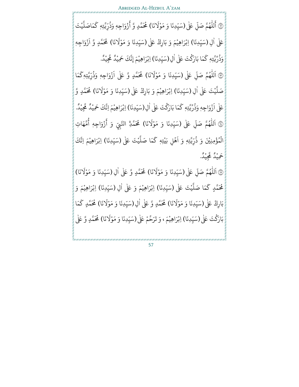۞ أَللّٰهُمَّ صَلِّ .<br>آ و ر<br>1 ِ<br>ع أَللّٰهُمَّ صَلِّ عَلٰى(سَيِّدِنَا وَ مَوْلَانَا) ر<br>1 (سَيِّدِنَا وَ مَوْلَانَا) مُحَمَّدٍ وَّ أَزْوَاجِهٖ ْ .<br>ب زۇ ْ مُحَمَّدٍ وَّ أَزْوَاجِم وَذُرِّيَّتِهٖ كَمَاصَلَّيْتَ ں<br>, ٛ ْ بر<br>آ ل َاصَ م ِ<br>ج ك عَلٰی اٰلِ (سَيِّدِنَا) اِبْرَاهِيْمَ وَ بَارِكْ عَلٰی (سَيِّدِنَا وَ مَوْلَانَا) ٰ .<br>ب ْ ْ َ (سَيِّدِنَا وَ مَوْلَانَا) مُحَمَّدٍ وَّ <u>ٔ</u> .<br>ب  $\ddot{\phantom{0}}$ ر<br>آ ازْوَاجِهٖ .<br>زُوَاجِهٖ **ٔ** وَذُرِّيَّتِهٖ كَمَا بَارَكْتَ عَلٰى و<br>• ٰ <u>ّ</u> ر<br>ح كَمَا بَارَكْتَ عَلٰى اٰلِ(سَيِّدِنَا) اِبْرَاهِيْمَ إِنَّكَ حَمِيْدٌ مَجِّيدٌ. ؚ<br>ا .<br>. ٌْ ر<br>ھ بْرَاهِيْمَ إِنَّكَ حَمِيْدٌ مَّجِيْدٌ. ْ ْ ْ ' َ اَللّٰهُمَّ صَلِّ عَلٰى (سَيِّدِنَا وَ مَوْلَانَا) بہ<br>آ و ر<br>1 ً<br>آ (سَيِّدِنَا وَ مَوْلَانَا) مُحَمَّدٍ وَّ عَلٰی **ٔ** .<br>. ر<br>آ ازْوَاجِهٖ ُزْوَاجِهٖ وَذُرِّيَّتِهٖكَمَا ْ ب<br>ا ٛ ِ<br>پ كما يْتَ عَلٰى ٰ ْ بر<br>آ صَلَّيْتَ عَلٰى اٰلِ (سَيِّدِنَا) اِبْرَاهِيْمَ وَ بَارِكْ عَلٰى (سَيِّدِنَا وَ مَوْلَانَا) ٰ ر<br>ب ْ ْ َ (سَيِّدِنَا وَ مَوْلَانَا) مُحَمَّدٍ وَّ ْ .<br>.  $\ddot{\phantom{0}}$ عَلٰی اَ ازْوَاجِهٖ زْوَاجِهٖ وَذُرِّيَّتِهٖ كَمَا بَارَكْتَ عَلٰى **ٔ** ٛ <u>ّ</u> َ كَمَا بَارَكْتَ عَلٰى اٰلِ(سَيِّدِنَا) اِبْرَاهِيْمَ اِنَّكَ حَمِيْدٌ مَجِّيْدٌ. .<br>ا .<br>. **่** ْ ْ ْ ر<br>ھ نَّكَ حَمِيْدٌ مَّجِيْدٌ. إِ ْ ١ ر<br>آ اَللّٰهُمَّ صَلِّ عَلٰى (سَيِّدِنَا وَ مَوْلَانَا) .<br>آ ُ ر<br>آ ر<br>1 (سَيِّدِنَا وَ مَوْلَانَا) مُحَمَّدِّ النَّبِيِّ وَ أَزْوَاجِهٖ ٔ<br>: .<br>.  $\ddot{\phantom{0}}$ ُ<br>زو ْ ِ<br>ع أَزْوَاجِهٖ أُمَّهَاتِ ور ب<br>ا الْمُؤْمِنِيْنَ وَ ذُرِّيَّتِه<sub>ٖ</sub> وَ اَ ٛ ْ ُ ْ ر<br>آ اَهْلِ بَيْتِه<sub>ٖ</sub> كَمَا صَلَّيْتَ عَلٰى ٔ<br>: ْ ْ بر<br>آ ل َا صَ م ِ<br>پ كَمَا صَلَّيْتَ عَلٰى (سَيِّدِنَا) اِبْرَاهِيْمَ اِنَّكَ ں<br>ب ֝֝֝֝֝֝֝֝֝**֝** ْ ْ . ِ<br>مجيد ْ ر<br>ھ حَمِيْدٌ مَجِيْدٌ. ْ (۱۹)<br>الک ً<br>آ اَللّٰهُمَّ صَلِّ عَلٰى (سَيِّدِنَا وَ مَوْلَانَا) .<br>آ و ر<br>1 ٰر<br>1 (سَيِّدِنَا وَ مَوْلَانَا) مُحَمَّدٍ وَّ عَلٰى اٰلِ (سَيِّدِنَا وَ مَوْلَانَا) ْ .<br>. ٰ .<br>. **ृ** ر<br>1 مَوْلَانَا) ٔ<br>: ا َ م ِ<br>پ مُحَمَّدٍ كَمَا صَلَّيْتَ عَلٰى ْ بر<br>آ صَلَّيْتَ عَلٰى (سَيِّدِنَا) اِبْرَاهِيْمَ وَ عَلٰى اٰلِ (سَيِّدِنَا) اِبْرَاهِيْمَ وَ ں<br>ب ْ ْ .<br>ا ں<br>ب **ृ** ْ ْ بَارِكْ عَلٰى (سَيِّدِنَا وَ مَوْلَانَا) ر<br>1 (سَيِّدِنَا وَ مَوْلَانَا) مُحَمَّدٍ وَّ عَلٰى اٰلِ(سَيِّدِنَا وَ مَوْلَانَا) <u>ٔ</u> ں<br>ب ٰ ً<br>آ (سَيِّدِنَا وَ مَوْلَانَا) مُحَمَّدٍ كَمَا <u>ٔ</u> ں<br>ب **ـ** ر<br>ح مُحَمَّدٍ كَ بَارَكْتَ عَلٰى(سَيِّدِنَا) اِبْرَاهِيْمَ، وَ تَرَحَّمْ عَلٰى(سَيِّدِنَا وَ مَوْلَانَا) <u>ّ</u> .<br>ب ْ ْ ر<br>1 (سَيِّدِنَا وَ مَوْلَانَا) مُحَمَّدٍ وَّ عَلٰى ْ .<br>ب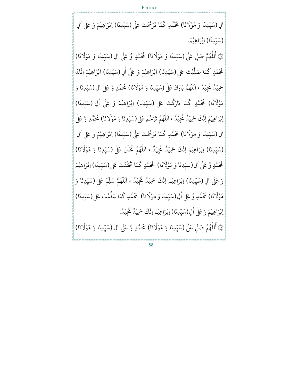FRIDAY ٰ اْلِ (سَيِّدِنَا وَ مَوْلَانَا)  $\tilde{1}$ (سَيِّدِنَا وَ مَوْلَانَا) مُحَمَّدٍ كَمَا تَرَحَّمْتَ عَلٰى ٔ<br>: ں<br>ب ر<br>ح مُحَمَّدٍ كَمَا تَرَحَّمْتَ عَلٰى (سَيِّدِنَا) اِبْرَاهِيْمَ وَ عَلٰى اٰلِ .<br>. ْ ْ ٰ (سَيِّدِنَا) اِبْرَاهِيْمَ. .<br>ب ֝֝֝֝֝֝֝֝֝֝֝֝֝֝<del>֟</del> ْ ْ ۞ أَللّٰهُمَّ صَلّ<mark>ِ</mark> ĭ و ر<br>آ ِ<br>ع أَللّٰهُمَّ صَلِّ عَلٰى (سَيِّدِنَا وَ مَوْلَانَا) ٰ ر<br>س **ـ** ً<br>آ مَوْلَانَا) مُحَمَّدٍ وَّ عَلٰى اٰلِ (سَيِّدِنَا وَ مَوْلَانَا) <u>ٔ</u> ٰ ر<br>أ (سَيِّدِنَا وَ مَوْلَا **ٔ** س<br>م ا َ م ر<br>ح مُحَمَّدٍ كَمَا صَلَّيْتَ عَلٰى ْ بر<br>آ صَلَّيْتَ عَلٰى (سَيِّدِنَا) اِبْرَاهِيْمَ وَ عَلٰى اٰلِ (سَيِّدِنَا) اِبْرَاهِيْمَ اِنَّكَ .<br>. ْ ْ ٰ .<br>ب **่** ْ ْ ېيْدُ ،<br>ئ ْ ر<br>ق حَمِيْدٌ مَحِيْدٌ ، اَ ْ اَللّٰهُمَّ بَارِكْ عَلٰى (سَيِّدِنَا وَ مَوْلَانَا) ُ ر<br>آ **ृ** ر<br>أ (سَيِّدِنَا وَ مَوْلَانَا) مُحَمَّدٍ وَّ عَلٰى اٰلِ(سَيِّدِنَا وَ <u>ٔ</u> .<br>ب  $\ddot{\phantom{0}}$ ٰ .<br>ب َا) ن َ مَوْلَانَا) مُحَمَّدٍ كَمَا بَارَكْتَ عَلٰى <u>ٔ</u> ْ ِ<br>پ مُحَمَّدٍ كَمَا بَارَكْتَ عَلٰى (سَيِّدِنَا) اِبْرَاهِيْمَ وَ عَلٰى اٰلِ (سَيِّدِنَا) ں<br>س ֝֝֝֝֝֝֝֝֝**֝** ْ ْ ٰ ں<br>س اِبْرَاهِيْمَ اِنَّكَ حَمِيْدٌ مَّجِيْدٌ ، ْ ْ ْ ر<br>ھ نَّكَ حَمِيْدٌ مَّجِ ْ ً<br>آ اَللّٰهُمَّ تَرَحَّمْ عَلٰى(سَيِّدِنَا وَ مَوْلَانَا) و ر<br>1 **ृ** ر<br>1 (سَيِّدِنَا وَ مَوْلَانَا) مُحَمَّدٍ وَّ عَلٰى ْ .<br>ب ٰٰ اْلِ (سَيِّدِنَا وَ مَوْلَانَا) **∶** ر<br>أ يِّدِنَا وَ مَوْلَانَا) مُحَمَّدٍ كَمَا تَرَحَّمْتَ عَلٰى <u>ٔ</u> .<br>ب ِ<br>ج مُحَمَّدٍ كَمَا تَرَحَّمْتَ عَلٰى (سَيِّدِنَا) اِبْرَاهِيْمَ وَ عَلٰى اٰلِ .<br>. ْ ْ ٰ (سَيِّدِنَا) اِبْرَاهِيْمَ اِنَّكَ حَمِيْدٌ مَّجِيْدٌ ، ر<br>ب ؚ<br>ؚ ْ ْ ْ ر<br>ه نَّكَ حَمِيْدٌ **مَّجِ** ْ ر<br>آ اَللّٰهُمَّ تَحَنَّنْ عَلٰى (سَيِّدِنَا وَ مَوْلَانَا) ُ ر<br>آ **ृ**  $\tilde{i}$ (سَيِّدِنَا وَ مَوْلَا ٔ<br>: ں<br>ب مُحَمَّدٍ وَّ عَلٰى اٰلِ ٰ ر<br>1 (سَيِّدِنَا وَ مَوْلَانَا) مُحَمَّدٍ كَمَا تَحَنَّنْتَ عَلٰى <u>ٔ</u> .<br>ب **ृ**  $\begin{array}{c} \hline \end{array}$ ْ ر<br>ح مُحَمَّدٍ كَمَا تَحَنَّنْتَ عَلٰى (سَيِّدِنَا) اِبْرَاهِيْمَ .<br>. **่** ْ ْ وَ عَلٰى اٰلِ (سَيِّدِنَا) اِبْرَاهِيْمَ اِنَّكَ حَمِيْدٌ مَحِّيْدٌ ، ٰ ں<br>ب ֦֧֝֝<u>֓</u> ْ ْ ْ ن<br>ق نَّكَ حَمِيْدٌ **مَّجِ** ْ ر<br>آ اَللّٰهُمَّ سَلِّمْ عَلٰى (سَيِّدِنَا وَ .<br>آ و ر<br>آ ں<br>ب َا) ن َ مَوْلَانَا) مُحَمَّدٍ وَّ عَلٰى ٰالِ(سَيِّدِنَا وَ مَوْلَانَا) ْ ؚ<br>ا ً<br>آ (سَيِّدِنَا وَ مَوْلَانَا) مُحَمَّدٍ كَمَا سَلَّمْتَ عَلٰى <u>ٔ</u> ں<br>ب َْ بر<br>آ مَا سَلَّمْتَ عَلٰى(سَيِّدِنَا) ں<br>ب اِبْرَاهِيْمَ وَ عَلٰى اٰلِ(سَيِّدِنَا) اِبْرَاهِيْمَ اِنَّكَ حَمِيْدٌ مَجِيْدٌ. ْ ْ .<br>ا .<br>. **่** ْ ْ ْ ر<br>ق نَّكَ حَمِيْدٌ مَّجِيْدٌ. ْ ۞ أَللّٰهُمَّ صَلّ<mark>ِ</mark> ĭ و ر<br>آ ِ<br>ع أَللّٰهُمَّ صَلِّ عَلٰى (سَيِّدِنَا وَ مَوْلَانَا) ً<br>آ (سَيِّدِنَا وَ مَوْلَانَا) مُحَمَّدٍ وَّ عَلٰى اٰلِ (سَيِّدِنَا وَ مَوْلَانَا) ْ ر<br>س ٰ ر<br>أ (سَيِّدِنَا وَ مَوْلَانَا) ً <u>ٔ</u> س<br>م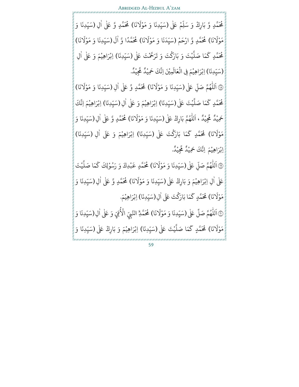بہ<br>ا مُحَمَّدٍ وَّ بَارِكْ وَ سَلِّمْ عَلٰى (سَيِّدِنَا وَ مَوْلَانَا) <u>ٔ</u> ْ  $\tilde{i}$ (سَيِّدِنَا وَ مَوْلَانَا) مُحَمَّدٍ وَّ عَلٰى اٰلِ (سَيِّدِنَا وَ ْ ر<br>ب <u>ّ</u> ٰ ں<br>ب َا) ن ر<br>1 مَوْلَانَا) مُحَمَّدٍ وَّ ارْحَمْ (سَيِّدَنَا وَ مَوْلَانَا) <u>ٔ</u> <u>ّ</u> **ٔ** .<br>. **∶** ً<br>آ نَا وَ مَوْلَانَا) مُحَمَّدًا وَّ اٰلَ <u>ٔ</u> ٰ ً<br>آ لَ (سَيِّدِنَا وَ مَوْلَانَا) ر<br>1 (سَيِّدِنَا وَ مَوْلَا <u>ٔ</u> .<br>ب يْتَ وَ بَارَكْتَ وَ تَرَحَّمْتَ عَلٰى <u>ّ</u> ْ بر<br>آ ل َا صَ م ر<br>ح مُحَمَّدٍ كَمَا صَلَّيْتَ وَ بَارَكْتَ وَ تَرَحَّمْتَ عَلٰى (سَيِّدِنَا) اِبْرَاهِيْمَ وَ عَلٰى اٰلِ ں<br>ب ْ ْ ٰ (سَيِّدِنَا) اِبْرَاهِيْمَ فِي الْعَالَمِيْنَ اِنَّكَ حَمِيْدٌ مَّجِيْدٌ. ر<br>ب ֺ<u>֓</u> ْ ْ ْ ْ ر<br>ھ نَّكَ حَمِيْدٌ مُّجِيْدٌ. ْ

())<br>پی ً<br>آ اَللّٰهُمَّ صَلِّ عَلٰى (سَيِّدِنَا وَ مَوْلَانَا) .<br>آ و ر<br>1 ٰر<br>أ (سَيِّدِنَا وَ مَوْلَانَا) مُحَمَّدٍ وَّ عَلٰى اٰلِ (سَيِّدِنَا وَ مَوْلَانَا) ْ .<br>. ٰ ر<br>أ (سَيِّدِنَا وَ مَوْلَا <u>ٔ</u> .<br>. ا َ م ر<br>ح مُحَمَّدٍ كَمَا صَلَّيْتَ عَلٰى ْ بر<br>آ صَلَّيْتَ عَلٰى(سَيِّدِنَا) اِبْرَاهِيْمَ وَ عَلٰى اٰلِ (سَيِّدِنَا) اِبْرَاهِيْمَ اِنَّكَ س<br>م **ـ** ْ ْ ٰ ں<br>س َْ ْ ېيْدُ ،<br>ئ ْ ر<br>ق حَمِيْدٌ مَحِيْدٌ ، اَ ْ اَللّٰهُمَّ بَارِكْ عَلٰى (سَيِّدِنَا وَ مَوْلَانَا) ُ ر<br>آ **ृ** ر<br>1 (سَيِّدِنَا وَ مَوْلَانَا) مُحَمَّدٍ وَّ عَلٰى اٰلِ(سَيِّدِنَا وَ <u>ٔ</u> .<br>ب ٰ .<br>ب َا) ن ر<br>1 مَوْلَانَا) مُحَمَّدٍ كَمَا بَارَكْتَ عَلٰى <u>ٔ</u> ْ ِ<br>پ مُحَمَّدٍ كَمَا بَارَكْتَ عَلٰى (سَيِّدِنَا) اِبْرَاهِيْمَ وَ عَلَى اٰلِ (سَيِّدِنَا) .<br>ب ֝֝֝֝֝֝֝֝֝֝֝֝֝**֝** ْ ْ ٰ .<br>ب اِبْرَاهِيْمَ اِنَّكَ حَمِيْدٌ **جَ**يْدُ ْ ْ ْ لئة<br>مو نَّكَ حَمِيْدٌ مُّجِيْدٌ. ْ

٦ ر<br>آ اَللّٰهُمَّ صَلِّ عَلٰى (سَيِّدِنَا وَ مَوْلَانَا) ں<br>آ و ر<br>آ ٰر<br>1 (سَيِّدِنَا وَ مَوْلَانَا) مُحَمَّدٍ عَبْدِكَ وَ رَسُوْلِكَ كَمَا صَلَّيْتَ <u>ٔ</u> .<br>. ْ بر<br>آ ل َا صَ م مُحَمَّدٍ عَبْدِكَ وَ رَسُوْلِكَ كَ <u>ٔ</u> و<br>. ْ عَلٰی اٰلِ اِبْرَاهِیْمَ وَ بَارِكْ عَلٰی (سَیِّدِنَا وَ مَوْلَانَا) .<br>ا ْ ْ ر<br>1 (سَيِّدِنَا وَ مَوْلَانَا) مُحَمَّدٍ وَّ عَلٰى اٰلِ(سَيِّدِنَا وَ **ٔ** ں<br>ب ٰ **ـ** ں<br>ب َا) ن َ مَوْلَانَا) مُحَمَّدٍ كَمَا بَارَكْتَ عَلَى <u>ٔ</u> <u>ّ</u> َمَا بَارَكُ ِ<br>پ مُحَمَّدٍ كَمَا بَارَكْتَ عَلَى اٰلِ(سَيِّدِنَا) اِبْرَاهِيْمَ. ٰ ں<br>س ֝֝֝֝֝֝֝֝**֝** ْ ْ .<br>... ر<br>آ اَللّٰهُمَّ صَلِّ عَلٰى لْلَّهُمَّ صَلِّ عَلٰى (سَيِّدِنَا وَ مَوْلَانَا) و ر<br>آ **ृ** َ (سَيِّدِنَا وَ مَوْلَانَا) مُحَمَّدٍّ النَّبِيِّ الْأُمِّيِّ ْ ر<br>س ֧֦֧֦֧֦֧֦֧ׅ֧֦֧֢֛ׅ֧ׅ֧֚֚֚֡֜֓֜֜֓֜֓֝֬ **س ـ** الْأُمِّيِّ وَ عَلٰى اٰلِ(سَيِّدِنَا وَ ٰ ں<br>س َا) ن َ مَوْلَانَا) **مُ**حَمَّدٍ كَمَا <u>ٔ</u> ِ<br>پ ك تَ ي ْ بر<br>آ صَلَّيْتَ عَلٰى (سَيِّ (سَيِّدِنَا) اِبْرَاهِيْمَ وَ بَارِكْ عَلٰى (سَيِّدِنَا وَ **ृ** ْ ْ <u>ٔ</u> س<br>م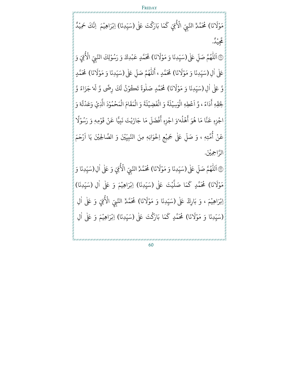َا) ن ر<br>1 مَوْلَانَا) مُحَمَّدٌّ النَّبِيِّ الْأُمْتِيِّ <u>ٔ</u> **س ृ** الاقِّي كَمَا ِ<br>پ كَمَا بَارَكْتَ عَلَىٰ (سَيِّدِنَا) اِبْرَاهِيْمَ ۖ اِنَّكَ حَمِيْدٌ <u>ّ</u> .<br>ب ֦֧֝֝<u>֓</u> ْ ْ ْ ِ<br>مجيد ْ عَجِيْدُ.

FRIDAY

 $\binom{2}{1}$ ر<br>آ اَللّٰهُمَّ صَلِّ عَلٰى(سَيِّدِنَا وَ مَوْلَانَا) بہ<br>آ و ر<br>آ ر<br>1 (سَيِّدِنَا وَ مَوْلَانَا) مُحَمَّدٍ عَبْدِكَ وَ رَسُوْلِكَ النَّبِيِّ الْأُمِّيِّ <u>ٔ</u> ں<br>ب َْ <u>ٔ</u> و<br>. **س ∶** الاقِّيّ وَ عَلٰی اٰلِ (سَیِّدِنَا وَ مَوْلَانَا) ٰ َ (سَيِّدِنَا وَ مَوْلَانَا) مُحَمَّدٍ ، أَللُّهُمَّ صَلِّ ْ ر<br>ب **ّ** و ر<br>1 ِ<br>ع مُحَمَّدٍ ، أَللّٰهُمَّ صَلِّ عَلٰى (سَيِّدِنَا وَ مَوْلَانَا) َ (سَيِّدِنَا وَ مَوْلَانَا) مُحَمَّدٍ ْ ں<br>ب :<br>: وَّ عَلٰى اٰلِ (سَيِّدِنَا وَ مَوْلَانَا) .<br>ا ر<br>1 (سَيِّدِنَا وَ مَوْلَانَا) مُحَمَّدٍ صَلٰوةً تَكُ **ٔ** .<br>. ٰ وْنُ لَكَ رِضًى وَّ لَه<sup>ِ</sup> جَزَاءً وَّ <u>ٔ</u> ّ لِحِقِّهِ أَ ِ<br>ع أَدَاءً ، وَّ اَعْطِهِ الْوَسِيْلَةَ وَ الْفَضِيْلَةَ وَ الْمَقَامَ الْمَحْمُوْدَ الَّذِيْ وَعَدْتَّهْ وَ ْ <u>ٔ</u> و<br>م ْ ْ ْ  $\frac{1}{1}$ ة ر<br>آ ل ِضي ْ  $\ddot{\cdot}$ ف َ ال و ْ  $\frac{1}{2}$ ة ً<br>آ ُعْطِهِ الْوَسِيْلَ ْ ْ ْ ، وَّ اَعْطِهِ الْوَسِيْلَةَ وَ الْفَضِيْلَةَ وَ الْمَقَامَ الْمَحْمُوْدَ الَّذِيْ وَعَدْتَّهْ اجْزِهِ عَنَّا مَا هُوَ أَهْلُه <u>ّ</u> و<br>ا ْ عَنَّا مَا هُوَ أَهْلُهُ وَ اجْزِهِ أَفْضَلَ مَا جَازَيْتَ نَبِيًّا عَنْ قَوْمِهٖ و <u>ّ</u> <u>ٔ</u> مَا جَازَيْتَ نَبِيًّا عَنْ قَ ْ ر<br>آ ل ضَ ف <u>ٔ</u> ِ<br>ع أَفْضَلَ مَا جَازَيْتَ نَبِيًّا عَنْ قَوْمِهٖ ً ُوَ اجْزِهِ أَفْضَلَ مَا جَازَيْتَ نَبِيًّا عَنْ قَوْمِهٖ وَ رَسُوْلًا <u>ٔ</u> ُ عَنْ أُمَّتِهٖ ، وَ صَلِّ عَلٰى جَمِيْعِ اِخْوَانِهٖ مِنَ النَّبِيِّيْنَ وَ الصَّالِحِيْنَ يَا اَ ور .<br>آ ْ <u>ّ</u> .<br>. ا َ م َ ح ر **ٔ** . الرَّاحِمِيْنَ.

٦ ر<br>آ اَللّٰهُمَّ صَلِّ عَلٰى (سَيِّدِنَا وَ مَوْلَانَا) بہ<br>آ و ر<br>آ َ (سَيِّدِنَا وَ مَوْلَانَا) مُحَمَّدٍّ النَّبِيِّ الْأُمِّيِّ ْ ر<br>س ֧֦֧֦֧֦֧֦֧ׅ֧֦֧֢֛ׅ֧ׅ֧֚֚֚֡֜֓֜֜֓֜֓֝֬ **س ـ** الْأُمِّيِّ وَ عَلٰى اٰلِ(سَيِّدِنَا وَ ٰ ں<br>س َا) ن َ مَوْلَانَا) مُحَمَّدٍ كَمَا ْ ر<br>ح ك تَ ي ْ بر<br>آ صَلَّيْتَ عَلٰى (سَيِّدِنَا) اِبْرَاهِيْمَ وَ عَلٰى اٰلِ (سَيِّدِنَا) .<br>. **ृ** ْ ْ ٰ ں<br>ب اِبْرَاهِيْمَ ، وَ بَارِكْ عَلٰى (سَيِّدِنَا وَ مَوْلَانَا) ْ ْ <u>ٔ</u> ر<br>1 (سَيِّدِنَا وَ مَوْلَانَا) مُحَمَّدٍّ النَّبِيِّ الْأُمِّيِّ ْ ر<br>س  $\ddot{\phantom{0}}$ .<br>س **ृ** الْأُمِّيّ وَ عَلٰى اٰلِ ٰ َا) ن ر<br>1 (سَيِّدِنَا وَ مَوْلَانَا) مُحَمَّدٍ كَمَا بَارَكْتَ عَلٰى <u>ٔ</u> ں<br>ب  $\ddot{\phantom{0}}$ <u>ّ</u> ر<br>ح دٍ كَمَا بَارَكْتَ عَلٰى (سَيِّدِنَا) اِبْرَاهِيْمَ وَ عَلٰى اٰلِ ں<br>ب ْ ْ .<br>ا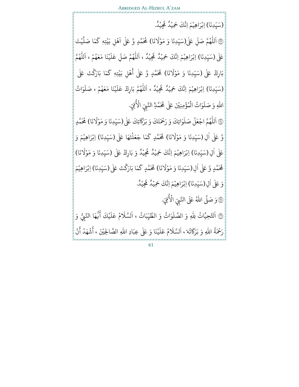(سَيِّدِنَا) اِبْرَاهِيْمَ اِنَّكَ حَمِيْدٌ مَّجِيْدٌ. ر<br>ب ֺ<u>֓</u> ْ ْ ْ ر<br>ھ نَّكَ حَمِيْدٌ مُّجِيْدٌ. ْ ٦ ر<br>آ اَللّٰهُمَّ صَلِّ عَلٰى(سَيِّدِنَا وَ مَوْلَانَا) ر<br>آ ُ ر<br>آ ًٰ<br>آ (سَيِّدِنَا وَ مَوْلَانَا) مُحَمَّدٍ وَّ عَلٰى ٔ<br>: .<br>. ر<br>آ اَهْلِ بَيْتِهٖ كَمَا صَلَّيْتَ <u>ٔ</u> ْ ْ بة<br>أ ل َا صَ م ر<br>ح ك عَلٰی (سَيِّدِنَا) اِبْرَاهِيْمَ اِنَّكَ حَمِيْدٌ مَّجِيْدٌ ، .<br>. ֦֧֝֝<u>֓</u> ْ ْ ْ ر<br>ھ نَّكَ حَمِيْدٌ **مَّجِ** ْ ر<br>آ اَللّٰهُمَّ صَلِّ عَلَيْنَا مَعَهُمْ ، بہ<br>ا و ر<br>1 ا<br>ا و ْ ر<br>آ ل َ ع ً<br>آ اَللْهُمَّ و ر<br>1 بَارِكْ عَلٰى (سَيِّدِنَا وَ مَوْلَانَا) ر<br>1 (سَيِّدِنَا وَ مَوْلَانَا) مُحَمَّدٍ وَّ عَلٰى أَهْلِ بَيْتِهٖ <u>ٔ</u> .<br>ب ْْ ء<br>مُحَمَّدٍ وَّ عَلٰى أَهْلِ بَيْتِهٖ كَمَا بَارَكْتَ عَلٰى  $\begin{array}{c} \hline \end{array}$ ر<br>م ر<br>ح ك (سَيِّدِنَا) اِبْرَاهِيْمَ اِنَّكَ حَمِيْدٌ مُّجِيْدٌ ، ر<br>ب َْ ْ ْ ر<br>ه نَّكَ حَمِيْدٌ **مَّجِ** ْ ً<br>آ اَللّٰهُمَّ بَارِكْ عَلَيْنَا مَعَهُمْ ، صَلَوَاتُ ر<br>آ يْنَا مَعَهُمْ ، صَلَ ْ ُ ْ ر<br>آ َللّٰهُمَّ بَارِكْ عَلَ <u>ٔ</u> و ر<br>1 م َُ / ِمنِ ْ َ َ ؤ م َاتُ ال و ْ و<br>. ْ ر<br>آ اللّٰهِ وَ صَلَوَاتُ الْمُؤْمِنِيْنَ عَلٰى مُحَمَّدِّ النَّبِيِّ ر<br>1 ،<br>الم الْأُمِّيّ.  $\begin{pmatrix} 2 \\ 1 \\ 2 \end{pmatrix}$ ر<br>آ اَللّٰهُمَّ اجْعَلْ صَلَوَاتِكَ وَ رَحْمَتَكَ وَ بَرَكَاتِكَ عَلٰى ِ<br>وَاتِكَ وَ رَحْمَتَكَ وَ بَرَكَا ر<br>آ للّٰهُمَّ اجْعَلْ صَلَوَاتِكَ وَ رَحْمَتَكَ وَ بَرَكَاتِكَ عَلٰى(سَيِّدِنَا وَ مَوْلَانَا) ْ <u>ّ</u> و ر<br>1 **ृ** ً<br>آ (سَيِّدِنَا وَ مَوْلَانَا) مُحَمَّدٍ <u>ٔ</u> ں<br>ب í وَّ عَلٰی اٰلِ (سَیِّدِنَا وَ مَوْلَانَا) ٰ ر<br>1 (سَيِّدِنَا وَ مَوْلَانَا) مُحَمَّدٍ كَمَا جَعَلْتَهَا عَلٰى ٔ<br>: .<br>. ْ ر<br>ح مُحَمَّدٍ كَمَا جَعَلْتَهَا عَلٰى (سَيِّدِنَا) اِبْرَاهِيْمَ وَ س<br>. **ृ** ْ ْ عَلٰی اٰلِ (سَيِّدِنَا) اِبْرَاهِيْمَ اِنَّكَ حَمِيْدٌ مَّجِيْدٌ وَ بَارِكْ عَلٰی .<br>ا **∶** ں<br>ب ْ ْ ْ ر<br>ه نَّكَ حَمِيْدٌ مَّجِيْدٌ وَ بَارِكْ عَلٰى (سَيِّدِنَا وَ مَوْلَانَا) ْ ر<br>1 (سَيِّدِنَا وَ مَوْلَا <u>ٔ</u> .<br>. مُحَمَّدٍ وَّ عَلٰى اٰلِ(سَيِّدِنَا وَ مَوْلَانَا) .<br>ا ر<br>1 (سَيِّدِنَا وَ مَوْلَانَا) مُحَمَّدٍ كَمَا بَارَكْتَ عَلٰى **ٔ** ں<br>ب ر<br>م ر<br>ح مُحَمَّدٍ كَمَا بَارَكْتَ عَلٰى (سَيِّدِنَا) اِبْرَاهِيْمَ ں<br>ب **่** ْ ْ وَ عَلٰى اٰلِ(سَيِّدِنَا) اِبْرَاهِيْمَ اِنَّكَ حَمِيْدٌ مَّجِيْدٌ. ٰ .<br>ب ؚ<br>֡֡<u>֡</u> ْ ْ ْ ر<br>ه حَمِيْدٌ مَحِّيْدٌ. ْ ي<br>وَصَلَّى اللَّهُ عَلَى النَّبِيِّ الْأُمِّيِّ ِ<br>س الأُمِّيّ.  $\binom{4}{3}$ ر<br>آ اَلتَّحِيَّاتُ لِلهِ وَ الصَّلَوَاتُ وَ الطَّيِّ ر<br>آ ֧֦֧<u>֘</u> ر<br>آ لصَّلَوَاتُ وَ الطَّيِّبَاتُ ، ر<br>آ اَلسَّلَامُ عَلَيْكَ أَيُّهَا النَّبِيُّ وَ هَا النَّبِيُّ و<br>. ف يْكَ أَ ْ ر<br>آ مُ عَلَ ُ ً<br>آ لا لس نه<sup>،</sup> ور ً<br>ح رَحْمَةُ اللّٰهِ وَ بَرَكَاتُه'، ر<br>آ السَّلامُ و ً<br>آ لسَّلَامُ عَلَيْنَا **َ** ْ ر<br>آ عَلَيْنَا وَ عَلٰى عِبَادِ اللهِ الصَّالِحِيْنَ ، أَشْهَدُ ُ **ٔ** ِ<br>ع اشْهَدُ انْ ْ ِ<br>ع ؛ ، السَّلامُ عَلَيْنَا وَ عَلَى عِبَادِ اللَّهِ الصَّالِحِيْنَ ، اشْهَدُ انْ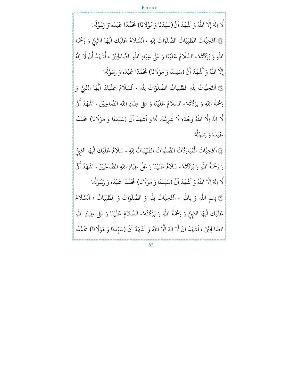بر<br>1 لَّا إِلٰهَ ٰ بر<br>1 إِلَّا اللَّهُ وَ **ृ** ر<br>آ اَشْهَدُ أَنَّ ُ **ٔ** ِ<br>ع أَنَّ (سَيِّدَنَا وَ مَوْلَانَا) ً<br>آ (سَيِّدَنَا وَ مَوْلَانَا) مُحَمَّدًا عَبْدُه وَ رَسُوْلُه.' ْ س<br>. ًو<br>ا ْ و<br>ا ْ و<br>. ٦ ر<br>آ اَلتَّحِيَّاتُ الطَّيِّبَاتُ الصَّلَوَاتُ لِلهِ ، ֧֦֧<u>֘</u> ر<br>1 ر<br>آ ل َاتُ الص ب ر<br>آ ا ر<br>آ ِ<br>لسَّلَامُ عَلَيْكَ ْ ر<br>آ مُ عَلَ و<br>ھ ِ<br>ا اَیُّهَا النَّبِیُّ وَ رَحْمَةُ و<br>ڏ هَا النَّبِيُّ و<br>. ف اللَّهِ وَ بَرَكَاتُهُ ۖ ر<br>آ َُ وَ بَرَكَاتُهُ ، ر<br>آ السَّلامُ و<br>م ِ<br>آ لسَّلَامُ عَلَيْنَا **ـ** ْ ر<br>آ عَلَيْنَا وَ عَلٰى عِبَادِ اللهِ الصَّالِحِيْنَ ، أَشْهَدُ ُ **ٔ** ِ<br>ع اشْهَدُ آنْ ْ ِ<br>ع ان ب<br>أ : ، اَلسَّلَامُ عَلَيْنَا وَ عَلٰى عِبَادِ اللهِ الصَّالِحِيْنَ ، أَشْهَدُ أَنْ لَّا اِلٰهَ ٰ ى<br>1 إِلَّا اللَّهُ وَ أَشْهَدُ **ृ** ُ **ٔ** ِ<br>ع أَشْهَدُ أَنَّ ِ<br>ع أَنَّ (سَيِّدَنَا وَ مَوْلَانَا) ً<br>آ (سَيِّدَنَا وَ مَوْلَانَا) مُحَمَّدًا عَبْدُه وَ رَسُوْلُه. <u>ٔ</u> .<br>ب ًُ ْ ُ <u>ٔ</u> و<br>. ٦ ر<br>آ اَلتَّحِيَّاتُ لِلهِ الطَّيِّبَاتُ الصَّلَوَ ֧֦֧<u>֘</u> ر<br>1 ر<br>آ بَاتُ الصَّلَوَاتُ لِلَّهِ ، اَ ر<br>آ اَلسَّلَامُ عَلَيْكَ ْ ر<br>آ مُ عَلَ و ً<br>آ َلسَّلَامُ عَلَيْكَ آ آَيُهَا النَّبِيُّ وَ هَا النَّبِيُّ و<br>. ف ه ت وړ َ رَحْمَةُ اللّٰهِ وَ بَرَكَاتُه'، ر<br>آ السَّلامُ و<br>م ِ<br>آ لسَّلَامُ عَلَيْنَا **ـ** ْ ر<br>آ عَلَيْنَا وَ عَلٰى عِبَادِ اللّٰهِ الصَّالِحِيْنَ ، ر<br>آ اَشْهَدُ أَنْ و<br>ا **ٔ** ْ ِ<br>ع ، السَّلامُ عَلَيْنَا وَ عَلَى عِبَادِ اللَّهِ الصَّالِحِيْنَ ، اشْهَدُ انْ بر<br>1 لا اِ َ 7 ٰ بر<br>1 إِلَّا اللَّهُ وَحْدَهْ **ـ** <u>ّ</u> ر<br>1 لا كَ ي ِ ْ شَرِيْكَ ر<br>1 لَه' وَ ر<br>آ ا د َ ه ش ُ **ٔ** ر<br>آ اَنَّ (سَيِّدَنَا وَ مَوْلَانَا) .<br>. **ृ** ر<br>1 ا لَا شَرِيْكَ لَه ۢ وَ اَشْهَدُ اَنَّ (سَيِّدَنَا وَ مَوْلَانَا) مُحَمَّدًا ْ عَبْدُهٗ وَ رَسُوْلُهٗ. ُ ْ و<br>ا <u>ٔ</u> ُ (بہج ً<br>آ اَلتَّحِيَّاتُ الْمُبَارَكَاتُ الْمُبَارَكَاتُ الصَّلَوَاتُ و<br>م ْ ر<br>آ الصَّلَوَاتُ الطَّيِّ .<br>ا ر<br>آ بَاتُ لِلّٰهِ ، سَلَامٌ عَلَيْكَ ر<br>1 ْ ر<br>آ ل َ ع ٌ م ا<br>آ اَيُّهَا النَّبُّ هَا النَّبِيُّ ر<br>. ف نه<sup>،</sup><br>ته ور ر<br>ح وَ رَحْمَةُ اللّٰهِ وَ بَرَكَاتُهُ ، سَلَامٌ ر<br>آ سَلَامٌ عَلَيْنَا ْ ر<br>آ عَلَيْنَا وَ عَلٰى عِبَادِ اللّٰهِ الصَّالِحِيْنَ ، ر<br>آ اَشْهَدُ أَنْ **ٔ** و<br>ا ْ ِ<br>ع ، ، سَلامٌ عَلَيْنَا وَ عَلَى عِبَادِ اللَّهِ الصَّالِحِيْنَ ، اشْهَدُ انْ بر<br>1 لَّا اِلٰهَ اِلَّا ٰ لة<br>أ لَّا اللَّهُ وَ **∶** ر<br>آ ا د َ ه ش ُ **ٔ** ر<br>آ اَنَّ (سَيِّدَنَا وَ مَوْلَانَا) ر<br>أ (سَيِّدَنَا وَ مَوْلَانَا) مُحَمَّدًا عَبْدُه وَ رَسُوْلُه ٗ **ٔ** ں<br>ب **ا** ُ ْ و<br>ا <u>ٔ</u> و<br>م م<br>الله ق بالله و بالله ، آ اَلتَّحِيَّاتُ لِلهِ وَ الصَّلَوَاتُ وَ الطَّيِّ و #س<br>. ر<br>آ وَ الصَّلَوَاتُ وَ الطَّيِّبَاتُ ، ر<br>آ السَّلامُ و<br>م ر<br>آ لا لس كَ ي ْ ر<br>آ ل َ ع ا<br>آ اَيُّهَا النَّبِيُّ وَ رَحْمَةُ و<br>ڏ هَا النَّبِيُّ و<br>. يُّهَا النَّبِيُّ وَ رَحْمَةَ اللَّهِ وَ بَرَكَاتُه ٗ ور ر<br>ح اللّٰهِ وَ بَرَكَاتُه'، ر<br>آ ر<br>آ اَلسَّلَامُ عَلَيْنَا وَ عَلٰى عِبَادِ اللهِ ْ ر<br>آ مُ عَلَ و ر<br>آ لا ' الصَّالِحِيْنَ ، اَ ا د َ ه ش ا و<br>ا **ٔ** نْ لَّا اِلٰهَ اِلَّا ٰ بر<br>1 لَّا اللَّهُ وَ **ृ** ر<br>آ ا د َ ه ش ُ **ٔ** ر<br>آ اَنَّ (سَيِّدَنَا وَ مَوْلَانَا) ر<br>1 (سَيِّدَنَا وَ مَوْلَانَا) مُحَمَّدًا <u>ٔ</u> .<br>. ً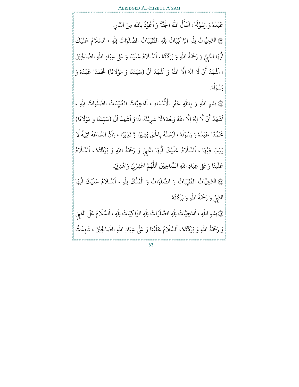عَبْدُه وَ رَسُوْلُهُ ، ُ ْ و<br>ا ْ ُ ر<br>آ ا ل و<br>ا ِ<br>ع ُسْأَلُ اللّٰهَ الْجُنَّةَ وَ ْ ់<br>រ <u>ٔ</u> **ृ** ِ<br>ع هْ وَ رَسُوْلُهُ ، اَسْأَلُ اللّٰهَ الْجُنَّةَ وَ أَعُوْذُ بِاللّٰهِ مِنَ النَّارِ. ُ ْ ر<br>م

من<br>وي ر<br>آ اَلتَّحِيَّاتُ لِللهِ الزَّاكِيَاتُ لِللهِ الطَّيِّبَاتُ الصَّلَوَاتُ لِللهِ ، ُ #.<br>. ر<br>آ ر<br>1 ً<br>آ ل َاتُ الص ب ر<br>آ ا ر<br>آ ِ<br>لسَّلَامُ عَلَيْكَ ْ ر<br>آ مُ عَلَ ُ ِ<br>ا آيَهَا النَّبِيُّ وَ رَحْمَةَ اللَّهِ وَ بَرَكَاتُهُ ٳ َ يُّ وَ رَحْمَةُ اللهِ وَ بَرَكَا هَا النَّبِيُّ و<br>. يُّهَا النَّبِيُّ وَ رَحْمَةَ اللَّهِ وَ بَرَكَاتُهُ ، ر<br>آ السَّلامُ و<br>م ر<br>آ لسَّلَامُ عَلَيْنَا **ृ** ْ ر<br>آ ه ، اَلسَّلَامُ عَلَيْنَا وَ عَلٰى عِبَادِ اللهِ الصَّالِحِيْنَ ، ً<br>آ اَشْهَدُ أَنْ ُ **ٔ** ْ ِ<br>ع انٌ بر<br>1 لَّا اِلٰهَ اِلَّا ٰ بر<br>1 لَّا اللَّهُ وَ **ـ** ر<br>آ ا د َ ه ش ُ **ٔ** ر<br>آ اَنَّ (سَيِّدَنَا وَ مَوْلَانَا) ر<br>1 (سَيِّدَنَا وَ مَوْلَانَا) مُحَمَّدًا عَبْدُهْ وَ <u>ٔ</u> .<br>ب ًُ ْ و<br>ا رَسُوْلُهُ. <u>ٔ</u> ُ

@ بِسْمِ اللّٰهِ وَ بِاللّٰهِ خَيْرِ الْأَسْمَاءِ ، **ٔ** ِ<br>أبتغ بِسْمِ اللّٰہِ وَ بِاللّٰہِ خَیْرِ الْأَسْمَاءِ ، اَ <u>ٔ</u> اَلتَّحِيَّاتُ الطَّيِّبَاتُ الصَّلَوَاتُ لِلهِ ، **.** ر<br>آ ر<br>آ ل َاتُ الص ب ر<br>آ ا ْ لا ن ُ<br>شُهَدُ أَنْ لَّا اِلٰهَ اِلَّا **ٔ** ٰ بر<br>1 لَّا اللَّهُ وَحْدَهْ <u>ّ</u> ر<br>1 لا كَ ي ِ ْ شَرِيْكَ ً<br>آ لَه'وَ اَ ر<br>آ ا د َ ه ش ُ **ٔ** ً<br>آ اَنَّ (سَيِّدَنَا وَ مَوْلَانَا) ر<br>1 ، َلَا شَرِيْكَ لَهُ ۚ وَ اَشْهَدُ اَنَّ (سَيِّدَنَا وَ مَوْلَا ٔ<br>: .<br>. مُحَمَّدًا عَبْدُهٗ وَ رَسُوْلُهُ ، ُ ْ و<br>ا ْ و<br>م ر<br>آ ارْسَلَهَ و ر<br>آ َرْسَلَهُ بِالْحَقِّ بَشِيْرًا وَّ نَذِيْرًا ، وَاَ **ٔ** ֦֧֦֧֦֧֦֧֦֦֧֦֦֦֦֦֦֦֦֦֦֦֦֦֦֦֜֡֡֡֜֜ <u>ٔ</u> ْ ر<br>آ ا ن  $\frac{1}{2}$ السَّاعَةَ اٰتِيَةً ֦֧֦֧֦֧֦֧֦֧֦֧֦֧ׅ֧֦֧֦֧ׅ֚֝֜֓֜֜֜֜֜<br>֧֚֝֝ ٰ ِ<br>په ِ<br>تِيهَ بر<br>1 هُ وَ رَسُوْلُهُ ، ارْسَلْهُ بِالْحَقِّ بَشِيْرًا وَّ نَذِيْرًا ، وَانَّ السَّاعَة اتِيَة لَا رَيْبَ فِيْهَا ، ْ ْ ر<br>آ السَّلامُ و<br>و ر<br>آ ِ<br>لسَّلَامُ عَلَيْكَ ْ ر<br>آ عَلَيْكَ ِ<br>ا اَيْهَا و<br>. يُّهَا النَّبُّ النَّبِيُّ وَ رَحْمَةُ اللهِ وَ بَرَكَاتُه<sub>ُ</sub> **ـ** و<br>ڏ ر<br>آ **ـ** ٳ َ بَرَكَاتُهُ ، ر<br>آ السَّلامُ و<br>م ر<br>آ لا لس ' ا َ ن ي ْ ر<br>آ عَلَيْنَا وَ عَلٰى عِبَادِ اللهِ الصَّالِحِيْنَ اَ اَللّٰهُمَّ اغْفِرْلِيْ وَاهْدِنِيْ. ْ ْ ْ <u>ٔ</u> و ر<br>آ  $\binom{2}{1}$ َ اَلتَّحِيَّاتُ الطَّيِّبَاتُ وَ الصَّلَوَاتُ وَ الْمُلْكُ لِلهِ ، .<br>י **ـ** ر<br>1 ْ و<br>م ْ ر<br>آ الصَّلَوَاتُ وَ الْمُلْكُ لِلَّهِ ، اَ ا ر<br>آ ِ<br>لسَّلَامُ عَلَيْكَ ْ ً<br>آ مُ عَلَ و<br>و ا<br>آ ائيهَا ~ ف ء<br>يَّ وَ رَحْمَةُ اللَّهِ النَّبِيُّ وَ رَحْمَةُ اللهِ وَ بَرَكَاتُهُ. ُر<br>ح وَ بَرَكَاتُهُ. ر<br>آ ً<br>آ اَلتَّحِيَّاتُ لِلهِ الصَّلَوَاتُ لِلهِ الزَّاكِيَاتُ لِلهِ ، ُ ر<br>آ ر<br>آ ر<br>آ لِلَّهِ الصَّلَ ر<br>آ ر<br>آ اَلسَّلَامُ عَلَى النَّبِيِّ .<br>ب ر<br>آ لا لس

(پَّ بِسْمِ اللَّهِ ، نه<sup>،</sup> و<br>په َ وَ رَحْمَةُ اللّٰهِ وَ بَرَكَاتُه'، ر<br>آ السَّلامُ و ً<br>آ لسَّلَامُ عَلَيْنَا **ृ** ْ ر<br>آ '، اَلسَّلَامُ عَلَيْنَا وَ عَلٰى عِبَادِ اللهِ الصَّالِحِيْنَ ، شَهِدْتُّ ْ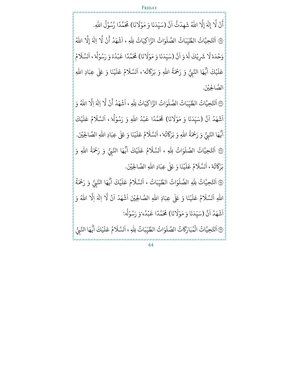ْ ن ِ<br>ع ان بر<br>1 لَّا إِلٰهَ ٰ ہے<br>1 إِلَّا اللهُ شَهِدْتُّ ~ْ ر<br>آ اَنَّ (سَيِّدَنَا وَ مَوْلَانَا) َ (سَيِّدَنَا وَ مَوْلَانَا) مُحَمَّدًا رَّسُوْلُ اللهِ. ْ .<br>. ًْ ُ و<br>ا  $\mathbb{F}$ ر<br>آ اَلتَّحِيَّاتُ الطَّيِّبَاتُ الصَّلَوَاتُ الزَّاكِيَاتُ لِلهِ ، **ّ** ر<br>آ ر<br>آ ل َاتُ الص ب ر<br>آ ا ْ لا ن ُشْهَدُ أَنْ لَّا اِلٰهَ **ٔ** ٰ بر<br>1 إِلَّا اللَّهُ ه َ د ح َ و <u>ّ</u> ر<br>1 لا كَ ي ِ ْ شريْكَ ۔<br>آ لَهُ وَ ر<br>آ اَنَّ (سَيِّدَنَا وَ مَوْلَانَا) ر<br>س **ृ** َ ْا وَ مَوْلَانَا) مُحَمَّدًا عَبْدُهٔ وَ رَسُوْلُهُ ، **ٔ** ًُ ْ و<br>ا **ٔ** ُ ر<br>آ السَّلامُ و ر<br>آ هٔ لَا شَرِيْكَ لَهُ وَ اَنَّ (سَيِّدَنَا وَ مَوْلَانَا) مُحَمَّدًا عَبْدُهُ وَ رَسُوْلُهُ ، اَلسَّلَا كَ ي ْ ر<br>آ عَلَيْكَ ا<br>آ آيْهَا و<br>. يُّهَا النَّبُّ النَّبِيُّ وَ رَحْمَةُ اللَّهِ وَ بَرَكَاتُه<sup>،</sup> **ृ** و<br>ڏ ر<br>آ ُر<br>ح وَ بَرَكَانُهُ ٗ، ر<br>آ السَّلامُ و ر<br>آ لسَّلَامُ عَلَيْنَا **ृ** ْ ر<br>آ <sup>،</sup>، اَلسَّلَامُ عَلَيْنَا وَ عَلٰى عِبَادِ اللهِ الصَّالِحِيْنَ.

٣ ر<br>آ اَلتَّحِيَّاتُ الطَّيِّبَاتُ الصَّلَوَاتُ الزَّاكِيَاتُ لِلهِ ر<br>س ر<br>آ ً<br>آ بَاتُ الصَّلَوَاتُ الزَّاكِيَاتُ لِلَّهِ ، ر<br>آ ا ْ لا ن ُ<br>شُهَدُ أَنْ لَّا اِلٰهَ اِلَّا **ٔ** ٰ بر<br>1 لَّا اللَّهُ وَ **ـ** ر<br>آ ا د َ ه ش ُ **ٔ** ر<br>آ اَنَّ (سَيِّدَنَا وَ مَوْلَانَا) ً<br>آ (سَيِّدَنَا وَ مَوْلَانَا) مُحَمَّدًا عَبْدُ اللَّهِ وَ رَسُوْلُهُ ، ٔ<br>: .<br>. ًُ ْ ر<br>1 **ـ** ا ْ و<br>. ً<br>آ ا ر<br>آ ِ<br>لسَّلَامُ عَلَيْكَ ْ ر<br>آ : ، اَلسَّلَامُ عَلَ و<br>و ِ<br>ا اَيُّهَا النَّبِيُّ وَ رَحْمَةِ اللَّهِ وَ بَرَكَاتُهُ ۖ و<br>ڊ َ مَّةُ اللَّهِ وَ بَرَكَا هَا النَّبِيُّ و<br>. يُّهَا النَّبِيُّ وَ رَحْمَةَ اللَّهِ وَ بَرَكَاتَهُ ، ر<br>آ السَّلامُ و<br>و ر<br>آ ُلسَّلَامُ عَلَيْنَا **ृ** ْ ر<br>آ ، السَّلَامُ عَلَيْنَا وَ عَلٰى عِبَادِ اللهِ الصَّالِحِيْنَ.  $\begin{pmatrix} 1 & 1 \\ 1 & 1 \end{pmatrix}$ ر<br>آ اَلتَّحِيَّاتُ الصَّلَوَاتُ لِلهِ ، و #ر<br>آ الصَّلَوَاتُ لِلَّهِ ، اَ ا ر<br>آ ِ<br>لسَّلَامُ عَلَيْكَ ْ ر<br>آ مُ عَلَ و<br>و ِ<br>ا اَيُّهَا النَّبِيُّ وَ رَحْمَةُ اللهِ وَ هَا النَّبِيُّ و<br>. ف ه ت ور ر<br>ح بَرَكَاتُهُ ، ر<br>آ اَلسَّلَامُ عَلَيْنَا وَ عَلٰى عِبَادِ اللهِ الصَّ ْ ر<br>آ ء<br>مُ عَلَ ُ ر<br>آ هُ ، اَلسَّلَامُ عَلَيْنَا وَ عَلٰى عِبَادِ اللهِ الصَّالِحِيْنَ. @ َ اَلتَّحِيَّاتُ لِلهِ الصَّلَوَاتُ الطَّيِّ ֦֧<u>֘</u> ر<br>آ لِلّٰهِ الصَّلَوَاتُ الطَّيِّبَاتُ ، ر<br>1 ر<br>آ ا ر<br>آ ِ<br>لسَّلَامُ عَلَيْكَ ْ ر<br>آ مُ عَلَ و<br>ھ ِ<br>ا اَيُّهَا النَّبِيُّ وَ رَحْمَةُ و<br>ڏ هَا النَّبِيُّ و<br>. ف اللهِ آ اَلسَّلَامُ عَلَيْنَا وَ عَلٰى عِبَادِ اللهِ الصَّ ْ ر<br>آ مُ عَلَ و<br>و ر<br>آ لسَّلَامُ عَلَيْنَا وَ عَلٰى عِبَادِ اللهِ الصَّالِحِيْنَ اَ ا د َ ه ش ُ **ٔ** ر<br>آ ا ُنْ لَّا اِلٰهَ اِلَّا ٰ ہے<br>آ لَّا اللهُ وَ **ृ** 

> ر<br>آ ا د َ ه ش ُ **ٔ** ر<br>آ اَنَّ (سَيِّدَنَا وَ مَوْلَانَا) ر<br>1 (سَيِّدَنَا وَ مَوْلَانَا) مُحَمَّدًا عَبْدُه ٗوَ رَسُوْلُهُ. <u>ٔ</u> .<br>ب ًُ ْ و<br>ا <u>ٔ</u> و<br>.

A ر<br>آ اَلتَّحِيَّاتُ الْمُبَارَكَاتُ الصَّلَوَاتُ الطَّيِّ و<br>م ْ ֧<u>֡</u> ً<br>آ ي<br>أ<sup>ل</sup>ثُ الصَّلَ بَارَكَاتُ الصَّلَوَاتُ الطَّيِّبَاتُ لِلّٰهِ ، اَلسَّلَامُ عَلَيْكَ ْ ً<br>آ مُ عَلَ و ً<br>آ ا<br>السَّلا بَاتُ لِلّٰهِ ، اَ ر<br>1 ِ<br>ا اَيُّهَا النَّبُّ هَا النَّبِيُّ و<br>. ف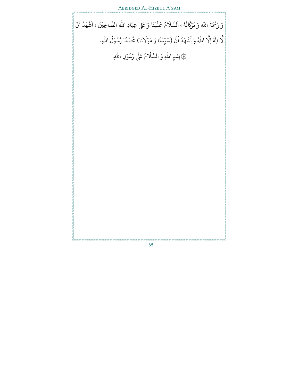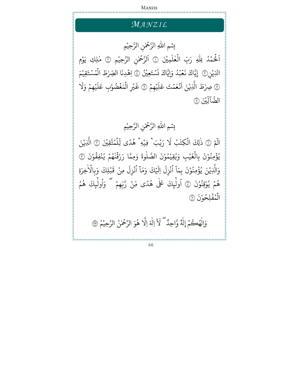# Manzil

# *MA N Z I L*

 $\tilde{\mathbf{z}}$ 

للّٰهِ الرَّحْمٰنِ ٰ )<br>T بِسْمِ اللّٰهِ الرَّحْمٰنِ الرَّحِيْمِ **الله على المنابع المنابع المنابع المنابع المنابع المنابع المنابع المنابع المنابع المنابع المنابع ا** َ آلحَمْدُ لِلَّهِ ِ<br>لَحَمۡدُ لِلّٰہِ رَبِّ الۡعٰلَمِیْٰنَ ؚ<br>ۣ ہ<br>1 ٰ ہ<br>ن لمُمِيْنَ ۞ ر<br>آ ا لرَّحْمٰنِ الرَّحِيْمِ ۞ مٰلِكِ يَوْمِ ٰ  $\frac{1}{2}$ ْ֘֒ ا ْ لَّذِيْنِ۞ إِيَّاكَ نَعْبُدُ وَ و<br>ا و<br>.  $\overline{a}$ إِيَّاكَ نَعۡبُدُ وَإِيَّاكَ نَسۡتَعِيۡنُ ؚ<br>ۣ يَّاكَ نَسۡتَعِيۡنُ ۞ اِهۡدِنَا  $\ddot{\cdot}$ ِهِّدِنَا الصِّرْطَ الْمُسْتَقِيْمَ ر<br>د **.** ا ْ  $\ddot{\phantom{0}}$ و<br>م ہ<br>1 ل ۞ صِرْطَ الَّذِيْ ْ بر<br>1 لَّذِيْنَ اَ ا ؚ<br>ۣ يۡهِمۡ ؚ<br>ؚ َ ل ر<br>م نُعَمْتَ عَلَيْهِمْ ۞ غَيۡرِ ؚ<br>ۣ ؚ<br>;  $\ddot{\cdot}$ غَيْرِ الْمَغْضُوْ **ٔ** ۡ ہ<br>1 ل ِ<br>آ يَهِمْ وَلَا ؚ<br>ۣ ؚ<br>ۣ َ ل ً<br>م ِب ع ا ِ<br>ڵۣؿ*ڹ* Iلضَّآلِيْنَ ۞

#### للَّهِ الرَّحْمٰنِ ر<br>آ بِسْمِ اللّٰهِ الرَّحْمٰنِ الرَّحِيْمِ  $\ddot{\phantom{0}}$ **الله على المنابع المنابع المنابع المنابع المنابع المنابع المنابع المنابع المنابع المنابع المنابع ا**

َ<br>مِّ ر<br>آ الَّمَ ۞ ذٰلِكَ الْكِتْبُ لَا رَيْبَ ٰ ؚ<br>ۣ لۡكِتۡبُ لَا رَيۡبَ ۚ فِيۡهِ ۚ هُدًى لِّلۡمُتَّقِيۡنَ ؚ<br>ا ہ<br>ن ْ **ا** و و<br>م ہ<br>آ ں<br>1 لِّلْمُتَّقِيْنَ ۞ الَّذِيْ ْ بر<br>1 ُمّ ۞ ذٰلِكَ الْكِتْبُ لَا رَيْبَ ۚ فِيْهِ ۚ هُدًى لِّلْمُتَّقِيْنَ ۞ الَّذِيْنَ ْ يُؤْمِنُوْنَ بِ <u>و</u> <u>ہ</u> و<br>, .<br>. ِنَ بِالۡغَيۡبِ وَيُقِيْ ْ ُ ؚ<br>ۣ  $\ddot{\cdot}$ لغَيْبِ وَيُقِيْمُوْ ہ<br>1 ْ و<br>م .<br>• نَ الصَّلٰوةَ وَمِمَّا رَزَقْنٰهُمۡ يُنْفِقُوْنَ ۞ <u>ّ</u> **∶** ْ ُ ؚ<br>ۣ ُ ្ ْ و<br>به وَالَّذِيْ ْ بر<br>1 لَّذِيْنَ يُؤْمِنُوْنَ بِمَا ْ ُ <u>ہ</u> و<br>' ا َ ِم ب .<br>. نَ بِمَا انْزِل ُ ْ ِ<br>آ زِل اِ  $\tilde{1}$ لَيۡكَ وَمَاۤ لَّيْكَ وَمَاْ أُنْزِلَ مِنْ و<br>ا ْ ْ ِ<br>آ زِلَ مِنْ قَبۡلِكَ وَبِ ؚ<br>ؚ  $\tilde{\mathbf{r}}$ قَبۡلِكَ وَبالًا  $\frac{1}{2}$ ر<br>لاخِرَةِ ْ هُمۡ يُوْقِنُوْنَ ۞ أُولَٰٓؠِكَ عَلٰى و<br>' ؚ<br>ۣ و ْ <u>و</u> **ृ** و<br>ا ٰ  $\tilde{I}$ لْبِكَ عَلٰى هُدًى مِّنْ رَّبِّهِمْ ۚ وَأُولْبِكَ و ْ ؚ<br>ۣ و<br>ا ا  $\tilde{X}$ ُ ول م ه و ا ْ حْفَلِحُوْ ر<br>-<u>ء</u> و<br>. ہ<br>ن ل .<br>. ن

وَالْهُكُمْ إِلٰهٌ ٰ ٰ ل وَّاحِدٌّ لَاَ اِلٰهَ اِلَّا هُوَ  $\overline{\phantom{a}}$ و بر<br>1 لَّا هُوَ الرَّحْمٰنُ الرَّحِيْمُ ۞  $\tilde{\mathbf{z}}$ **الله على المنابع المنابع المنابع المنابع المنابع المنابع المنابع المنابع المنابع المنابع المنابع ا** ُ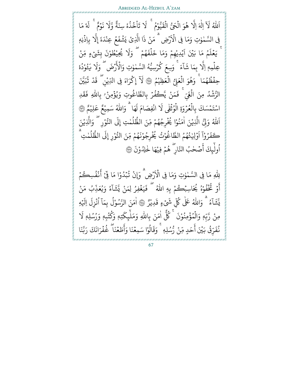### Abridged Al-Hizbul A'zam

َ اللَّهُ ر<br>آ لَا اِلٰهَ اِلَّا هُوَ و بر<br>1 لَّا هُوَ الْحَيُّ الْقَيُّوْ ہ<br>1 ْ  $\ddot{\cdot}$ لَقَيَّوْمُ ہ<br>آ ُ  $\ddot{\cdot}$  ت ً<br>آ لَا تَاْخُذُهٗ سِنَةٌ وَّلَا نَوۡ ْ ُ ُ  $\ddot{\phantom{0}}$  $\ddot{\cdot}$  ن َ وَّلَا نَوۡمٌ ۚ لَهٗ مَا ہ<br>م لَهُ فِي السَّمٰوٰتِ وَمَا فِي الْأَ ٰ  $\tilde{\mathbf{a}}$ لْأَرْضِ ۚ مَنْ ذَا الَّذِيْ ْ ै।<br>। لَّذِيْ يَشَّفَعُ عِنْ ْ ُ  $\ddot{\cdot}$ يَشۡفَعُ عِنْدَهٗ إِلَّا بِ ់ ِ<br>دَهٗ إِلَّا بِاِذۡنِهٖ ۡ ء<br>مُ مَا بَيْنَ و<br>• َ تَّ يَعۡلَمُ مَا بَيۡنَ اَيۡدِيْهِمۡ وَمَا خَلۡفَهُمۡ  $\overline{a}$ **ृ** ْ ؚ<br>ۣ ؚ<br>ۣ و  $\ddot{\cdot}$ ف ل ہ<br>آ لِّهِمْ وَمَا خَلَفَهُمْ ۖ وَلَا يُحِيْ ؚ<br>ۣ ْ و .<br>آ ُ وَلَا يُحِيْطُوْنَ بِشَ<sub>ّك</sub>ْءٍ **الله على المنابع المنابع المنابع المنابع المنابع المنابع المنابع المنابع المنابع المنابع المنابع ا** و .<br>. ِ<br>نَ بِشَيۡءٍ مِّنۡ ؚ<br>ٛ بر<br>1 عِلۡمِهٖۚ اِلَّا بِمَا شَآءَ ہ<br>آ ر<br>آ ا َ مَسَّسَمَّةٌ أَ وَسِعَ كُرْسِيُّهُ السَّمْوٰتِ وَالْأَرْضَ<br>بِمَا شَآءَ ۚ وَسِعَ كُرۡسِيُّهُ السَّمٰوٰتِ وَالْأَرۡضَ و ؚ<br>ۣ ُ ٰ**∶** لأزْضَ ُ<br>بر يە ِ<br>آ بهٖ اِلَّا بِمَا شَآءَ ۚ وَسِعَ كُرۡسِيُّهُ السَّمٰوٰتِ وَالۡأَرۡضَ ۖ وَلَا يَـُوْدُهٗ ُْ ر<br>د حِفۡظُهُمَا ۚ وَهُوَ الۡعَلِيُّ الۡعَظِيْمُ ۞ لَآ إِكۡرَاهَ فِى و ُ <u>ہ</u> و ہ<br>1 ْ ーっし <u>ہ</u> ر<br>آ لَآ إِكْرَاهَ فِى الدِّيْنِ ۖ قَدْ ْ ْ َ قَدْ تَّبَيَّنَ E<br>! ت ا لرُّشُدُ مِنَ الْغَيِّ و<br>ا ់ لَّغَىٰ ۖ فَمَنْ ہ<br>1 ْ ِ ۚ فَمَنْ يَكَفُرُ بِالطَّاغُوتِ وَيُؤۡمِنْ ۚ بِاللّٰهِ ۡ ِو <u>ہ</u> ْ <u>ہ</u> ُو ُ )<br>I للَّهِ فَقَدِ  $\ddot{\mathbf{r}}$ ق  $\ddot{\cdot}$  ف اسْتَمۡسَكَ بِالۡعُرۡوَةِ الۡوُثۡقٰى ؚ<br>ۣ ؚ<br>ؚ <sup>ّ</sup> ُ ہ<br>1 ؚ<br>ا ់ و<br>م ہ<br>1 ل ً<br>آ لَا انْفِصَامَ لَهَا **ٔ** .<br>فِضَامَ لَهَا ۗ وَاللّٰهُ سَمِيْعٌ عَلِيْ **ृ** ْ ْ ً<br>م مُّ عَلِيْمٌ ۞ َ اللهُ وَلِّ ا ُللّٰهُ وَلِّيُّ الَّذِيْ ْ بر<br>1 لَّذِيْنَ اٰمَنُوْا يُخۡرِجُهُمْ مِّنَ ا ا ْ ُ ْ و و<br>• ِ<br>آ لممٰتِ <u>إِ</u>لى و<br>ا و<br>يە **الله على المنابع المنابع المنابع المنابع المنابع المنابع المنابع المنابع المنابع المنابع المنابع ا** لظُّلُمٰتِ إِلَى النُّوْرِ ۗ وَالَّذِيْ ْ بر<br>1 ر<br>لَّذِيْنَ ٔ<br>ْ و ه<br>رو و<br>.  $\ddot{\cdot}$ <br>كَفَرُوْا ا َ اَوۡلِيٰۂُهُمُ الطَّاغُوْتُ يُخۡرِجُوْ ٰ  $\ddot{\phantom{0}}$ ُ و<br>• ُ ْ ُ ْ و<br>-ِ<br>تُ يُخۡرِجُوْنَهُمْ ْ ُ  $\ddot{\cdot}$ ِ<br>نَهُمْ مِّنَ النُّوْ ْ ِ<br>آ رِ إِلَى الظَّلَمْتِ ؚ<br>ۣ و<br>ا و<br>يە لظَّلَمْتِ و<br>ا ا ِ<br>عِلَمَـ رر<br>ولْيِكَ أَصۡحٰبُ أَصۡحٰبُ النَّارِ ۖ هُمۡ فِيْهَا خٰلِدُوْ ْ و<br>د **الله على المنابع المنابع المنابع المنابع المنابع المنابع المنابع المنابع المنابع المنابع المنابع ا** و<br>ا ٰ .<br>` نَ (نَ ِ ر<br>آ لِلْهِ مَا فِي السَّمٰوٰتِ وَمَا فِي الْاَ ٰ  $\tilde{\Omega}$ لأَرْضِ وَإِنْ تُبۡدُوْ ْ <u>ّ</u> ُ ۡ ُ **ٔ** ۔<br>• ا مَا فِّيْ أَذْ ْر<br>ع ء<br>أَنْفُسِكُمْ ؚ<br>ۣ ِو ْ ُوَ تُخْفُوْ ُ :<br>: و<br>ڊ ۔<br>ع أ ْ هُ يُحَاسِبُكُمْ بِهِ اللّٰهُ ۖ فَيَغۡفِرُ لِمَنْ و ْ <u>្</u> ِ ۗ فَيَغۡفِرُ لِمَنْ يَّشَآءُ وَيُعَذِّبُ مَنْ ي ْ ُوَ يُعَذِّ و<br>' ُ  $\frac{1}{1}$ ا ្ត ش بر<br>د ي و<br>ہ ء  $\tilde{1}$ ا  $\tilde{\cdot}$ يَدَيَّة وَاللَّهُ ٰ عَلٰی کُلِّ شَیۡءٍ ِ<br>كُلِّ شَيۡءٍ قَدِيْرُ ْ  $\ddot{\cdot}$ قَدِيْرٌ ۞ امَنَ الرَّسُوْلِ بِمَا انْزِلِ اِلْيَهِ {}<sup>2</sup> ر<br>آ ِ اِلْہِ ِ<br>آ انْزِل ْ و<br>ا  $\frac{1}{1}$ مَنَ الرَّسُوْلُ بِمَا و<br>ا ْ و<br>. ا ْ مِنْ رَّبِّهٖٖ وَالۡمُؤۡمِنُوْ ْ <u>و</u> <u>ہ</u> و<br>. ہ<br>1 ل .<br>. نَ كُلْ ا و<br>مما َ ݣُلُّ اٰمَنَ بِاللَّهِ ر<br>آ للَّهِ  $\tilde{\gamma}$ وَمَلْ ِ<br>آ تِهٖ وَكُتُبِهٖ وَرُسُلِهٖ لَا و<br>. و<br>. و<br>مە و <u>:</u> يِكْتِهٖ وَكَتُبِهٖ وَرُسُلِهٖ َ<br>حَدٍ ل را ر<br>رِّقُ بَيْنَ أَ و<br>په  $\ddot{\cdot}$ نُفَرّقُ بَيْنَ أَحَدٍ مِّنْ رُّسُلِهٖ ۚ وَقَالُوْا سَمِعْنَا وَأَطَعْنَاً ُ ْ ُ و<br>. ْ  $\frac{1}{2}$ بِمْ وَالْمَؤْمِنُونَ ۚ كُلُّ امْنَ بِاللَّهِ وَمَلْيِكَتِهٖ وَكْتَبِهٖ وَرَسَٰلِهٖ لَا<br>بَيْنَ أَحَدٍ مِّنْ رُّسُلِهٖ ۚ وَقَالُوْا سَمِعْنَا وَأَطَعْنَا ۖ غُفْرَانَكَ رَبَّنَا أ  $\frac{1}{2}$ <u>:</u> ُ **∶**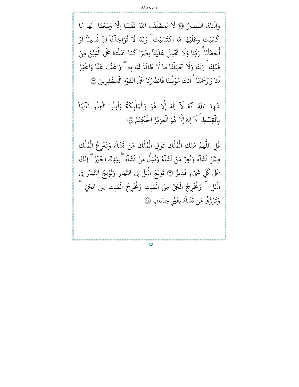وَإِلَيْكَ لَيْكَ الْمَصِيرُ ۞ لَا يُكَلِّفُ ہ<br>1 ٟؠؙۣڪلِّ ر<br>آ لَا يُكَلِّفُ اللّٰهُ نَفَسًا إِلَّا وُسْعَهَا {}<sup>2</sup> ُ فۡسًَا إِلَّا ؚ<br>? نَفْسًا إِلَّا وُسْعَهَا ۚ لَهَا مَا ِ<br>آ tۚ ل يْهَا مَا ؚ<br>ؚ َ ل ر<br>م كَسَبَتْ وَعَ كَسَبَتْ وَعَلَيْهَا مَا اكْتَسَبَتْ ت ك ,  $\frac{1}{1}$ ا  $\ddot{\cdot}$ ن ِ اخذ ؚ<br>? َ<br>ءَ ؤ ت و<br>به د ، ۗ رَبَّنَا لَا تُؤَاخِذُنَآ اِنْ نَّسِينَآ أَوۡ **البابات** ؚ<br>; ِ<br>نَّسِينَآ أَ بر<br>• ن َ ط خ  $\ddot{\cdot}$ ر<br>ع أ ہ<br>1 انما  $\ddot{\cdot}$  ن  $\frac{1}{1}$ ا َ ن ي ؚ<br>ؚ َ  $\uparrow$ ر<br>م جِلَ عَ ہ<br>آ  $\frac{1}{2}$  $\ddot{\cdot}$  ت ِ<br>آ اً رَبَّنَا وَلَا تَحْمِلْ عَلَيْنَآ اِصْرًا كَمَا حَمَ ر<br>سم **الله على المنابع المنابع المنابع المنابع المنابع المنابع المنابع المنابع المنابع المنابع المنابع ا** اِ كَمَا حَمَلْتَهٗ عَلَى الَّذِيْنَ مِنْ ْ بر<br>1 ل<sup>ِّ</sup>تَهٗ عَلَى الَّذِ ہ<br>آ بْلِنَا ۚ رَبَّنَا ;  $\ddot{\cdot}$ قَبْلِنَا ۚ رَبَّنَا وَلَا تُحَمِّلُنَا مَا لَا طَاقَةَ لَنَا بِهٖ  $\ddot{\cdot}$ ؚ<br>ّ اق ط ِ<br>تُحَمِّلُنَا مَا لَا ہ<br>آ و<br>به ِ<br>آ وَلَا تُحَمِّلُنَا مَا لَا طَاقَةَ لَنَا بِهٖ ۗ وَاعْفُ عَنَّا وَ  $\frac{1}{2}$ ر<br>م بِهٖ ۖ وَاعۡفُ عَنَّا وَاغۡفِرۡ ؚ<br>ۣ :<br>: ۔<br>لَنَا وَ لئا وَا ر<br>آ رۡحَمۡنَا ۚ اَ ؚ<br>ۣ ر<br>آ اَنْتَ مَوۡلٰنَا فَانْصُرۡنَا عَلَى الۡقَوۡمِ **ٔ** ؚ<br>ۣ ْ  $\ddot{\phantom{0}}$  $\ddot{\cdot}$ لْقَوۡمِ الۡكٰفِرِينَ ۞ ہ<br>1 ہ<br>آ َ ِهد  $\tilde{\cdot}$ .<br>شَهِدَ اللَّهُ اَنَّهُ لَآ اِلٰهَ إِلَّا هُوَ ا و لَّة إِلَّا هُوَ وَالْمَلْبِكَةُ وَ<sup>ا</sup> و<br>به ر<br>م ِك ئ  $\tilde{\zeta}$ ْمَلْيِكَةُ وَأُولُوا الْعِلْمِ قَآيِمً ہ<br>1 ل و<br>ا و<br>ا <u>ً</u> ر<br>آ ا  $\ddot{\cdot}$ لعِلْمِ قَاْبِمًا ٰ ہ<br>1 ہ<br>آ ۢ بالقِسْطِ ؚ<br>ۣ ۔<br>د ِّ لَاَ اِلٰهَ اِلَّا هُوَ و بر<br>1 لَّا هُوَ الْعَزِيْزُ الْحَكِيْمُ ۞ ْ ہ<br>1 ُ ْ ہ<br>1 و<br>• قُلِ الل و<br>بہ للّٰهُمَّ مٰلِكَ الْمُلَكِ تُؤۡقِ الْمُلۡكَ مَنْ تَشَآءُ وَتَنْزِ و <u>ہ</u> ُ ہ<br>آ و<br>. ہ<br>1 ْ ہ<br>آ و<br>. ہ<br>ن ل ْ  $\ddot{\cdot}$ ُو پَزَ و<br>ہ  $\tilde{1}$ ا  $\tilde{\mathbf{r}}$ ش  $\ddot{\cdot}$ ت ُ اع كَ ل م ہ<br>آ و<br>. ہ<br>1 ل ْ مِمَّنْ تَشَآءُ وَتُعِزُّ مَنْ ْ ُ و<br>ہ '۔<br>آ ا  $\tilde{\cdot}$ ش  $\ddot{\cdot}$ ت ْ مَنْ و<br>ا ُءُ وَتُذِلُّ و<br>به د و<br>ہ ر<br>آ ا  $\tilde{\cdot}$ ش  $\ddot{\cdot}$ ت و<br>ہ ًء<br>ع  $\frac{1}{1}$ ا  $\tilde{\cdot}$ ش  $\ddot{\cdot}$ تَشَآءُ گ<sub>ُّبِي</sub>َدِكَ الْخَيْرُ ۚ إِنَّكَ ۔<br>م tۖ إِن ٰ ر<br>ش عَلٰی کُلِّ شَیۡءٍ ِّ كُلِّ شَيْءٍ قَدِيرٌ  $\ddot{\cdot}$ َ ؚ<br>ۣ تُولِجُ الَّيۡلَ فِى النَّهَارِ وَتُوْلِجُ النَّهَارَ فِى ْ ُ َ

68

ل

ُ ុំ ُ

۔<br>م

لَحَيِّ<br>لَحَيِّ ہ<br>1

لَّيْلِ ۚ وَتُخْرِجُ الْحَيَّ مِنَ الْمَيِّتِ وَتُخْرِجُ الْمَيِّتَ مِنَ الْحَيِّ

۔<br>م

قَدِيرٌ ۞

ؚ<br>ۣ  $\ddot{\cdot}$ ءُ بِغَ و<br>م ۔<br>آ ا  $\tilde{\mathbf{r}}$ ش ្ត្

تَشَاّءُ بِغَيْرِ حِسَابٍ ۞

ہ<br>1

ر<br>د ំ ُ

> ْ رَزُقُ مَنْ و<br>په ُ {}<sup>2</sup>  $\ddot{\cdot}$

وَتَرَزُقُ مَنْ تَشَآءُ بِغَيۡرِ

ا ِ ل  $\overline{\phantom{a}}$ بر<br>1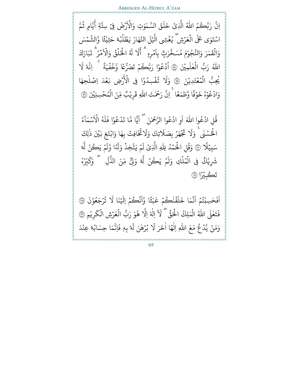اِنَّ رَبَّكُمُ و<br>• بر<br>• نَّ رَبَّكُمُ اللَّهُ الَّذِيْ لَّذِيْ خَلَقَ ر<br>آ  $\uplambda$  $\ddot{\cdot}$ خَلَقَ السَّمٰوٰتِ وَالْأَ ٰ  $\hat{\mathbf{a}}$ لَاَرۡضَ فِیۡ Iرْضَ فِئ سِتَّةِ أَيَّامٍ <sub>سِتَّةِ</sub> أَيَّامٍ ثُمَّ و<br>م لَ التَّهَارَ ؚ<br>ۣ بر<br>1 اسْتَوٰى عَلَى الْعَرۡشِ ۖ يُغۡشِى الَّيۡلَ النَّهَارَ يَطۡلُبُهٗ حَثِيْـ <u>្</u> ُ <sup>ّ</sup> ہ<br>ن ؚ<br>ؚ <u>ّ</u> و<br>. و<br>ا  $\frac{1}{2}$ ្ត្ يًّا وَّالشَّمْسَ بر<br>4 الش رت<br>ري ٰ J<br>. مَرَ وَالنُّجُوْمَ مُسَخَّ ُ ْ ر<br>- $\ddot{\cdot}$ وَالْقَمَرَ وَالنُّجُوْمَ مُسَخَّرٰتٍۢ بِاَ ہ<br>1 َ امۡرِهٖ ؚ<br>ۣ و ر<br>آ ل ِ<br>آ  $\lambda$ ় **ृ** ثًّ أَلَا لَهُ الْخَلْقُ وَالْاَ ہ<br>ن و<br>په ہ<br>آ  $\hat{\mathbf{a}}$ لَاَمۡرُ ۚ تَبَارَكَ و<br>ِ  $\ddot{\phantom{0}}$  $\ddot{\cdot}$ ،<br>د ت ا للّٰهُ رَبُّ الْعٰلَمِيْنَ لْعٰلَمِيْنَ ۞ اُدْعُوْا رَبَّكُمْ تَضَرُّعًا وَّخُفُيَةً ۚ ٰ ہ<br>ن ُ ا ْ و ໍ ً<u>۽</u> و<br>ڊ اِنَّهُ لَا ہ<br>أ يُحِبُّ الْمُعۡتَدِيْنَ ۞ وَلَا تُفۡسِدُوۡ و ْ  $\frac{1}{2}$  $\ddot{\phantom{0}}$ و<br>۱ <u>ہ</u> و<br>به َ وَلَا تُفۡسِدُوۡا فِى الۡأَرۡ ر<br>ثمءَ ا فِي الْأَرْضِ بَعْدَ اِصْلُحِهَا  $\frac{1}{2}$  $\ddot{\phantom{0}}$ وَادْعُوْ و ៎  $\ddot{\cdot}$ ف و  $\ddot{\phantom{0}}$ هُ خَوۡفًا وَّطَمَعًا ۚ إِنَّ رَحۡمَتَ بر<br>• نّ رَحْمَتَ اللَّهِ ر<br>آ للَّهِ قَ  $\ddot{\cdot}$ قَرِيْبُ مِّنَ الْمُحْسِنِيْنَ ۞ ؚ<br>ۣ  $\frac{1}{2}$ و<br>م ុ ំ ِ<br>په َ و ໍ  $\ddot{\tilde{}}$ َ ؚ<br>ۣ و ہ<br>آ ∫<br>≀ َ  $\ddot{\cdot}$  $\tilde{\mathbf{a}}$ و<br>ہ  $\frac{1}{1}$  $\ddot{\phantom{0}}$ بِّا ۚ لَا لَهُ اَحْلَقَ وَالاَ مَر ۚ نبارَكَ<br>بَكُمۡ تَضَرُّعًا وَّخُفُّيَةً ۚ ۚ اِنَّهٗ لَا<br>بَدُوۡا فِى الْأَرۡضِ بَعۡدَ اِصۡلٰحِهَا<br>نَ اللّٰهِ قَرِيۡبٌ مِّنَ الۡمُحۡسِنِيۡنَ ۞<br>وَلَا تُخَافِتۡ بِهَا وَابۡتَغِ بَيۡنَ ذٰلِ

قُلِ ادْعُوا اللّٰهَ اَوِ ادْعُوا الرَّحْمٰنَ ۖ اَ ֖֧֚֚֬<u>֚</u> اَيًّا مَّا تَدْعُوُ ا مَّا تَدْعُوْا فَلَهُ ا  $\mu$ ا ف لاشماءُ ن<br>سُمَا ا لْحُسۡنَٰى ۚ وَلَا تَجۡهَرۡ بِصَلَاتِكَ وَلَاتُخَافِتۡ بِهَا وَ ؚ<br>ۣ ُ ۔<br>م و<br>به ِ<br>آ لَاتِكَ وَلَا هَرۡ بِصَلَا ؚ<br>ۣ  $\ddot{\phantom{0}}$  $\ddot{\cdot}$ تجٌ ِ<br>آ لَّ فَيَهَرُ بِصَلَاتِكَ وَلَاتُخَافِتُ بِهَا وَابْتَغِ بَيْنَ ذٰلِكَ ؚ<br>ۣ ؚ<br>ۣ ِ<br>سَبِيَّ ا<br>آ لَّا ۞ وَقُلِ الْحَمْدُ لِلَّهِ و<br>ا {}<sup>2</sup> ុ ُ ر<br>آ لِلَّهِ الَّذِ بر<br>1 لَّذِيۡ لَمۡ يَتَّخِذۡ وَلَدً ِّ<br>مَّ يَتَّخِذُ وَلَدً <u>ء</u> ؚ<br>ۣ لَمْ يَتَّخِذُ وَلَدًا وَّلَمْ يَكُنْ ل **البابات** ؚ<br>ۣ ے<br>اَمیر وہ اَّ ا ل ْ شَرِيْكٌ فِي الْمُلْكِ وَلَمْ يَكُنْ ؚ<br>; ؚ<br>ۣ فِي الْمُلْكِ وَلَمْ يَكُنْ لَّهُ وَلِّيَّ مِّنَ الذُّلِّ ۚ وَكَبِّرْهُ ل ہ<br>1 و<br>. ہ<br>1 و ; ك َ ِ ۖ و ب<br>۲ ل وَلِّئٌ مِّنَ الذُّ بر<br>1 لمأ تَڪْبِيْرَ تَكْبِيْرًا ۞

َ ا ؚ<br>ۣ ِ<br>حَسِبْتُمْ و<br>مە ؚ<br>ۣ  $\ddot{\cdot}$ ف اَبَّيَ إِنَّہُ فَيَ أَنَّہُ بِيَ مِنْ مَسَنَّةٍ مِنْ مَنْ مَنَّةٍ مِنْ مَنْ مَنَّةٍ مِنْ مَنْ مَنَ ا بَدَّ<br>بَدَّ ر<br>م .<br>قَنْكُمْ عَ ؚ<br>ۣ ្ ر<br>آ  $\upmu$ َ َا خ م بر<br>• ن **،** ۦ<br>تُرجَعُوْنَ ْ ُ ؚ<br>ۣ و<br>به نَا لَا  $\overline{\phantom{a}}$ نَّڪُمۡ اِلَيۡ ن ا وَّاَنَّكُمْ اِلْيَنَا لَا تُرْجَعُوْنَ ۞ ا ۔<br>تعملی ا ٰ  $\ddot{\cdot}$ فَتَعٰلَى اللّٰهُ الْمَلِكُ الْحَقُّ  $\vec{ }$ ہ<br>1 ل ہ<br>ن ُّ لَآ اِلٰهَ اِلَّا هُوَ رَبُّ و بر<br>1 لَّا هُوَ رَبُّ الْعَرْشِ الْكَرِيْ {}<sup>2</sup> ہ<br>1 ْ <u>ً</u> لكَريْمِ ۞ ہ<br>ن ْ وَمَنْ يَّدۡ عُ مَعَ اللّٰهِ ِ ُ ؚ<br>ٛ ر<br>آ للهِ اِلٰمَ ل  $\ddot{\cdot}$ ِه ف ب بُرَهْنَ لَهَ ۡ و<br>' رَ لَا  $\ddot{\cdot}$ ا اٰخَرَ لَا بُرۡهٰنَ لَهٗ بِهٖ فَاِنَّمَا حِسَابُهٗ عِنْ **البابات** و<br>' بر<br>• نَّمَا حِسَابُهٗ عِنْدَ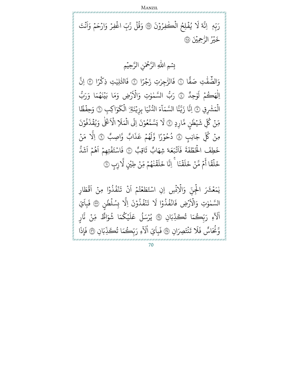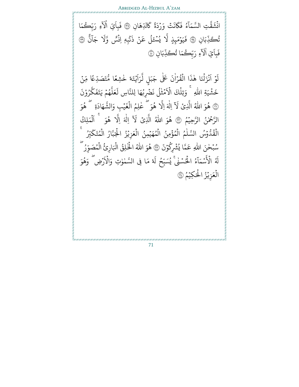انْشَقَّتِ <u>្</u> E<br>! ق  $\tilde{.}$ نشَقَّتِ ا  $\tilde{\mathbf{a}}$ ة  $\tilde{\cdot}$ نَتۡ وَرۡدَ ؚ<br>ۣ ن ر<br>م ك ُو ءَ<br>ءُ فَ ر<br>آ لَسَّمَآءُ فَكَانَتْ وَرْدَةً كَالدِّهَانِ ֺ<u>֓</u> ِّدهَ لْدِّهَانِ ۞ فَبِ  $\ddot{\cdot}$ فَبا ً<br>آ اَيِّ اٰلَآءِ رَبِّكُمَا ر<br>آ ُتِي أَلَآ ֝֟<u>֔</u> ِ ان َ ِب ب<br>ب تُكَذِّبَانِ ۞ فَيَوۡمَبِذٍ و<br>به د ؚ<br>ۣ  $\ddot{\cdot}$ فَيَوۡمَبِذٍ لَّا يُسۡءَ ُ بر<br>1 لَّا يُسۡعَلُ عَنۡ <u>្</u> ِ ع ل ن و<br>ا ۡ  $\ddot{\cdot}$ ذَنۡبِهٖ اِنۡسٗ وَّ <u>្</u> Å ن ۔<br>آ ا َ ج ِ<br>آ نَّبِهٖ اِنْسٌ وَّلا جَانٌ ۞ ِ ب  $\ddot{\cdot}$ فَبا ر<br>آ اَيِّ اٰلَآءِ رَبِّكُمَا تُكَذِّبَانِ ֝**֝** س<br>• لَاءِ رَبِّكُمَا تُكَذِّبَانِ ۞ ُ

ؙؚ<br>ؚ و ر<br>آ لَوَّ ا َ أَنْزَلْنَا هٰذَا <u>្</u>  $\ddot{\cdot}$ .<br>زَلۡنَا هٰذَا الۡقُرۡاٰنَ عَلٰى جَبَلٍ لَّرَ ہ<br>د ا ؚ<br>ۣ ُ ہ<br>1 ٰ بر<br>1 لزا ِ<br>إِيَّتَهٗ خٰشِعًا مُّتَصَدِّعًا مِّنۡ ا ؚ<br>ۣ ໍ ֺ֧֦֧֦֧֦֧֦֧֦֧֜*֟* َ خَشْيَةِ اللّٰهِ ្ធ )<br>آ ِ<br>للهِ ۚ وَتِلۡكَ الۡاَ ہ<br>آ وَتِلْكَ الْاَمْثُلُ نَضْرِبُهَا لِلنَّاسِ لَعَلَّهُمْ يَتَفَكَّرُوْ ْ و<br>. ن<br>س ك  $\ddot{\cdot}$ و<br>په يَتَفَ  $\frac{1}{2}$ و بر<br>آ ل َ ع ِ<br>آ نَضۡرِبُهَا لِلنَّاسِ لَ ُ مۡثُلُ نَ ُ المعلم المعلم المعلم المعلم المعلم المعلم المعلم المعلم المعلم المعلم المعلم المعلم المعلم المعلم ا  $\ddot{\phantom{0}}$ .<br>? ن ۞ هُوَ اللهُ الَّذِيْ و لذِیْ ر<br>آ َلَا اِلٰهَ اِلَّا هُوَ و بر<br>1 لَّا هُوَ ۖ عٰلِمُ الْغَيْبِ وَ و<br>• ٰ ؚ<br>ۣ  $\ddot{\cdot}$ لْغَيْبِ وَالشَّهَ ہ<br>1 t<br>A **ृ** لشَّهَادَةِ لَّ هُوَ و ا لرَّحْمٰنُ الرَّحِيْمُ ۞ هُوَ اللهُ الَّذِيْ  $\frac{1}{2}$  $\ddot{\tilde{}}$ ֘֒ و لذِ ا<br>آبآ َلَآ اِلٰهَ اِلَّا هُوَ ֖֦֧֢ׅ֦֖֧֦֦֖֧֦֝֟֟֟֟֟֟֟֟֟֟֟֟֟֟֟֟֘֟֟֟֟֟֟֟֓֡֟֟֟֟ و بر<br>1 لا هُوَ اَلْمَلِكُ ا ہ<br>1 ل ا  $\ddot{\ }$ لْقُدُّوْسُ السَّلْمُ الْمُؤْمِنُ الْمُهَيْمِنُ الْعَزِيْزُ الْجَبَّارُ الْمُتَكَبِّرُ ُ ہ<br>ن و<br>. ٰ <u>ہ</u> و<br>. ہ<br>ن ؚ<br>ؚ و<br>. ہ<br>ن ؚ<br>ۣ ہ<br>1 ُ و<br>. ុ و<br>ِ لَمُتَكَبِّرُ و<br>. ہ<br>ن سُبۡحٰنَ اللّٰهِ ; و<br>. )<br>I للهِ عَمَّا يُشۡرِكُوۡ ر و<br>د ر<br>م عَمَّا يُشْرِكُوْنَ ۞ هُوَ اللّهُ الْخُلِقُ الْبَارِئُ الْمُصَوِّرُ ۖ و و<br>به ٰ ॢ و ុ و<br>. و<br>. ہ<br>ن ر ِ<br>آ لَهُ الأَسْمَآءُ و<br>م  $\tilde{1}$ أو<br>سما ; ر<br>چ لْأَسْمَآءُ الْحُسْنٰى ْ يُسَبِّحُ لَهُ مَا فِى لْحُسۡنَٰى ۚ يُسَبِّحُ لَهٗ مَا فِى السَّمٰوٰتِ وَالۡاَ ُ ; ُ ہ<br>أ ٰ ै।<br>।  $\hat{\mathbf{a}}$ لْأَرْضِ ۖ وَهُوَ و<br>و ا  $\ddot{\phantom{0}}$ لْعَزِيْزُ الْحَكِيْمُ ۞ ہ<br>1 ُ ؚ<br>ؚ ہ<br>1 و<br>•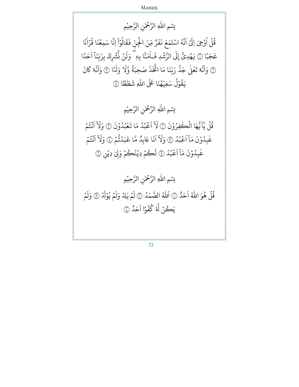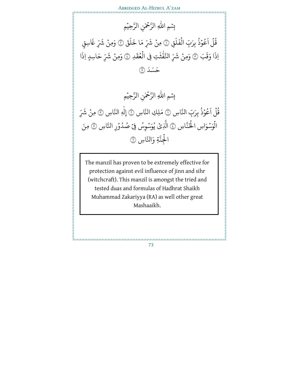

ہ<br>آ قُلُ ا ِو ر<br>آ اَعُوۡذُ بِرَبِّ الۡفَلَقِ ؚ<br>ۣ و ُ َ  $\uparrow$  $\ddot{\cdot}$ لْفَلَق ۞ مِنْ شَرِّ مَا خَلَقَ ہ<br>1 ؚ<br>; ر<br>آ  $\uplambda$ ِّ مَا خَ به<br>مقس شَرِّ مَا خَلَقَ ۞ وَمِنْ شَرِّ غَاسِقٍ ؚ<br>; شَرِّ غَا اِ بَ َ ذَا وَقَبَ ۞ وَمِنْ شَرِّ ំ شَرِّ النَّفَّتُتِ فِي بڈ لتَّقْتُتِ فِي الْعُقَدِ  $\ddot{\cdot}$ لْعُقَدِ ۞ وَمِنْ شَرِّ ُ ہ<br>1 ំ شَرِّ حَاسِدٍ اِذَا ذ حَسَدَ ۞

> للّٰهِ الرَّحْمٰنِ ٰ ر<br>آ بِسْمِ اللّٰهِ الرَّحْمٰنِ الرَّحِيْمِ  $\tilde{\mathbf{z}}$ ֺ֧֦֧֦֧֦֧֦֧֦֧

ہ<br>آ قُل ا و<br>به ر<br>آ اَعُوۡذُ بِرَبِّ النَّاسِ ۞ مَلِكِ النَّاسِ ۞ إِلٰهِ النَّاسِ ۞ مِنۡ شَرِّ ؚ<br>ۣ و ؚ<br>; ِ<br>شر ا<br>الْوَسْوَاسِ الْحَنَّاسِ ۞ الَّذِيْ ۡ ہ<br>1 ۔<br>پہ لَّذِيْ يُوَسَْوِسُ فِيْ صُدُوْرِ النَّاسِ ۞ مِنَ ؚ<br>ۣ ُ  $\ddot{\phantom{0}}$ ُ ا لْجِنَّةِ وَالنَّاسِ ۞ ہ<br>1

The manzil has proven to be extremely effective for protection against evil influence of jinn and sihr (witchcraft). This manzil is amongst the tried and tested duas and formulas of Hadhrat Shaikh Muhammad Zakariyya (RA) as well other great Mashaaikh.